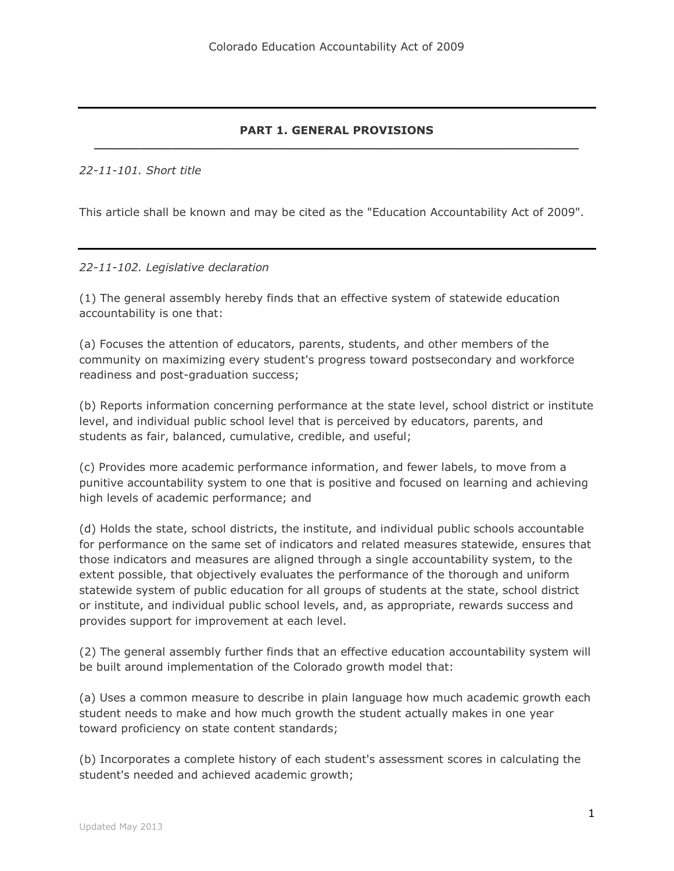### **PART 1. GENERAL PROVISIONS \_\_\_\_\_\_\_\_\_\_\_\_\_\_\_\_\_\_\_\_\_\_\_\_\_\_\_\_\_\_\_\_\_\_\_\_\_\_\_\_\_\_\_\_\_\_\_\_\_\_\_\_\_\_\_\_\_\_\_\_\_\_**

### *22-11-101. Short title*

This article shall be known and may be cited as the "Education Accountability Act of 2009".

### *22-11-102. Legislative declaration*

(1) The general assembly hereby finds that an effective system of statewide education accountability is one that:

(a) Focuses the attention of educators, parents, students, and other members of the community on maximizing every student's progress toward postsecondary and workforce readiness and post-graduation success;

(b) Reports information concerning performance at the state level, school district or institute level, and individual public school level that is perceived by educators, parents, and students as fair, balanced, cumulative, credible, and useful;

(c) Provides more academic performance information, and fewer labels, to move from a punitive accountability system to one that is positive and focused on learning and achieving high levels of academic performance; and

(d) Holds the state, school districts, the institute, and individual public schools accountable for performance on the same set of indicators and related measures statewide, ensures that those indicators and measures are aligned through a single accountability system, to the extent possible, that objectively evaluates the performance of the thorough and uniform statewide system of public education for all groups of students at the state, school district or institute, and individual public school levels, and, as appropriate, rewards success and provides support for improvement at each level.

(2) The general assembly further finds that an effective education accountability system will be built around implementation of the Colorado growth model that:

(a) Uses a common measure to describe in plain language how much academic growth each student needs to make and how much growth the student actually makes in one year toward proficiency on state content standards;

(b) Incorporates a complete history of each student's assessment scores in calculating the student's needed and achieved academic growth;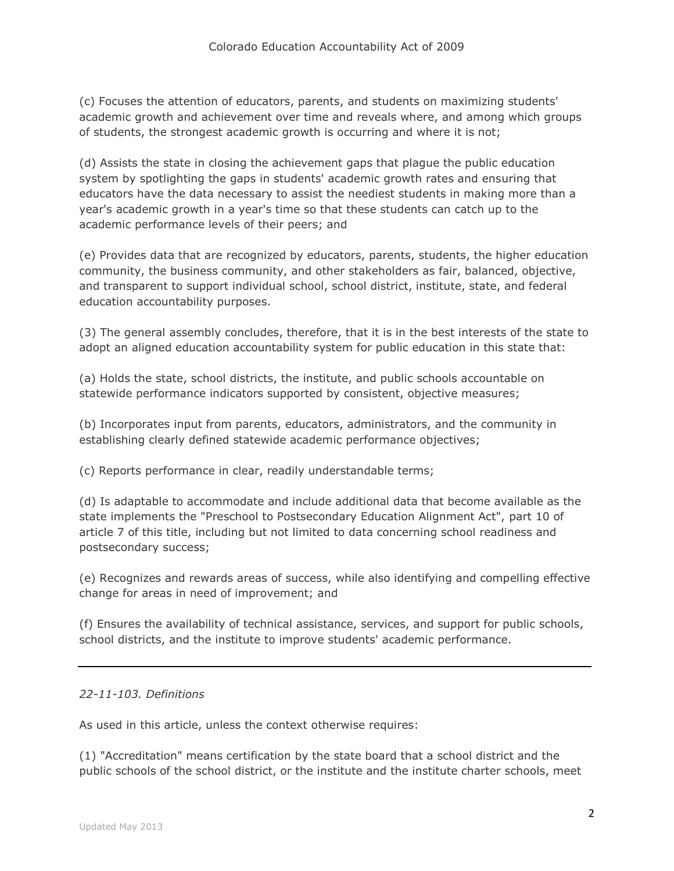(c) Focuses the attention of educators, parents, and students on maximizing students' academic growth and achievement over time and reveals where, and among which groups of students, the strongest academic growth is occurring and where it is not;

(d) Assists the state in closing the achievement gaps that plague the public education system by spotlighting the gaps in students' academic growth rates and ensuring that educators have the data necessary to assist the neediest students in making more than a year's academic growth in a year's time so that these students can catch up to the academic performance levels of their peers; and

(e) Provides data that are recognized by educators, parents, students, the higher education community, the business community, and other stakeholders as fair, balanced, objective, and transparent to support individual school, school district, institute, state, and federal education accountability purposes.

(3) The general assembly concludes, therefore, that it is in the best interests of the state to adopt an aligned education accountability system for public education in this state that:

(a) Holds the state, school districts, the institute, and public schools accountable on statewide performance indicators supported by consistent, objective measures;

(b) Incorporates input from parents, educators, administrators, and the community in establishing clearly defined statewide academic performance objectives;

(c) Reports performance in clear, readily understandable terms;

(d) Is adaptable to accommodate and include additional data that become available as the state implements the "Preschool to Postsecondary Education Alignment Act", part 10 of article 7 of this title, including but not limited to data concerning school readiness and postsecondary success;

(e) Recognizes and rewards areas of success, while also identifying and compelling effective change for areas in need of improvement; and

(f) Ensures the availability of technical assistance, services, and support for public schools, school districts, and the institute to improve students' academic performance.

## *22-11-103. Definitions*

As used in this article, unless the context otherwise requires:

(1) "Accreditation" means certification by the state board that a school district and the public schools of the school district, or the institute and the institute charter schools, meet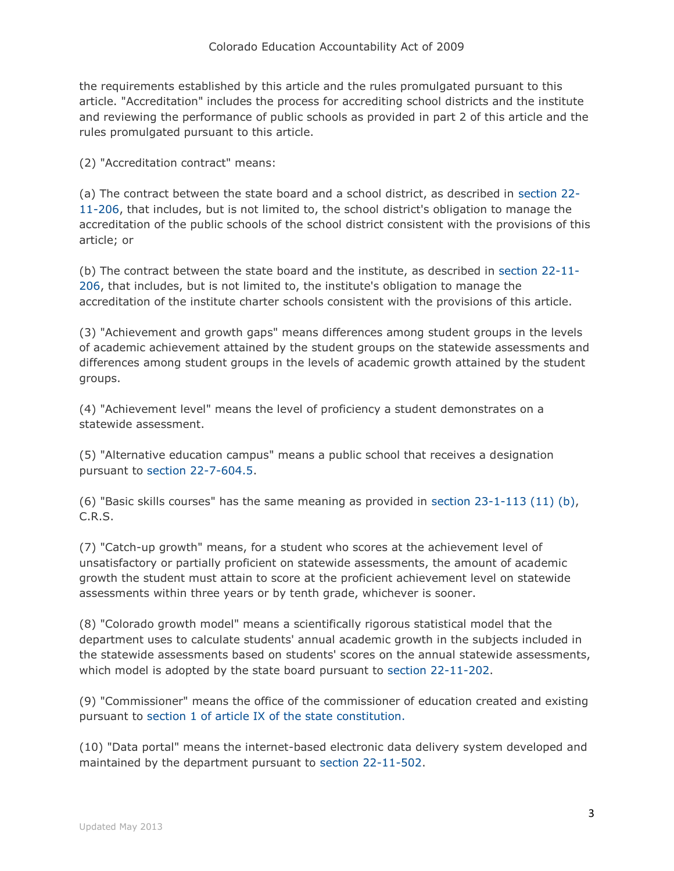the requirements established by this article and the rules promulgated pursuant to this article. "Accreditation" includes the process for accrediting school districts and the institute and reviewing the performance of public schools as provided in part 2 of this article and the rules promulgated pursuant to this article.

(2) "Accreditation contract" means:

(a) The contract between the state board and a school district, as described in [section 22-](http://web.lexisnexis.com/research/buttonTFLink?_m=d0a89c7c8ff9eaa78122d0086347e16d&_xfercite=%3ccite%20cc%3d%22USA%22%3e%3c%21%5bCDATA%5bC.R.S.%2022-11-103%5d%5d%3e%3c%2fcite%3e&_butType=4&_butStat=0&_butNum=2&_butInline=1&_butinfo=COCODE%2022-11-206&_fmtstr=FULL&docnum=1&_startdoc=1&wchp=dGLzVzk-zSkAl&_md5=1b4fe015139e01904a83b6c81122c825) [11-206,](http://web.lexisnexis.com/research/buttonTFLink?_m=d0a89c7c8ff9eaa78122d0086347e16d&_xfercite=%3ccite%20cc%3d%22USA%22%3e%3c%21%5bCDATA%5bC.R.S.%2022-11-103%5d%5d%3e%3c%2fcite%3e&_butType=4&_butStat=0&_butNum=2&_butInline=1&_butinfo=COCODE%2022-11-206&_fmtstr=FULL&docnum=1&_startdoc=1&wchp=dGLzVzk-zSkAl&_md5=1b4fe015139e01904a83b6c81122c825) that includes, but is not limited to, the school district's obligation to manage the accreditation of the public schools of the school district consistent with the provisions of this article; or

(b) The contract between the state board and the institute, as described in [section 22-11-](http://web.lexisnexis.com/research/buttonTFLink?_m=d0a89c7c8ff9eaa78122d0086347e16d&_xfercite=%3ccite%20cc%3d%22USA%22%3e%3c%21%5bCDATA%5bC.R.S.%2022-11-103%5d%5d%3e%3c%2fcite%3e&_butType=4&_butStat=0&_butNum=3&_butInline=1&_butinfo=COCODE%2022-11-206&_fmtstr=FULL&docnum=1&_startdoc=1&wchp=dGLzVzk-zSkAl&_md5=60ab880ccc38bc8985c644eb42e4bd9b) [206,](http://web.lexisnexis.com/research/buttonTFLink?_m=d0a89c7c8ff9eaa78122d0086347e16d&_xfercite=%3ccite%20cc%3d%22USA%22%3e%3c%21%5bCDATA%5bC.R.S.%2022-11-103%5d%5d%3e%3c%2fcite%3e&_butType=4&_butStat=0&_butNum=3&_butInline=1&_butinfo=COCODE%2022-11-206&_fmtstr=FULL&docnum=1&_startdoc=1&wchp=dGLzVzk-zSkAl&_md5=60ab880ccc38bc8985c644eb42e4bd9b) that includes, but is not limited to, the institute's obligation to manage the accreditation of the institute charter schools consistent with the provisions of this article.

(3) "Achievement and growth gaps" means differences among student groups in the levels of academic achievement attained by the student groups on the statewide assessments and differences among student groups in the levels of academic growth attained by the student groups.

(4) "Achievement level" means the level of proficiency a student demonstrates on a statewide assessment.

(5) "Alternative education campus" means a public school that receives a designation pursuant to [section 22-7-604.5.](http://web.lexisnexis.com/research/buttonTFLink?_m=d0a89c7c8ff9eaa78122d0086347e16d&_xfercite=%3ccite%20cc%3d%22USA%22%3e%3c%21%5bCDATA%5bC.R.S.%2022-11-103%5d%5d%3e%3c%2fcite%3e&_butType=4&_butStat=0&_butNum=4&_butInline=1&_butinfo=COCODE%2022-7-604.5&_fmtstr=FULL&docnum=1&_startdoc=1&wchp=dGLzVzk-zSkAl&_md5=9079792eb57e538face210129733cf91)

(6) "Basic skills courses" has the same meaning as provided in section  $23-1-113$  (11) (b), C.R.S.

(7) "Catch-up growth" means, for a student who scores at the achievement level of unsatisfactory or partially proficient on statewide assessments, the amount of academic growth the student must attain to score at the proficient achievement level on statewide assessments within three years or by tenth grade, whichever is sooner.

(8) "Colorado growth model" means a scientifically rigorous statistical model that the department uses to calculate students' annual academic growth in the subjects included in the statewide assessments based on students' scores on the annual statewide assessments, which model is adopted by the state board pursuant to [section 22-11-202.](http://web.lexisnexis.com/research/buttonTFLink?_m=d0a89c7c8ff9eaa78122d0086347e16d&_xfercite=%3ccite%20cc%3d%22USA%22%3e%3c%21%5bCDATA%5bC.R.S.%2022-11-103%5d%5d%3e%3c%2fcite%3e&_butType=4&_butStat=0&_butNum=6&_butInline=1&_butinfo=COCODE%2022-11-202&_fmtstr=FULL&docnum=1&_startdoc=1&wchp=dGLzVzk-zSkAl&_md5=528cce9fb95490223172a2f0745af10d)

(9) "Commissioner" means the office of the commissioner of education created and existing pursuant to [section 1 of article IX of the state constitution.](http://web.lexisnexis.com/research/buttonTFLink?_m=d0a89c7c8ff9eaa78122d0086347e16d&_xfercite=%3ccite%20cc%3d%22USA%22%3e%3c%21%5bCDATA%5bC.R.S.%2022-11-103%5d%5d%3e%3c%2fcite%3e&_butType=4&_butStat=0&_butNum=7&_butInline=1&_butinfo=CO%20CONST%20IX%201&_fmtstr=FULL&docnum=1&_startdoc=1&wchp=dGLzVzk-zSkAl&_md5=b8ea6e7f7e3ee72eb6d44a343f70c84f)

(10) "Data portal" means the internet-based electronic data delivery system developed and maintained by the department pursuant to [section 22-11-502.](http://web.lexisnexis.com/research/buttonTFLink?_m=d0a89c7c8ff9eaa78122d0086347e16d&_xfercite=%3ccite%20cc%3d%22USA%22%3e%3c%21%5bCDATA%5bC.R.S.%2022-11-103%5d%5d%3e%3c%2fcite%3e&_butType=4&_butStat=0&_butNum=8&_butInline=1&_butinfo=COCODE%2022-11-502&_fmtstr=FULL&docnum=1&_startdoc=1&wchp=dGLzVzk-zSkAl&_md5=545486af9009ce494b81d120868fbc21)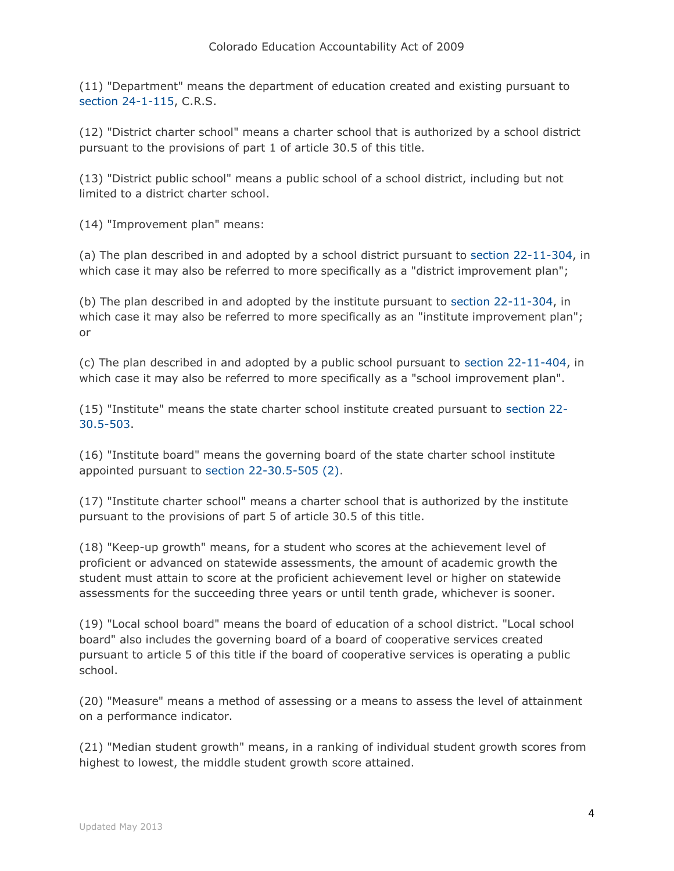(11) "Department" means the department of education created and existing pursuant to [section 24-1-115,](http://web.lexisnexis.com/research/buttonTFLink?_m=d0a89c7c8ff9eaa78122d0086347e16d&_xfercite=%3ccite%20cc%3d%22USA%22%3e%3c%21%5bCDATA%5bC.R.S.%2022-11-103%5d%5d%3e%3c%2fcite%3e&_butType=4&_butStat=0&_butNum=9&_butInline=1&_butinfo=COCODE%2024-1-115&_fmtstr=FULL&docnum=1&_startdoc=1&wchp=dGLzVzk-zSkAl&_md5=c881b030f343f87ca07a2833d4a3f818) C.R.S.

(12) "District charter school" means a charter school that is authorized by a school district pursuant to the provisions of part 1 of article 30.5 of this title.

(13) "District public school" means a public school of a school district, including but not limited to a district charter school.

(14) "Improvement plan" means:

(a) The plan described in and adopted by a school district pursuant to [section 22-11-304,](http://web.lexisnexis.com/research/buttonTFLink?_m=d0a89c7c8ff9eaa78122d0086347e16d&_xfercite=%3ccite%20cc%3d%22USA%22%3e%3c%21%5bCDATA%5bC.R.S.%2022-11-103%5d%5d%3e%3c%2fcite%3e&_butType=4&_butStat=0&_butNum=10&_butInline=1&_butinfo=COCODE%2022-11-304&_fmtstr=FULL&docnum=1&_startdoc=1&wchp=dGLzVzk-zSkAl&_md5=1f01670d9c3f56111ca968e7281d7f4d) in which case it may also be referred to more specifically as a "district improvement plan";

(b) The plan described in and adopted by the institute pursuant to [section 22-11-304,](http://web.lexisnexis.com/research/buttonTFLink?_m=d0a89c7c8ff9eaa78122d0086347e16d&_xfercite=%3ccite%20cc%3d%22USA%22%3e%3c%21%5bCDATA%5bC.R.S.%2022-11-103%5d%5d%3e%3c%2fcite%3e&_butType=4&_butStat=0&_butNum=11&_butInline=1&_butinfo=COCODE%2022-11-304&_fmtstr=FULL&docnum=1&_startdoc=1&wchp=dGLzVzk-zSkAl&_md5=897f384a52f95eebe2b3245c0ba3e314) in which case it may also be referred to more specifically as an "institute improvement plan"; or

(c) The plan described in and adopted by a public school pursuant to [section 22-11-404,](http://web.lexisnexis.com/research/buttonTFLink?_m=d0a89c7c8ff9eaa78122d0086347e16d&_xfercite=%3ccite%20cc%3d%22USA%22%3e%3c%21%5bCDATA%5bC.R.S.%2022-11-103%5d%5d%3e%3c%2fcite%3e&_butType=4&_butStat=0&_butNum=12&_butInline=1&_butinfo=COCODE%2022-11-404&_fmtstr=FULL&docnum=1&_startdoc=1&wchp=dGLzVzk-zSkAl&_md5=011d5183990c3dd713f28643c83d3e04) in which case it may also be referred to more specifically as a "school improvement plan".

(15) "Institute" means the state charter school institute created pursuant to [section 22-](http://web.lexisnexis.com/research/buttonTFLink?_m=d0a89c7c8ff9eaa78122d0086347e16d&_xfercite=%3ccite%20cc%3d%22USA%22%3e%3c%21%5bCDATA%5bC.R.S.%2022-11-103%5d%5d%3e%3c%2fcite%3e&_butType=4&_butStat=0&_butNum=13&_butInline=1&_butinfo=COCODE%2022-30.5-503&_fmtstr=FULL&docnum=1&_startdoc=1&wchp=dGLzVzk-zSkAl&_md5=d48f66e4be9855c1ed1a50f3246ee09d) [30.5-503.](http://web.lexisnexis.com/research/buttonTFLink?_m=d0a89c7c8ff9eaa78122d0086347e16d&_xfercite=%3ccite%20cc%3d%22USA%22%3e%3c%21%5bCDATA%5bC.R.S.%2022-11-103%5d%5d%3e%3c%2fcite%3e&_butType=4&_butStat=0&_butNum=13&_butInline=1&_butinfo=COCODE%2022-30.5-503&_fmtstr=FULL&docnum=1&_startdoc=1&wchp=dGLzVzk-zSkAl&_md5=d48f66e4be9855c1ed1a50f3246ee09d)

(16) "Institute board" means the governing board of the state charter school institute appointed pursuant to [section 22-30.5-505 \(2\).](http://web.lexisnexis.com/research/buttonTFLink?_m=d0a89c7c8ff9eaa78122d0086347e16d&_xfercite=%3ccite%20cc%3d%22USA%22%3e%3c%21%5bCDATA%5bC.R.S.%2022-11-103%5d%5d%3e%3c%2fcite%3e&_butType=4&_butStat=0&_butNum=14&_butInline=1&_butinfo=COCODE%2022-30.5-505&_fmtstr=FULL&docnum=1&_startdoc=1&wchp=dGLzVzk-zSkAl&_md5=9c7c06705a1f33d08dfece037291051a)

(17) "Institute charter school" means a charter school that is authorized by the institute pursuant to the provisions of part 5 of article 30.5 of this title.

(18) "Keep-up growth" means, for a student who scores at the achievement level of proficient or advanced on statewide assessments, the amount of academic growth the student must attain to score at the proficient achievement level or higher on statewide assessments for the succeeding three years or until tenth grade, whichever is sooner.

(19) "Local school board" means the board of education of a school district. "Local school board" also includes the governing board of a board of cooperative services created pursuant to article 5 of this title if the board of cooperative services is operating a public school.

(20) "Measure" means a method of assessing or a means to assess the level of attainment on a performance indicator.

(21) "Median student growth" means, in a ranking of individual student growth scores from highest to lowest, the middle student growth score attained.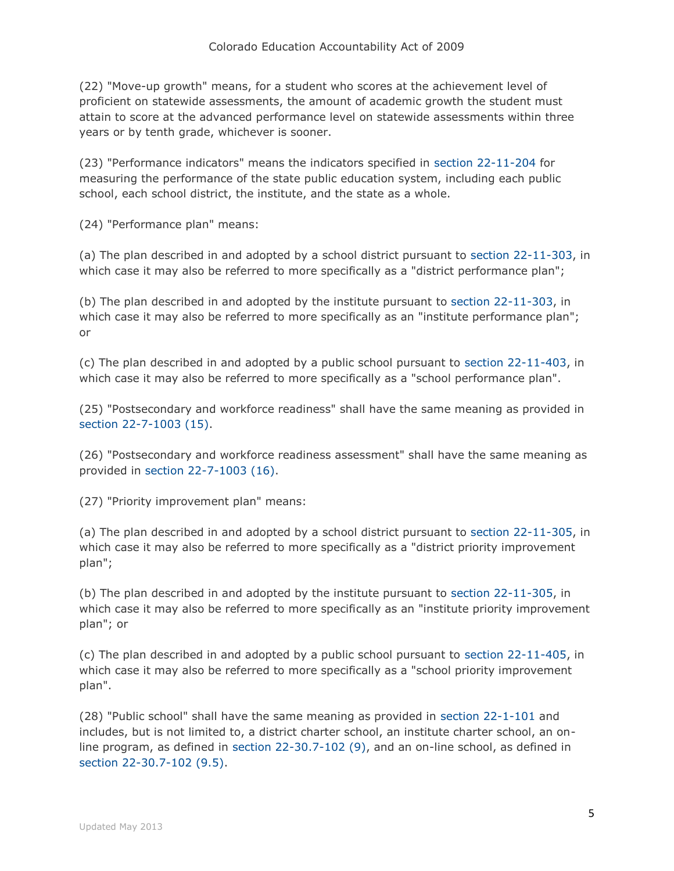(22) "Move-up growth" means, for a student who scores at the achievement level of proficient on statewide assessments, the amount of academic growth the student must attain to score at the advanced performance level on statewide assessments within three years or by tenth grade, whichever is sooner.

(23) "Performance indicators" means the indicators specified in [section 22-11-204](http://web.lexisnexis.com/research/buttonTFLink?_m=d0a89c7c8ff9eaa78122d0086347e16d&_xfercite=%3ccite%20cc%3d%22USA%22%3e%3c%21%5bCDATA%5bC.R.S.%2022-11-103%5d%5d%3e%3c%2fcite%3e&_butType=4&_butStat=0&_butNum=15&_butInline=1&_butinfo=COCODE%2022-11-204&_fmtstr=FULL&docnum=1&_startdoc=1&wchp=dGLzVzk-zSkAl&_md5=2e0a27a193bc95c76ebe2a98dfd9fb03) for measuring the performance of the state public education system, including each public school, each school district, the institute, and the state as a whole.

(24) "Performance plan" means:

(a) The plan described in and adopted by a school district pursuant to [section 22-11-303,](http://web.lexisnexis.com/research/buttonTFLink?_m=d0a89c7c8ff9eaa78122d0086347e16d&_xfercite=%3ccite%20cc%3d%22USA%22%3e%3c%21%5bCDATA%5bC.R.S.%2022-11-103%5d%5d%3e%3c%2fcite%3e&_butType=4&_butStat=0&_butNum=16&_butInline=1&_butinfo=COCODE%2022-11-303&_fmtstr=FULL&docnum=1&_startdoc=1&wchp=dGLzVzk-zSkAl&_md5=18cbdbba7fdc8f78e8495a45160c0e4d) in which case it may also be referred to more specifically as a "district performance plan";

(b) The plan described in and adopted by the institute pursuant to [section 22-11-303,](http://web.lexisnexis.com/research/buttonTFLink?_m=d0a89c7c8ff9eaa78122d0086347e16d&_xfercite=%3ccite%20cc%3d%22USA%22%3e%3c%21%5bCDATA%5bC.R.S.%2022-11-103%5d%5d%3e%3c%2fcite%3e&_butType=4&_butStat=0&_butNum=17&_butInline=1&_butinfo=COCODE%2022-11-303&_fmtstr=FULL&docnum=1&_startdoc=1&wchp=dGLzVzk-zSkAl&_md5=4209c8912807a38ed3ce14c7a9508eec) in which case it may also be referred to more specifically as an "institute performance plan"; or

(c) The plan described in and adopted by a public school pursuant to [section 22-11-403,](http://web.lexisnexis.com/research/buttonTFLink?_m=d0a89c7c8ff9eaa78122d0086347e16d&_xfercite=%3ccite%20cc%3d%22USA%22%3e%3c%21%5bCDATA%5bC.R.S.%2022-11-103%5d%5d%3e%3c%2fcite%3e&_butType=4&_butStat=0&_butNum=18&_butInline=1&_butinfo=COCODE%2022-11-403&_fmtstr=FULL&docnum=1&_startdoc=1&wchp=dGLzVzk-zSkAl&_md5=2d7b523690bce97ba23872e022a99d13) in which case it may also be referred to more specifically as a "school performance plan".

(25) "Postsecondary and workforce readiness" shall have the same meaning as provided in [section 22-7-1003 \(15\).](http://web.lexisnexis.com/research/buttonTFLink?_m=d0a89c7c8ff9eaa78122d0086347e16d&_xfercite=%3ccite%20cc%3d%22USA%22%3e%3c%21%5bCDATA%5bC.R.S.%2022-11-103%5d%5d%3e%3c%2fcite%3e&_butType=4&_butStat=0&_butNum=19&_butInline=1&_butinfo=COCODE%2022-7-1003&_fmtstr=FULL&docnum=1&_startdoc=1&wchp=dGLzVzk-zSkAl&_md5=4c3934ec84d886bb8b49fd7737d6c032)

(26) "Postsecondary and workforce readiness assessment" shall have the same meaning as provided in [section 22-7-1003 \(16\).](http://web.lexisnexis.com/research/buttonTFLink?_m=d0a89c7c8ff9eaa78122d0086347e16d&_xfercite=%3ccite%20cc%3d%22USA%22%3e%3c%21%5bCDATA%5bC.R.S.%2022-11-103%5d%5d%3e%3c%2fcite%3e&_butType=4&_butStat=0&_butNum=20&_butInline=1&_butinfo=COCODE%2022-7-1003&_fmtstr=FULL&docnum=1&_startdoc=1&wchp=dGLzVzk-zSkAl&_md5=84e769e3320bd6e4a295b47265a974df)

(27) "Priority improvement plan" means:

(a) The plan described in and adopted by a school district pursuant to [section 22-11-305,](http://web.lexisnexis.com/research/buttonTFLink?_m=d0a89c7c8ff9eaa78122d0086347e16d&_xfercite=%3ccite%20cc%3d%22USA%22%3e%3c%21%5bCDATA%5bC.R.S.%2022-11-103%5d%5d%3e%3c%2fcite%3e&_butType=4&_butStat=0&_butNum=21&_butInline=1&_butinfo=COCODE%2022-11-305&_fmtstr=FULL&docnum=1&_startdoc=1&wchp=dGLzVzk-zSkAl&_md5=3029edbc723a6d5a3c8c7d7b303317d7) in which case it may also be referred to more specifically as a "district priority improvement plan";

(b) The plan described in and adopted by the institute pursuant to [section 22-11-305,](http://web.lexisnexis.com/research/buttonTFLink?_m=d0a89c7c8ff9eaa78122d0086347e16d&_xfercite=%3ccite%20cc%3d%22USA%22%3e%3c%21%5bCDATA%5bC.R.S.%2022-11-103%5d%5d%3e%3c%2fcite%3e&_butType=4&_butStat=0&_butNum=22&_butInline=1&_butinfo=COCODE%2022-11-305&_fmtstr=FULL&docnum=1&_startdoc=1&wchp=dGLzVzk-zSkAl&_md5=84774ab5f82ffe7d74ace9b5efd7f722) in which case it may also be referred to more specifically as an "institute priority improvement" plan"; or

(c) The plan described in and adopted by a public school pursuant to [section 22-11-405,](http://web.lexisnexis.com/research/buttonTFLink?_m=d0a89c7c8ff9eaa78122d0086347e16d&_xfercite=%3ccite%20cc%3d%22USA%22%3e%3c%21%5bCDATA%5bC.R.S.%2022-11-103%5d%5d%3e%3c%2fcite%3e&_butType=4&_butStat=0&_butNum=23&_butInline=1&_butinfo=COCODE%2022-11-405&_fmtstr=FULL&docnum=1&_startdoc=1&wchp=dGLzVzk-zSkAl&_md5=881b2697dbac6c38331522f690afd334) in which case it may also be referred to more specifically as a "school priority improvement plan".

(28) "Public school" shall have the same meaning as provided in [section 22-1-101](http://web.lexisnexis.com/research/buttonTFLink?_m=d0a89c7c8ff9eaa78122d0086347e16d&_xfercite=%3ccite%20cc%3d%22USA%22%3e%3c%21%5bCDATA%5bC.R.S.%2022-11-103%5d%5d%3e%3c%2fcite%3e&_butType=4&_butStat=0&_butNum=24&_butInline=1&_butinfo=COCODE%2022-1-101&_fmtstr=FULL&docnum=1&_startdoc=1&wchp=dGLzVzk-zSkAl&_md5=ac2bdd3f0041563694980c322b762420) and includes, but is not limited to, a district charter school, an institute charter school, an online program, as defined in [section 22-30.7-102 \(9\),](http://web.lexisnexis.com/research/buttonTFLink?_m=d0a89c7c8ff9eaa78122d0086347e16d&_xfercite=%3ccite%20cc%3d%22USA%22%3e%3c%21%5bCDATA%5bC.R.S.%2022-11-103%5d%5d%3e%3c%2fcite%3e&_butType=4&_butStat=0&_butNum=25&_butInline=1&_butinfo=COCODE%2022-30.7-102&_fmtstr=FULL&docnum=1&_startdoc=1&wchp=dGLzVzk-zSkAl&_md5=1114803cd34e9149fffa98fbdffdf9cf) and an on-line school, as defined in [section 22-30.7-102 \(9.5\).](http://web.lexisnexis.com/research/buttonTFLink?_m=d0a89c7c8ff9eaa78122d0086347e16d&_xfercite=%3ccite%20cc%3d%22USA%22%3e%3c%21%5bCDATA%5bC.R.S.%2022-11-103%5d%5d%3e%3c%2fcite%3e&_butType=4&_butStat=0&_butNum=26&_butInline=1&_butinfo=COCODE%2022-30.7-102&_fmtstr=FULL&docnum=1&_startdoc=1&wchp=dGLzVzk-zSkAl&_md5=9f237d99698a65e41324e30008f55c88)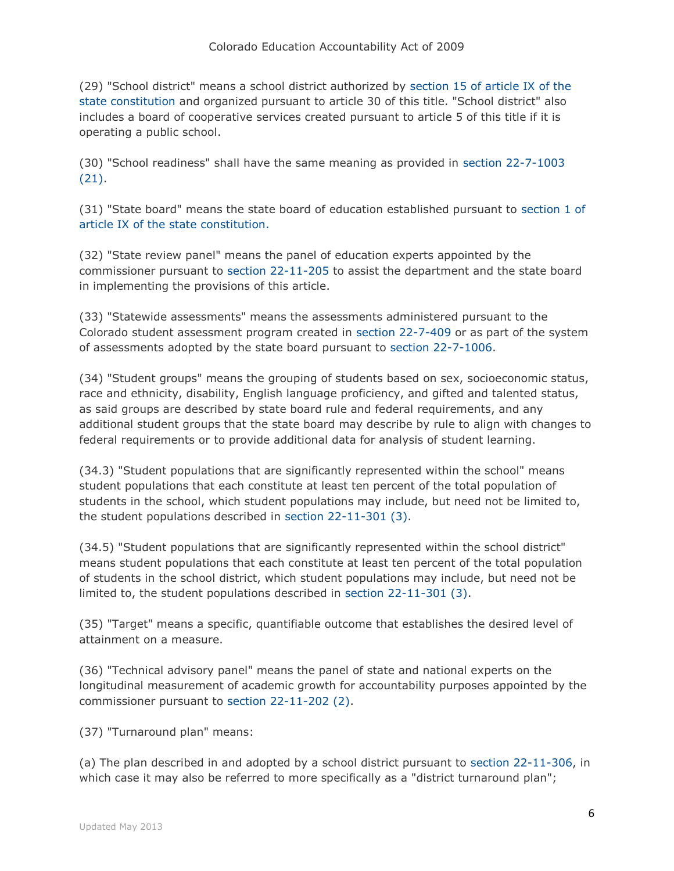(29) "School district" means a school district authorized by [section 15 of article IX of the](http://web.lexisnexis.com/research/buttonTFLink?_m=d0a89c7c8ff9eaa78122d0086347e16d&_xfercite=%3ccite%20cc%3d%22USA%22%3e%3c%21%5bCDATA%5bC.R.S.%2022-11-103%5d%5d%3e%3c%2fcite%3e&_butType=4&_butStat=0&_butNum=27&_butInline=1&_butinfo=CO%20CONST%20IX%2015&_fmtstr=FULL&docnum=1&_startdoc=1&wchp=dGLzVzk-zSkAl&_md5=6d1a1e0b7b724dec3418be911b10c861)  [state constitution](http://web.lexisnexis.com/research/buttonTFLink?_m=d0a89c7c8ff9eaa78122d0086347e16d&_xfercite=%3ccite%20cc%3d%22USA%22%3e%3c%21%5bCDATA%5bC.R.S.%2022-11-103%5d%5d%3e%3c%2fcite%3e&_butType=4&_butStat=0&_butNum=27&_butInline=1&_butinfo=CO%20CONST%20IX%2015&_fmtstr=FULL&docnum=1&_startdoc=1&wchp=dGLzVzk-zSkAl&_md5=6d1a1e0b7b724dec3418be911b10c861) and organized pursuant to article 30 of this title. "School district" also includes a board of cooperative services created pursuant to article 5 of this title if it is operating a public school.

(30) "School readiness" shall have the same meaning as provided in [section 22-7-1003](http://web.lexisnexis.com/research/buttonTFLink?_m=d0a89c7c8ff9eaa78122d0086347e16d&_xfercite=%3ccite%20cc%3d%22USA%22%3e%3c%21%5bCDATA%5bC.R.S.%2022-11-103%5d%5d%3e%3c%2fcite%3e&_butType=4&_butStat=0&_butNum=28&_butInline=1&_butinfo=COCODE%2022-7-1003&_fmtstr=FULL&docnum=1&_startdoc=1&wchp=dGLzVzk-zSkAl&_md5=2eaa35a41154d80036a94b3ae8f5a418)  [\(21\).](http://web.lexisnexis.com/research/buttonTFLink?_m=d0a89c7c8ff9eaa78122d0086347e16d&_xfercite=%3ccite%20cc%3d%22USA%22%3e%3c%21%5bCDATA%5bC.R.S.%2022-11-103%5d%5d%3e%3c%2fcite%3e&_butType=4&_butStat=0&_butNum=28&_butInline=1&_butinfo=COCODE%2022-7-1003&_fmtstr=FULL&docnum=1&_startdoc=1&wchp=dGLzVzk-zSkAl&_md5=2eaa35a41154d80036a94b3ae8f5a418)

(31) "State board" means the state board of education established pursuant to [section 1 of](http://web.lexisnexis.com/research/buttonTFLink?_m=d0a89c7c8ff9eaa78122d0086347e16d&_xfercite=%3ccite%20cc%3d%22USA%22%3e%3c%21%5bCDATA%5bC.R.S.%2022-11-103%5d%5d%3e%3c%2fcite%3e&_butType=4&_butStat=0&_butNum=29&_butInline=1&_butinfo=CO%20CONST%20IX%201&_fmtstr=FULL&docnum=1&_startdoc=1&wchp=dGLzVzk-zSkAl&_md5=4f0a102713b8b7e7c679ad37c70a8004)  [article IX of the state constitution.](http://web.lexisnexis.com/research/buttonTFLink?_m=d0a89c7c8ff9eaa78122d0086347e16d&_xfercite=%3ccite%20cc%3d%22USA%22%3e%3c%21%5bCDATA%5bC.R.S.%2022-11-103%5d%5d%3e%3c%2fcite%3e&_butType=4&_butStat=0&_butNum=29&_butInline=1&_butinfo=CO%20CONST%20IX%201&_fmtstr=FULL&docnum=1&_startdoc=1&wchp=dGLzVzk-zSkAl&_md5=4f0a102713b8b7e7c679ad37c70a8004)

(32) "State review panel" means the panel of education experts appointed by the commissioner pursuant to [section 22-11-205](http://web.lexisnexis.com/research/buttonTFLink?_m=d0a89c7c8ff9eaa78122d0086347e16d&_xfercite=%3ccite%20cc%3d%22USA%22%3e%3c%21%5bCDATA%5bC.R.S.%2022-11-103%5d%5d%3e%3c%2fcite%3e&_butType=4&_butStat=0&_butNum=30&_butInline=1&_butinfo=COCODE%2022-11-205&_fmtstr=FULL&docnum=1&_startdoc=1&wchp=dGLzVzk-zSkAl&_md5=b3769830b2c6937e3dc47c2f55938f49) to assist the department and the state board in implementing the provisions of this article.

(33) "Statewide assessments" means the assessments administered pursuant to the Colorado student assessment program created in [section 22-7-409](http://web.lexisnexis.com/research/buttonTFLink?_m=d0a89c7c8ff9eaa78122d0086347e16d&_xfercite=%3ccite%20cc%3d%22USA%22%3e%3c%21%5bCDATA%5bC.R.S.%2022-11-103%5d%5d%3e%3c%2fcite%3e&_butType=4&_butStat=0&_butNum=31&_butInline=1&_butinfo=COCODE%2022-7-409&_fmtstr=FULL&docnum=1&_startdoc=1&wchp=dGLzVzk-zSkAl&_md5=ed954a7099ed40741a4692c5c8b64d04) or as part of the system of assessments adopted by the state board pursuant to [section 22-7-1006.](http://web.lexisnexis.com/research/buttonTFLink?_m=d0a89c7c8ff9eaa78122d0086347e16d&_xfercite=%3ccite%20cc%3d%22USA%22%3e%3c%21%5bCDATA%5bC.R.S.%2022-11-103%5d%5d%3e%3c%2fcite%3e&_butType=4&_butStat=0&_butNum=32&_butInline=1&_butinfo=COCODE%2022-7-1006&_fmtstr=FULL&docnum=1&_startdoc=1&wchp=dGLzVzk-zSkAl&_md5=aa3e1a50b12e2a8c359254a65d6c3ff9)

(34) "Student groups" means the grouping of students based on sex, socioeconomic status, race and ethnicity, disability, English language proficiency, and gifted and talented status, as said groups are described by state board rule and federal requirements, and any additional student groups that the state board may describe by rule to align with changes to federal requirements or to provide additional data for analysis of student learning.

(34.3) "Student populations that are significantly represented within the school" means student populations that each constitute at least ten percent of the total population of students in the school, which student populations may include, but need not be limited to, the student populations described in [section 22-11-301 \(3\).](http://web.lexisnexis.com/research/buttonTFLink?_m=d0a89c7c8ff9eaa78122d0086347e16d&_xfercite=%3ccite%20cc%3d%22USA%22%3e%3c%21%5bCDATA%5bC.R.S.%2022-11-103%5d%5d%3e%3c%2fcite%3e&_butType=4&_butStat=0&_butNum=33&_butInline=1&_butinfo=COCODE%2022-11-301&_fmtstr=FULL&docnum=1&_startdoc=1&wchp=dGLzVzk-zSkAl&_md5=1409057cf3730a89257df23a5f46c8b7)

(34.5) "Student populations that are significantly represented within the school district" means student populations that each constitute at least ten percent of the total population of students in the school district, which student populations may include, but need not be limited to, the student populations described in [section 22-11-301 \(3\).](http://web.lexisnexis.com/research/buttonTFLink?_m=d0a89c7c8ff9eaa78122d0086347e16d&_xfercite=%3ccite%20cc%3d%22USA%22%3e%3c%21%5bCDATA%5bC.R.S.%2022-11-103%5d%5d%3e%3c%2fcite%3e&_butType=4&_butStat=0&_butNum=34&_butInline=1&_butinfo=COCODE%2022-11-301&_fmtstr=FULL&docnum=1&_startdoc=1&wchp=dGLzVzk-zSkAl&_md5=59202bc64352e3aa07d2df586ba19e2b)

(35) "Target" means a specific, quantifiable outcome that establishes the desired level of attainment on a measure.

(36) "Technical advisory panel" means the panel of state and national experts on the longitudinal measurement of academic growth for accountability purposes appointed by the commissioner pursuant to [section 22-11-202 \(2\).](http://web.lexisnexis.com/research/buttonTFLink?_m=d0a89c7c8ff9eaa78122d0086347e16d&_xfercite=%3ccite%20cc%3d%22USA%22%3e%3c%21%5bCDATA%5bC.R.S.%2022-11-103%5d%5d%3e%3c%2fcite%3e&_butType=4&_butStat=0&_butNum=35&_butInline=1&_butinfo=COCODE%2022-11-202&_fmtstr=FULL&docnum=1&_startdoc=1&wchp=dGLzVzk-zSkAl&_md5=09a77330a1bed8cc65767939d12a1f4d)

(37) "Turnaround plan" means:

(a) The plan described in and adopted by a school district pursuant to [section 22-11-306,](http://web.lexisnexis.com/research/buttonTFLink?_m=d0a89c7c8ff9eaa78122d0086347e16d&_xfercite=%3ccite%20cc%3d%22USA%22%3e%3c%21%5bCDATA%5bC.R.S.%2022-11-103%5d%5d%3e%3c%2fcite%3e&_butType=4&_butStat=0&_butNum=36&_butInline=1&_butinfo=COCODE%2022-11-306&_fmtstr=FULL&docnum=1&_startdoc=1&wchp=dGLzVzk-zSkAl&_md5=fe3dc142a318080bc3bce74319523918) in which case it may also be referred to more specifically as a "district turnaround plan";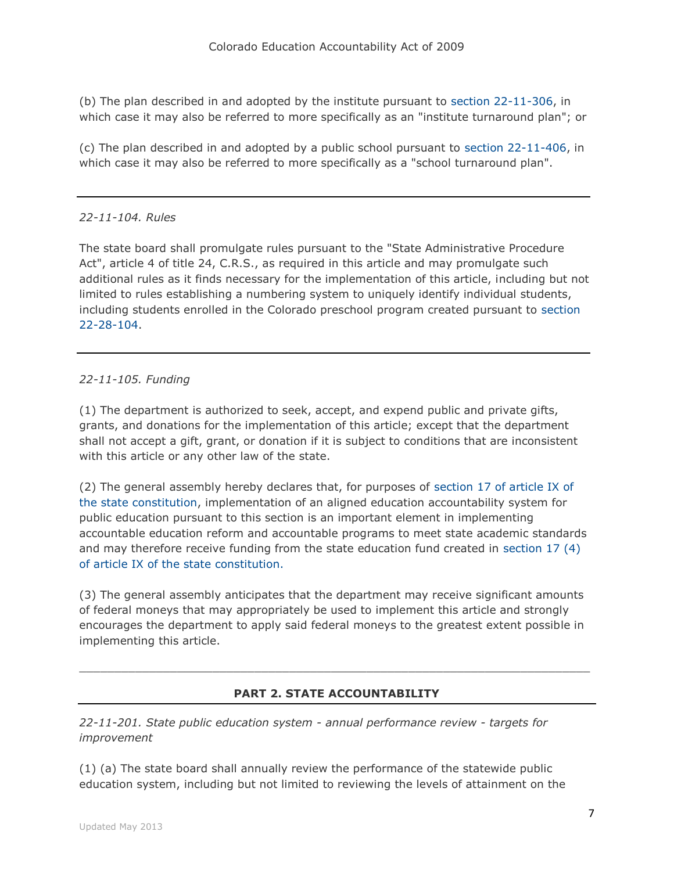(b) The plan described in and adopted by the institute pursuant to [section 22-11-306,](http://web.lexisnexis.com/research/buttonTFLink?_m=d0a89c7c8ff9eaa78122d0086347e16d&_xfercite=%3ccite%20cc%3d%22USA%22%3e%3c%21%5bCDATA%5bC.R.S.%2022-11-103%5d%5d%3e%3c%2fcite%3e&_butType=4&_butStat=0&_butNum=37&_butInline=1&_butinfo=COCODE%2022-11-306&_fmtstr=FULL&docnum=1&_startdoc=1&wchp=dGLzVzk-zSkAl&_md5=e98a37adb81d89832b76006f5a5543ce) in which case it may also be referred to more specifically as an "institute turnaround plan"; or

(c) The plan described in and adopted by a public school pursuant to [section 22-11-406,](http://web.lexisnexis.com/research/buttonTFLink?_m=d0a89c7c8ff9eaa78122d0086347e16d&_xfercite=%3ccite%20cc%3d%22USA%22%3e%3c%21%5bCDATA%5bC.R.S.%2022-11-103%5d%5d%3e%3c%2fcite%3e&_butType=4&_butStat=0&_butNum=38&_butInline=1&_butinfo=COCODE%2022-11-406&_fmtstr=FULL&docnum=1&_startdoc=1&wchp=dGLzVzk-zSkAl&_md5=6b7109334b9b1bf3d1566ebb4b75bd5a) in which case it may also be referred to more specifically as a "school turnaround plan".

## *22-11-104. Rules*

The state board shall promulgate rules pursuant to the "State Administrative Procedure Act", article 4 of title 24, C.R.S., as required in this article and may promulgate such additional rules as it finds necessary for the implementation of this article, including but not limited to rules establishing a numbering system to uniquely identify individual students, including students enrolled in the Colorado preschool program created pursuant to [section](http://web.lexisnexis.com/research/buttonTFLink?_m=658be1226a134651ceeed017f69de749&_xfercite=%3ccite%20cc%3d%22USA%22%3e%3c%21%5bCDATA%5bC.R.S.%2022-11-104%5d%5d%3e%3c%2fcite%3e&_butType=4&_butStat=0&_butNum=2&_butInline=1&_butinfo=COCODE%2022-28-104&_fmtstr=FULL&docnum=1&_startdoc=1&wchp=dGLzVzk-zSkAl&_md5=07951befdb20d2cfdd70821f56ad6ce5)  [22-28-104.](http://web.lexisnexis.com/research/buttonTFLink?_m=658be1226a134651ceeed017f69de749&_xfercite=%3ccite%20cc%3d%22USA%22%3e%3c%21%5bCDATA%5bC.R.S.%2022-11-104%5d%5d%3e%3c%2fcite%3e&_butType=4&_butStat=0&_butNum=2&_butInline=1&_butinfo=COCODE%2022-28-104&_fmtstr=FULL&docnum=1&_startdoc=1&wchp=dGLzVzk-zSkAl&_md5=07951befdb20d2cfdd70821f56ad6ce5)

## *22-11-105. Funding*

(1) The department is authorized to seek, accept, and expend public and private gifts, grants, and donations for the implementation of this article; except that the department shall not accept a gift, grant, or donation if it is subject to conditions that are inconsistent with this article or any other law of the state.

(2) The general assembly hereby declares that, for purposes of [section 17 of article IX of](http://web.lexisnexis.com/research/buttonTFLink?_m=46d05be6b99d701f7fd5a9ec6d17e079&_xfercite=%3ccite%20cc%3d%22USA%22%3e%3c%21%5bCDATA%5bC.R.S.%2022-11-105%5d%5d%3e%3c%2fcite%3e&_butType=4&_butStat=0&_butNum=2&_butInline=1&_butinfo=CO%20CONST%20IX%2017&_fmtstr=FULL&docnum=1&_startdoc=1&wchp=dGLzVzk-zSkAl&_md5=555025c012ae29afc50701ca4aeb97ae)  [the state constitution,](http://web.lexisnexis.com/research/buttonTFLink?_m=46d05be6b99d701f7fd5a9ec6d17e079&_xfercite=%3ccite%20cc%3d%22USA%22%3e%3c%21%5bCDATA%5bC.R.S.%2022-11-105%5d%5d%3e%3c%2fcite%3e&_butType=4&_butStat=0&_butNum=2&_butInline=1&_butinfo=CO%20CONST%20IX%2017&_fmtstr=FULL&docnum=1&_startdoc=1&wchp=dGLzVzk-zSkAl&_md5=555025c012ae29afc50701ca4aeb97ae) implementation of an aligned education accountability system for public education pursuant to this section is an important element in implementing accountable education reform and accountable programs to meet state academic standards and may therefore receive funding from the state education fund created in [section 17 \(4\)](http://web.lexisnexis.com/research/buttonTFLink?_m=46d05be6b99d701f7fd5a9ec6d17e079&_xfercite=%3ccite%20cc%3d%22USA%22%3e%3c%21%5bCDATA%5bC.R.S.%2022-11-105%5d%5d%3e%3c%2fcite%3e&_butType=4&_butStat=0&_butNum=3&_butInline=1&_butinfo=CO%20CONST%20IX%2017&_fmtstr=FULL&docnum=1&_startdoc=1&wchp=dGLzVzk-zSkAl&_md5=949be6f79a3aa4c5bfc6416c4afaaddb)  [of article IX of the state constitution.](http://web.lexisnexis.com/research/buttonTFLink?_m=46d05be6b99d701f7fd5a9ec6d17e079&_xfercite=%3ccite%20cc%3d%22USA%22%3e%3c%21%5bCDATA%5bC.R.S.%2022-11-105%5d%5d%3e%3c%2fcite%3e&_butType=4&_butStat=0&_butNum=3&_butInline=1&_butinfo=CO%20CONST%20IX%2017&_fmtstr=FULL&docnum=1&_startdoc=1&wchp=dGLzVzk-zSkAl&_md5=949be6f79a3aa4c5bfc6416c4afaaddb)

(3) The general assembly anticipates that the department may receive significant amounts of federal moneys that may appropriately be used to implement this article and strongly encourages the department to apply said federal moneys to the greatest extent possible in implementing this article.

## **PART 2. STATE ACCOUNTABILITY**

 $\Box$ 

*22-11-201. State public education system - annual performance review - targets for improvement*

(1) (a) The state board shall annually review the performance of the statewide public education system, including but not limited to reviewing the levels of attainment on the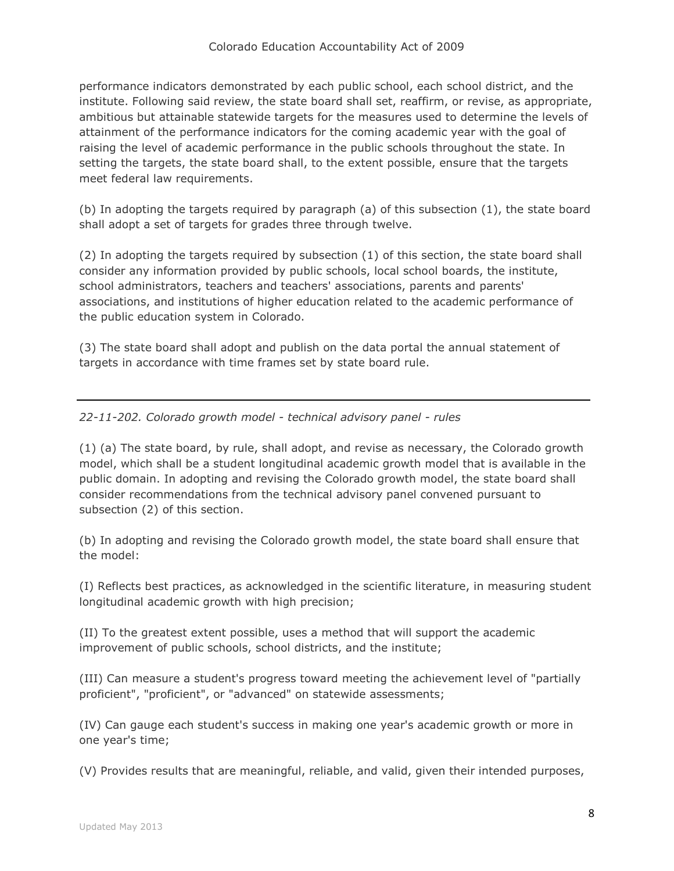performance indicators demonstrated by each public school, each school district, and the institute. Following said review, the state board shall set, reaffirm, or revise, as appropriate, ambitious but attainable statewide targets for the measures used to determine the levels of attainment of the performance indicators for the coming academic year with the goal of raising the level of academic performance in the public schools throughout the state. In setting the targets, the state board shall, to the extent possible, ensure that the targets meet federal law requirements.

(b) In adopting the targets required by paragraph (a) of this subsection (1), the state board shall adopt a set of targets for grades three through twelve.

(2) In adopting the targets required by subsection (1) of this section, the state board shall consider any information provided by public schools, local school boards, the institute, school administrators, teachers and teachers' associations, parents and parents' associations, and institutions of higher education related to the academic performance of the public education system in Colorado.

(3) The state board shall adopt and publish on the data portal the annual statement of targets in accordance with time frames set by state board rule.

*22-11-202. Colorado growth model - technical advisory panel - rules*

(1) (a) The state board, by rule, shall adopt, and revise as necessary, the Colorado growth model, which shall be a student longitudinal academic growth model that is available in the public domain. In adopting and revising the Colorado growth model, the state board shall consider recommendations from the technical advisory panel convened pursuant to subsection (2) of this section.

(b) In adopting and revising the Colorado growth model, the state board shall ensure that the model:

(I) Reflects best practices, as acknowledged in the scientific literature, in measuring student longitudinal academic growth with high precision;

(II) To the greatest extent possible, uses a method that will support the academic improvement of public schools, school districts, and the institute;

(III) Can measure a student's progress toward meeting the achievement level of "partially proficient", "proficient", or "advanced" on statewide assessments;

(IV) Can gauge each student's success in making one year's academic growth or more in one year's time;

(V) Provides results that are meaningful, reliable, and valid, given their intended purposes,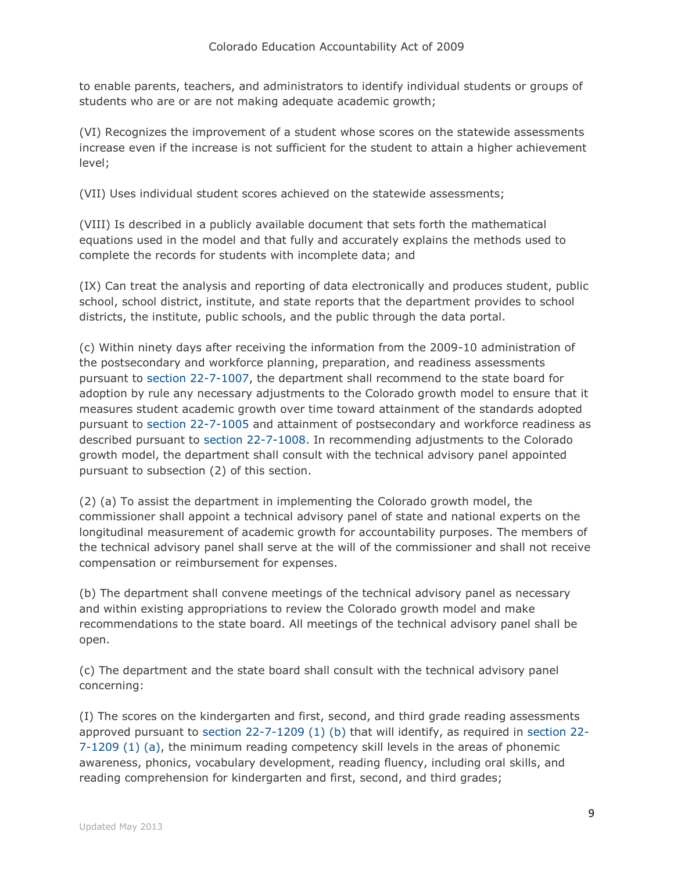to enable parents, teachers, and administrators to identify individual students or groups of students who are or are not making adequate academic growth;

(VI) Recognizes the improvement of a student whose scores on the statewide assessments increase even if the increase is not sufficient for the student to attain a higher achievement level;

(VII) Uses individual student scores achieved on the statewide assessments;

(VIII) Is described in a publicly available document that sets forth the mathematical equations used in the model and that fully and accurately explains the methods used to complete the records for students with incomplete data; and

(IX) Can treat the analysis and reporting of data electronically and produces student, public school, school district, institute, and state reports that the department provides to school districts, the institute, public schools, and the public through the data portal.

(c) Within ninety days after receiving the information from the 2009-10 administration of the postsecondary and workforce planning, preparation, and readiness assessments pursuant to [section 22-7-1007,](http://web.lexisnexis.com/research/buttonTFLink?_m=112aca90feaa97d075990a6d1a592bdc&_xfercite=%3ccite%20cc%3d%22USA%22%3e%3c%21%5bCDATA%5bC.R.S.%2022-11-202%5d%5d%3e%3c%2fcite%3e&_butType=4&_butStat=0&_butNum=2&_butInline=1&_butinfo=COCODE%2022-7-1007&_fmtstr=FULL&docnum=1&_startdoc=1&wchp=dGLzVzk-zSkAl&_md5=23a3c5a8f5257975f4d7e1ccea78d98a) the department shall recommend to the state board for adoption by rule any necessary adjustments to the Colorado growth model to ensure that it measures student academic growth over time toward attainment of the standards adopted pursuant to [section 22-7-1005](http://web.lexisnexis.com/research/buttonTFLink?_m=112aca90feaa97d075990a6d1a592bdc&_xfercite=%3ccite%20cc%3d%22USA%22%3e%3c%21%5bCDATA%5bC.R.S.%2022-11-202%5d%5d%3e%3c%2fcite%3e&_butType=4&_butStat=0&_butNum=3&_butInline=1&_butinfo=COCODE%2022-7-1005&_fmtstr=FULL&docnum=1&_startdoc=1&wchp=dGLzVzk-zSkAl&_md5=7f7d6dc97e50a53c60489b85bb7165f2) and attainment of postsecondary and workforce readiness as described pursuant to [section 22-7-1008.](http://web.lexisnexis.com/research/buttonTFLink?_m=112aca90feaa97d075990a6d1a592bdc&_xfercite=%3ccite%20cc%3d%22USA%22%3e%3c%21%5bCDATA%5bC.R.S.%2022-11-202%5d%5d%3e%3c%2fcite%3e&_butType=4&_butStat=0&_butNum=4&_butInline=1&_butinfo=COCODE%2022-7-1008&_fmtstr=FULL&docnum=1&_startdoc=1&wchp=dGLzVzk-zSkAl&_md5=cdcf8db2185f6de7c9b05031b665cecc) In recommending adjustments to the Colorado growth model, the department shall consult with the technical advisory panel appointed pursuant to subsection (2) of this section.

(2) (a) To assist the department in implementing the Colorado growth model, the commissioner shall appoint a technical advisory panel of state and national experts on the longitudinal measurement of academic growth for accountability purposes. The members of the technical advisory panel shall serve at the will of the commissioner and shall not receive compensation or reimbursement for expenses.

(b) The department shall convene meetings of the technical advisory panel as necessary and within existing appropriations to review the Colorado growth model and make recommendations to the state board. All meetings of the technical advisory panel shall be open.

(c) The department and the state board shall consult with the technical advisory panel concerning:

(I) The scores on the kindergarten and first, second, and third grade reading assessments approved pursuant to [section 22-7-1209 \(1\) \(b\)](http://web.lexisnexis.com/research/buttonTFLink?_m=112aca90feaa97d075990a6d1a592bdc&_xfercite=%3ccite%20cc%3d%22USA%22%3e%3c%21%5bCDATA%5bC.R.S.%2022-11-202%5d%5d%3e%3c%2fcite%3e&_butType=4&_butStat=0&_butNum=5&_butInline=1&_butinfo=COCODE%2022-7-1209&_fmtstr=FULL&docnum=1&_startdoc=1&wchp=dGLzVzk-zSkAl&_md5=57a604b517f05439bab15ae5a9fdb463) that will identify, as required in [section 22-](http://web.lexisnexis.com/research/buttonTFLink?_m=112aca90feaa97d075990a6d1a592bdc&_xfercite=%3ccite%20cc%3d%22USA%22%3e%3c%21%5bCDATA%5bC.R.S.%2022-11-202%5d%5d%3e%3c%2fcite%3e&_butType=4&_butStat=0&_butNum=6&_butInline=1&_butinfo=COCODE%2022-7-1209&_fmtstr=FULL&docnum=1&_startdoc=1&wchp=dGLzVzk-zSkAl&_md5=c491c6d287ae87c0dba1d68a19b3624a) [7-1209 \(1\) \(a\),](http://web.lexisnexis.com/research/buttonTFLink?_m=112aca90feaa97d075990a6d1a592bdc&_xfercite=%3ccite%20cc%3d%22USA%22%3e%3c%21%5bCDATA%5bC.R.S.%2022-11-202%5d%5d%3e%3c%2fcite%3e&_butType=4&_butStat=0&_butNum=6&_butInline=1&_butinfo=COCODE%2022-7-1209&_fmtstr=FULL&docnum=1&_startdoc=1&wchp=dGLzVzk-zSkAl&_md5=c491c6d287ae87c0dba1d68a19b3624a) the minimum reading competency skill levels in the areas of phonemic awareness, phonics, vocabulary development, reading fluency, including oral skills, and reading comprehension for kindergarten and first, second, and third grades;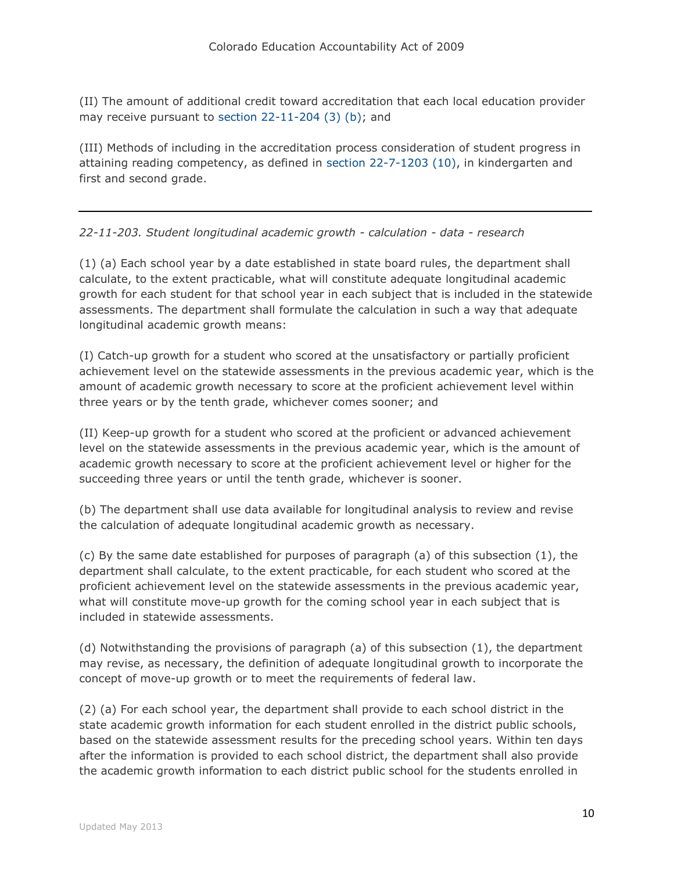(II) The amount of additional credit toward accreditation that each local education provider may receive pursuant to [section 22-11-204 \(3\) \(b\);](http://web.lexisnexis.com/research/buttonTFLink?_m=112aca90feaa97d075990a6d1a592bdc&_xfercite=%3ccite%20cc%3d%22USA%22%3e%3c%21%5bCDATA%5bC.R.S.%2022-11-202%5d%5d%3e%3c%2fcite%3e&_butType=4&_butStat=0&_butNum=7&_butInline=1&_butinfo=COCODE%2022-11-204&_fmtstr=FULL&docnum=1&_startdoc=1&wchp=dGLzVzk-zSkAl&_md5=965dd42cdaa3f18fbc763810ca5026cc) and

(III) Methods of including in the accreditation process consideration of student progress in attaining reading competency, as defined in [section 22-7-1203 \(10\),](http://web.lexisnexis.com/research/buttonTFLink?_m=112aca90feaa97d075990a6d1a592bdc&_xfercite=%3ccite%20cc%3d%22USA%22%3e%3c%21%5bCDATA%5bC.R.S.%2022-11-202%5d%5d%3e%3c%2fcite%3e&_butType=4&_butStat=0&_butNum=8&_butInline=1&_butinfo=COCODE%2022-7-1203&_fmtstr=FULL&docnum=1&_startdoc=1&wchp=dGLzVzk-zSkAl&_md5=5c866da8e8f9ff47ff901a9a6d9d1e96) in kindergarten and first and second grade.

# *22-11-203. Student longitudinal academic growth - calculation - data - research*

(1) (a) Each school year by a date established in state board rules, the department shall calculate, to the extent practicable, what will constitute adequate longitudinal academic growth for each student for that school year in each subject that is included in the statewide assessments. The department shall formulate the calculation in such a way that adequate longitudinal academic growth means:

(I) Catch-up growth for a student who scored at the unsatisfactory or partially proficient achievement level on the statewide assessments in the previous academic year, which is the amount of academic growth necessary to score at the proficient achievement level within three years or by the tenth grade, whichever comes sooner; and

(II) Keep-up growth for a student who scored at the proficient or advanced achievement level on the statewide assessments in the previous academic year, which is the amount of academic growth necessary to score at the proficient achievement level or higher for the succeeding three years or until the tenth grade, whichever is sooner.

(b) The department shall use data available for longitudinal analysis to review and revise the calculation of adequate longitudinal academic growth as necessary.

(c) By the same date established for purposes of paragraph (a) of this subsection (1), the department shall calculate, to the extent practicable, for each student who scored at the proficient achievement level on the statewide assessments in the previous academic year, what will constitute move-up growth for the coming school year in each subject that is included in statewide assessments.

(d) Notwithstanding the provisions of paragraph (a) of this subsection (1), the department may revise, as necessary, the definition of adequate longitudinal growth to incorporate the concept of move-up growth or to meet the requirements of federal law.

(2) (a) For each school year, the department shall provide to each school district in the state academic growth information for each student enrolled in the district public schools, based on the statewide assessment results for the preceding school years. Within ten days after the information is provided to each school district, the department shall also provide the academic growth information to each district public school for the students enrolled in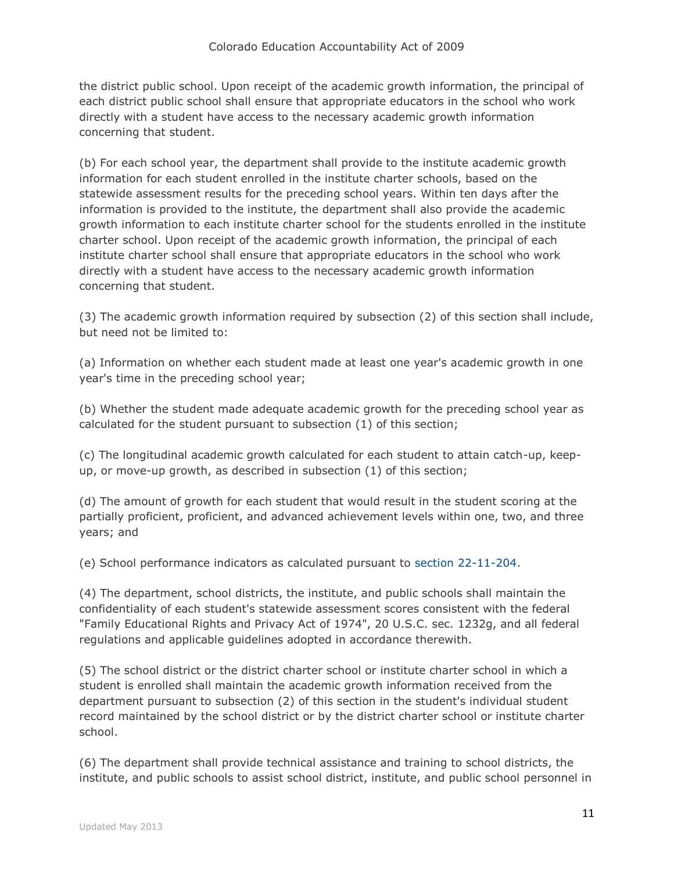the district public school. Upon receipt of the academic growth information, the principal of each district public school shall ensure that appropriate educators in the school who work directly with a student have access to the necessary academic growth information concerning that student.

(b) For each school year, the department shall provide to the institute academic growth information for each student enrolled in the institute charter schools, based on the statewide assessment results for the preceding school years. Within ten days after the information is provided to the institute, the department shall also provide the academic growth information to each institute charter school for the students enrolled in the institute charter school. Upon receipt of the academic growth information, the principal of each institute charter school shall ensure that appropriate educators in the school who work directly with a student have access to the necessary academic growth information concerning that student.

(3) The academic growth information required by subsection (2) of this section shall include, but need not be limited to:

(a) Information on whether each student made at least one year's academic growth in one year's time in the preceding school year;

(b) Whether the student made adequate academic growth for the preceding school year as calculated for the student pursuant to subsection (1) of this section;

(c) The longitudinal academic growth calculated for each student to attain catch-up, keepup, or move-up growth, as described in subsection (1) of this section;

(d) The amount of growth for each student that would result in the student scoring at the partially proficient, proficient, and advanced achievement levels within one, two, and three years; and

(e) School performance indicators as calculated pursuant to [section 22-11-204.](http://web.lexisnexis.com/research/buttonTFLink?_m=ba1145a3a1eed1918a1511b2247cd873&_xfercite=%3ccite%20cc%3d%22USA%22%3e%3c%21%5bCDATA%5bC.R.S.%2022-11-203%5d%5d%3e%3c%2fcite%3e&_butType=4&_butStat=0&_butNum=2&_butInline=1&_butinfo=COCODE%2022-11-204&_fmtstr=FULL&docnum=1&_startdoc=1&wchp=dGLzVzk-zSkAl&_md5=bd33119d8069804c7e7d7597f8d0e095)

(4) The department, school districts, the institute, and public schools shall maintain the confidentiality of each student's statewide assessment scores consistent with the federal "Family Educational Rights and Privacy Act of 1974", 20 U.S.C. sec. 1232g, and all federal regulations and applicable guidelines adopted in accordance therewith.

(5) The school district or the district charter school or institute charter school in which a student is enrolled shall maintain the academic growth information received from the department pursuant to subsection (2) of this section in the student's individual student record maintained by the school district or by the district charter school or institute charter school.

(6) The department shall provide technical assistance and training to school districts, the institute, and public schools to assist school district, institute, and public school personnel in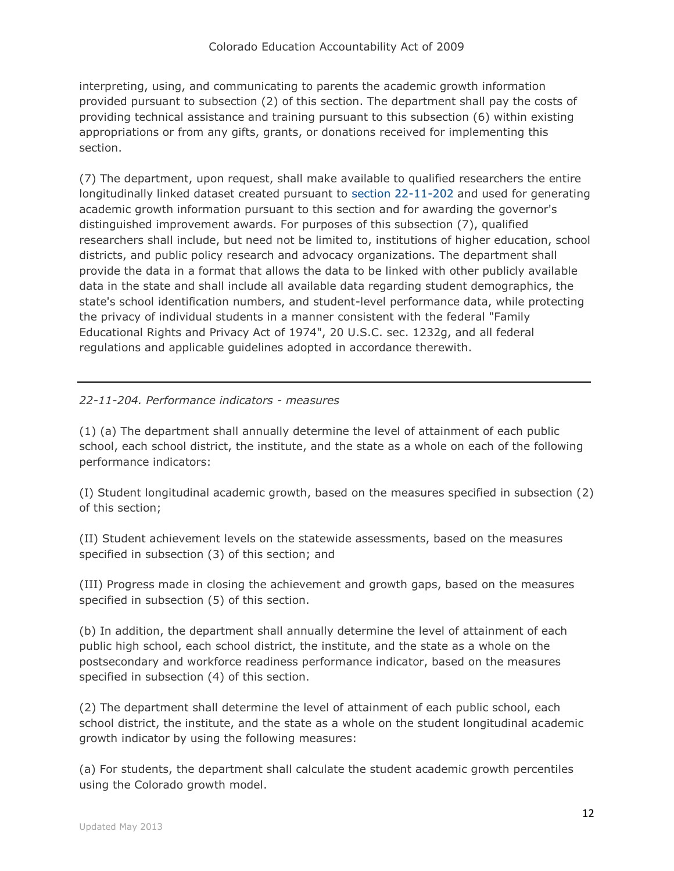interpreting, using, and communicating to parents the academic growth information provided pursuant to subsection (2) of this section. The department shall pay the costs of providing technical assistance and training pursuant to this subsection (6) within existing appropriations or from any gifts, grants, or donations received for implementing this section.

(7) The department, upon request, shall make available to qualified researchers the entire longitudinally linked dataset created pursuant to [section 22-11-202](http://web.lexisnexis.com/research/buttonTFLink?_m=ba1145a3a1eed1918a1511b2247cd873&_xfercite=%3ccite%20cc%3d%22USA%22%3e%3c%21%5bCDATA%5bC.R.S.%2022-11-203%5d%5d%3e%3c%2fcite%3e&_butType=4&_butStat=0&_butNum=4&_butInline=1&_butinfo=COCODE%2022-11-202&_fmtstr=FULL&docnum=1&_startdoc=1&wchp=dGLzVzk-zSkAl&_md5=bc2ef38b162b9beb138a204346ab0021) and used for generating academic growth information pursuant to this section and for awarding the governor's distinguished improvement awards. For purposes of this subsection (7), qualified researchers shall include, but need not be limited to, institutions of higher education, school districts, and public policy research and advocacy organizations. The department shall provide the data in a format that allows the data to be linked with other publicly available data in the state and shall include all available data regarding student demographics, the state's school identification numbers, and student-level performance data, while protecting the privacy of individual students in a manner consistent with the federal "Family Educational Rights and Privacy Act of 1974", 20 U.S.C. sec. 1232g, and all federal regulations and applicable guidelines adopted in accordance therewith.

# *22-11-204. Performance indicators - measures*

(1) (a) The department shall annually determine the level of attainment of each public school, each school district, the institute, and the state as a whole on each of the following performance indicators:

(I) Student longitudinal academic growth, based on the measures specified in subsection (2) of this section;

(II) Student achievement levels on the statewide assessments, based on the measures specified in subsection (3) of this section; and

(III) Progress made in closing the achievement and growth gaps, based on the measures specified in subsection (5) of this section.

(b) In addition, the department shall annually determine the level of attainment of each public high school, each school district, the institute, and the state as a whole on the postsecondary and workforce readiness performance indicator, based on the measures specified in subsection (4) of this section.

(2) The department shall determine the level of attainment of each public school, each school district, the institute, and the state as a whole on the student longitudinal academic growth indicator by using the following measures:

(a) For students, the department shall calculate the student academic growth percentiles using the Colorado growth model.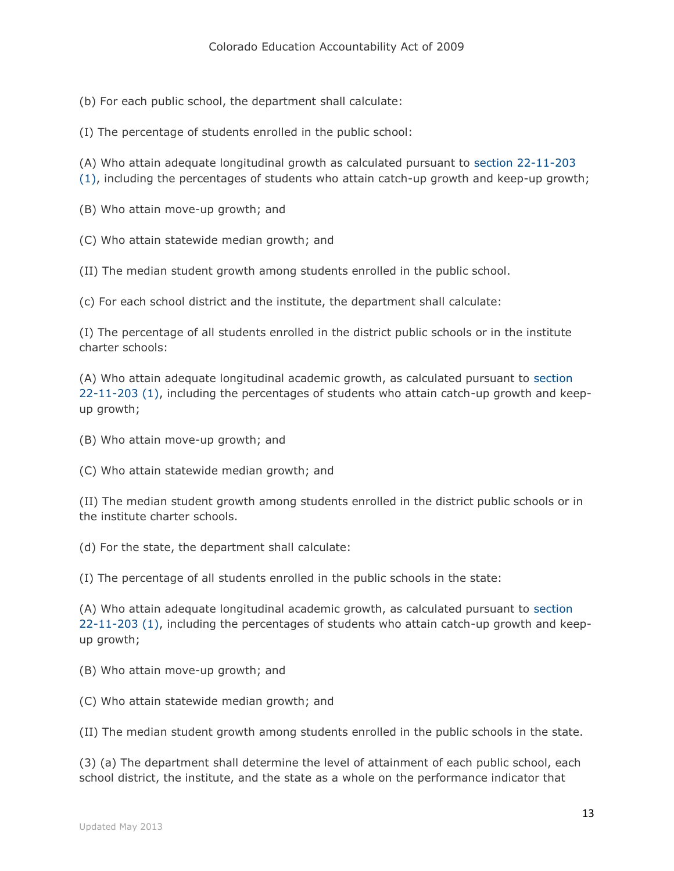(b) For each public school, the department shall calculate:

(I) The percentage of students enrolled in the public school:

(A) Who attain adequate longitudinal growth as calculated pursuant to [section 22-11-203](http://web.lexisnexis.com/research/buttonTFLink?_m=e79335bdcf455dbedaf3cb42e1881cf9&_xfercite=%3ccite%20cc%3d%22USA%22%3e%3c%21%5bCDATA%5bC.R.S.%2022-11-204%5d%5d%3e%3c%2fcite%3e&_butType=4&_butStat=0&_butNum=2&_butInline=1&_butinfo=COCODE%2022-11-203&_fmtstr=FULL&docnum=1&_startdoc=1&wchp=dGLzVzk-zSkAl&_md5=3ecaf3fb4ad0ace46353fc012a4a807f) 

[\(1\),](http://web.lexisnexis.com/research/buttonTFLink?_m=e79335bdcf455dbedaf3cb42e1881cf9&_xfercite=%3ccite%20cc%3d%22USA%22%3e%3c%21%5bCDATA%5bC.R.S.%2022-11-204%5d%5d%3e%3c%2fcite%3e&_butType=4&_butStat=0&_butNum=2&_butInline=1&_butinfo=COCODE%2022-11-203&_fmtstr=FULL&docnum=1&_startdoc=1&wchp=dGLzVzk-zSkAl&_md5=3ecaf3fb4ad0ace46353fc012a4a807f) including the percentages of students who attain catch-up growth and keep-up growth;

(B) Who attain move-up growth; and

(C) Who attain statewide median growth; and

(II) The median student growth among students enrolled in the public school.

(c) For each school district and the institute, the department shall calculate:

(I) The percentage of all students enrolled in the district public schools or in the institute charter schools:

(A) Who attain adequate longitudinal academic growth, as calculated pursuant to [section](http://web.lexisnexis.com/research/buttonTFLink?_m=e79335bdcf455dbedaf3cb42e1881cf9&_xfercite=%3ccite%20cc%3d%22USA%22%3e%3c%21%5bCDATA%5bC.R.S.%2022-11-204%5d%5d%3e%3c%2fcite%3e&_butType=4&_butStat=0&_butNum=3&_butInline=1&_butinfo=COCODE%2022-11-203&_fmtstr=FULL&docnum=1&_startdoc=1&wchp=dGLzVzk-zSkAl&_md5=5f8e2fe91e79678f532b000602710890)  [22-11-203 \(1\),](http://web.lexisnexis.com/research/buttonTFLink?_m=e79335bdcf455dbedaf3cb42e1881cf9&_xfercite=%3ccite%20cc%3d%22USA%22%3e%3c%21%5bCDATA%5bC.R.S.%2022-11-204%5d%5d%3e%3c%2fcite%3e&_butType=4&_butStat=0&_butNum=3&_butInline=1&_butinfo=COCODE%2022-11-203&_fmtstr=FULL&docnum=1&_startdoc=1&wchp=dGLzVzk-zSkAl&_md5=5f8e2fe91e79678f532b000602710890) including the percentages of students who attain catch-up growth and keepup growth;

(B) Who attain move-up growth; and

(C) Who attain statewide median growth; and

(II) The median student growth among students enrolled in the district public schools or in the institute charter schools.

(d) For the state, the department shall calculate:

(I) The percentage of all students enrolled in the public schools in the state:

(A) Who attain adequate longitudinal academic growth, as calculated pursuant to [section](http://web.lexisnexis.com/research/buttonTFLink?_m=e79335bdcf455dbedaf3cb42e1881cf9&_xfercite=%3ccite%20cc%3d%22USA%22%3e%3c%21%5bCDATA%5bC.R.S.%2022-11-204%5d%5d%3e%3c%2fcite%3e&_butType=4&_butStat=0&_butNum=4&_butInline=1&_butinfo=COCODE%2022-11-203&_fmtstr=FULL&docnum=1&_startdoc=1&wchp=dGLzVzk-zSkAl&_md5=293215a667d15344db096000a009650a)  [22-11-203 \(1\),](http://web.lexisnexis.com/research/buttonTFLink?_m=e79335bdcf455dbedaf3cb42e1881cf9&_xfercite=%3ccite%20cc%3d%22USA%22%3e%3c%21%5bCDATA%5bC.R.S.%2022-11-204%5d%5d%3e%3c%2fcite%3e&_butType=4&_butStat=0&_butNum=4&_butInline=1&_butinfo=COCODE%2022-11-203&_fmtstr=FULL&docnum=1&_startdoc=1&wchp=dGLzVzk-zSkAl&_md5=293215a667d15344db096000a009650a) including the percentages of students who attain catch-up growth and keepup growth;

(B) Who attain move-up growth; and

(C) Who attain statewide median growth; and

(II) The median student growth among students enrolled in the public schools in the state.

(3) (a) The department shall determine the level of attainment of each public school, each school district, the institute, and the state as a whole on the performance indicator that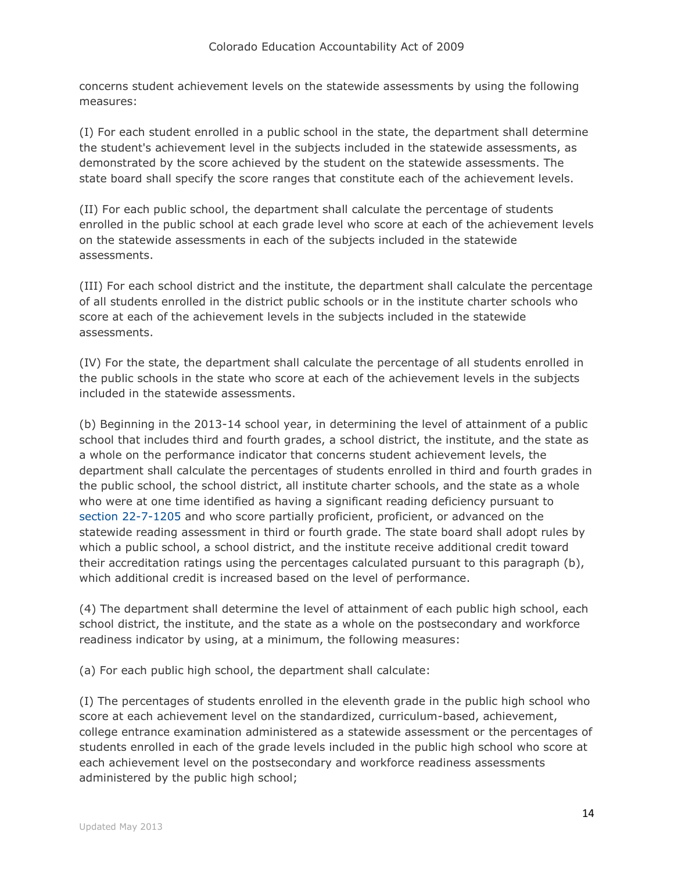concerns student achievement levels on the statewide assessments by using the following measures:

(I) For each student enrolled in a public school in the state, the department shall determine the student's achievement level in the subjects included in the statewide assessments, as demonstrated by the score achieved by the student on the statewide assessments. The state board shall specify the score ranges that constitute each of the achievement levels.

(II) For each public school, the department shall calculate the percentage of students enrolled in the public school at each grade level who score at each of the achievement levels on the statewide assessments in each of the subjects included in the statewide assessments.

(III) For each school district and the institute, the department shall calculate the percentage of all students enrolled in the district public schools or in the institute charter schools who score at each of the achievement levels in the subjects included in the statewide assessments.

(IV) For the state, the department shall calculate the percentage of all students enrolled in the public schools in the state who score at each of the achievement levels in the subjects included in the statewide assessments.

(b) Beginning in the 2013-14 school year, in determining the level of attainment of a public school that includes third and fourth grades, a school district, the institute, and the state as a whole on the performance indicator that concerns student achievement levels, the department shall calculate the percentages of students enrolled in third and fourth grades in the public school, the school district, all institute charter schools, and the state as a whole who were at one time identified as having a significant reading deficiency pursuant to [section 22-7-1205](http://web.lexisnexis.com/research/buttonTFLink?_m=e79335bdcf455dbedaf3cb42e1881cf9&_xfercite=%3ccite%20cc%3d%22USA%22%3e%3c%21%5bCDATA%5bC.R.S.%2022-11-204%5d%5d%3e%3c%2fcite%3e&_butType=4&_butStat=0&_butNum=5&_butInline=1&_butinfo=COCODE%2022-7-1205&_fmtstr=FULL&docnum=1&_startdoc=1&wchp=dGLzVzk-zSkAl&_md5=637b0ac3f50e95966cb8120119819ace) and who score partially proficient, proficient, or advanced on the statewide reading assessment in third or fourth grade. The state board shall adopt rules by which a public school, a school district, and the institute receive additional credit toward their accreditation ratings using the percentages calculated pursuant to this paragraph (b), which additional credit is increased based on the level of performance.

(4) The department shall determine the level of attainment of each public high school, each school district, the institute, and the state as a whole on the postsecondary and workforce readiness indicator by using, at a minimum, the following measures:

(a) For each public high school, the department shall calculate:

(I) The percentages of students enrolled in the eleventh grade in the public high school who score at each achievement level on the standardized, curriculum-based, achievement, college entrance examination administered as a statewide assessment or the percentages of students enrolled in each of the grade levels included in the public high school who score at each achievement level on the postsecondary and workforce readiness assessments administered by the public high school;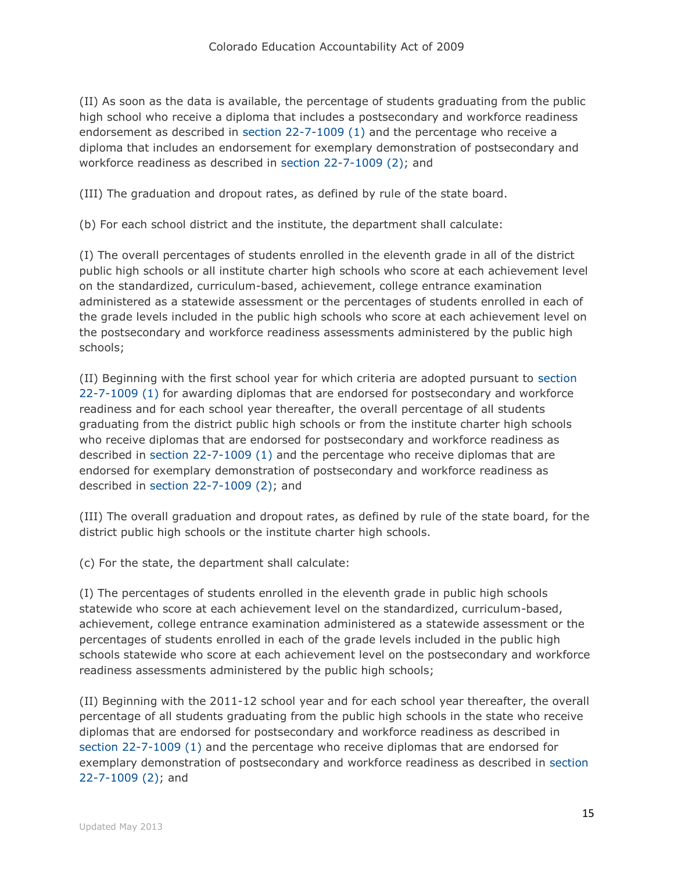(II) As soon as the data is available, the percentage of students graduating from the public high school who receive a diploma that includes a postsecondary and workforce readiness endorsement as described in [section 22-7-1009 \(1\)](http://web.lexisnexis.com/research/buttonTFLink?_m=e79335bdcf455dbedaf3cb42e1881cf9&_xfercite=%3ccite%20cc%3d%22USA%22%3e%3c%21%5bCDATA%5bC.R.S.%2022-11-204%5d%5d%3e%3c%2fcite%3e&_butType=4&_butStat=0&_butNum=6&_butInline=1&_butinfo=COCODE%2022-7-1009&_fmtstr=FULL&docnum=1&_startdoc=1&wchp=dGLzVzk-zSkAl&_md5=ecae25a142c23c9919200e27a13ddb23) and the percentage who receive a diploma that includes an endorsement for exemplary demonstration of postsecondary and workforce readiness as described in [section 22-7-1009 \(2\);](http://web.lexisnexis.com/research/buttonTFLink?_m=e79335bdcf455dbedaf3cb42e1881cf9&_xfercite=%3ccite%20cc%3d%22USA%22%3e%3c%21%5bCDATA%5bC.R.S.%2022-11-204%5d%5d%3e%3c%2fcite%3e&_butType=4&_butStat=0&_butNum=7&_butInline=1&_butinfo=COCODE%2022-7-1009&_fmtstr=FULL&docnum=1&_startdoc=1&wchp=dGLzVzk-zSkAl&_md5=7fd7dafb4cfaa46b103e5cb76c8ed376) and

(III) The graduation and dropout rates, as defined by rule of the state board.

(b) For each school district and the institute, the department shall calculate:

(I) The overall percentages of students enrolled in the eleventh grade in all of the district public high schools or all institute charter high schools who score at each achievement level on the standardized, curriculum-based, achievement, college entrance examination administered as a statewide assessment or the percentages of students enrolled in each of the grade levels included in the public high schools who score at each achievement level on the postsecondary and workforce readiness assessments administered by the public high schools;

(II) Beginning with the first school year for which criteria are adopted pursuant to [section](http://web.lexisnexis.com/research/buttonTFLink?_m=e79335bdcf455dbedaf3cb42e1881cf9&_xfercite=%3ccite%20cc%3d%22USA%22%3e%3c%21%5bCDATA%5bC.R.S.%2022-11-204%5d%5d%3e%3c%2fcite%3e&_butType=4&_butStat=0&_butNum=8&_butInline=1&_butinfo=COCODE%2022-7-1009&_fmtstr=FULL&docnum=1&_startdoc=1&wchp=dGLzVzk-zSkAl&_md5=538d30e9e0afaa968cb019ef22c351f3)  [22-7-1009 \(1\)](http://web.lexisnexis.com/research/buttonTFLink?_m=e79335bdcf455dbedaf3cb42e1881cf9&_xfercite=%3ccite%20cc%3d%22USA%22%3e%3c%21%5bCDATA%5bC.R.S.%2022-11-204%5d%5d%3e%3c%2fcite%3e&_butType=4&_butStat=0&_butNum=8&_butInline=1&_butinfo=COCODE%2022-7-1009&_fmtstr=FULL&docnum=1&_startdoc=1&wchp=dGLzVzk-zSkAl&_md5=538d30e9e0afaa968cb019ef22c351f3) for awarding diplomas that are endorsed for postsecondary and workforce readiness and for each school year thereafter, the overall percentage of all students graduating from the district public high schools or from the institute charter high schools who receive diplomas that are endorsed for postsecondary and workforce readiness as described in [section 22-7-1009 \(1\)](http://web.lexisnexis.com/research/buttonTFLink?_m=e79335bdcf455dbedaf3cb42e1881cf9&_xfercite=%3ccite%20cc%3d%22USA%22%3e%3c%21%5bCDATA%5bC.R.S.%2022-11-204%5d%5d%3e%3c%2fcite%3e&_butType=4&_butStat=0&_butNum=9&_butInline=1&_butinfo=COCODE%2022-7-1009&_fmtstr=FULL&docnum=1&_startdoc=1&wchp=dGLzVzk-zSkAl&_md5=acb9aeb03bab49efae1c0efcf18f821c) and the percentage who receive diplomas that are endorsed for exemplary demonstration of postsecondary and workforce readiness as described in [section 22-7-1009 \(2\);](http://web.lexisnexis.com/research/buttonTFLink?_m=e79335bdcf455dbedaf3cb42e1881cf9&_xfercite=%3ccite%20cc%3d%22USA%22%3e%3c%21%5bCDATA%5bC.R.S.%2022-11-204%5d%5d%3e%3c%2fcite%3e&_butType=4&_butStat=0&_butNum=10&_butInline=1&_butinfo=COCODE%2022-7-1009&_fmtstr=FULL&docnum=1&_startdoc=1&wchp=dGLzVzk-zSkAl&_md5=34828835855c2aee74b93aee0166c0c3) and

(III) The overall graduation and dropout rates, as defined by rule of the state board, for the district public high schools or the institute charter high schools.

(c) For the state, the department shall calculate:

(I) The percentages of students enrolled in the eleventh grade in public high schools statewide who score at each achievement level on the standardized, curriculum-based, achievement, college entrance examination administered as a statewide assessment or the percentages of students enrolled in each of the grade levels included in the public high schools statewide who score at each achievement level on the postsecondary and workforce readiness assessments administered by the public high schools;

(II) Beginning with the 2011-12 school year and for each school year thereafter, the overall percentage of all students graduating from the public high schools in the state who receive diplomas that are endorsed for postsecondary and workforce readiness as described in [section 22-7-1009 \(1\)](http://web.lexisnexis.com/research/buttonTFLink?_m=e79335bdcf455dbedaf3cb42e1881cf9&_xfercite=%3ccite%20cc%3d%22USA%22%3e%3c%21%5bCDATA%5bC.R.S.%2022-11-204%5d%5d%3e%3c%2fcite%3e&_butType=4&_butStat=0&_butNum=11&_butInline=1&_butinfo=COCODE%2022-7-1009&_fmtstr=FULL&docnum=1&_startdoc=1&wchp=dGLzVzk-zSkAl&_md5=55d4454453ebe052b9834fc26d58c929) and the percentage who receive diplomas that are endorsed for exemplary demonstration of postsecondary and workforce readiness as described in [section](http://web.lexisnexis.com/research/buttonTFLink?_m=e79335bdcf455dbedaf3cb42e1881cf9&_xfercite=%3ccite%20cc%3d%22USA%22%3e%3c%21%5bCDATA%5bC.R.S.%2022-11-204%5d%5d%3e%3c%2fcite%3e&_butType=4&_butStat=0&_butNum=12&_butInline=1&_butinfo=COCODE%2022-7-1009&_fmtstr=FULL&docnum=1&_startdoc=1&wchp=dGLzVzk-zSkAl&_md5=ba2aeea7b69dda7a7f1e9ff0bca18edc)  [22-7-1009 \(2\);](http://web.lexisnexis.com/research/buttonTFLink?_m=e79335bdcf455dbedaf3cb42e1881cf9&_xfercite=%3ccite%20cc%3d%22USA%22%3e%3c%21%5bCDATA%5bC.R.S.%2022-11-204%5d%5d%3e%3c%2fcite%3e&_butType=4&_butStat=0&_butNum=12&_butInline=1&_butinfo=COCODE%2022-7-1009&_fmtstr=FULL&docnum=1&_startdoc=1&wchp=dGLzVzk-zSkAl&_md5=ba2aeea7b69dda7a7f1e9ff0bca18edc) and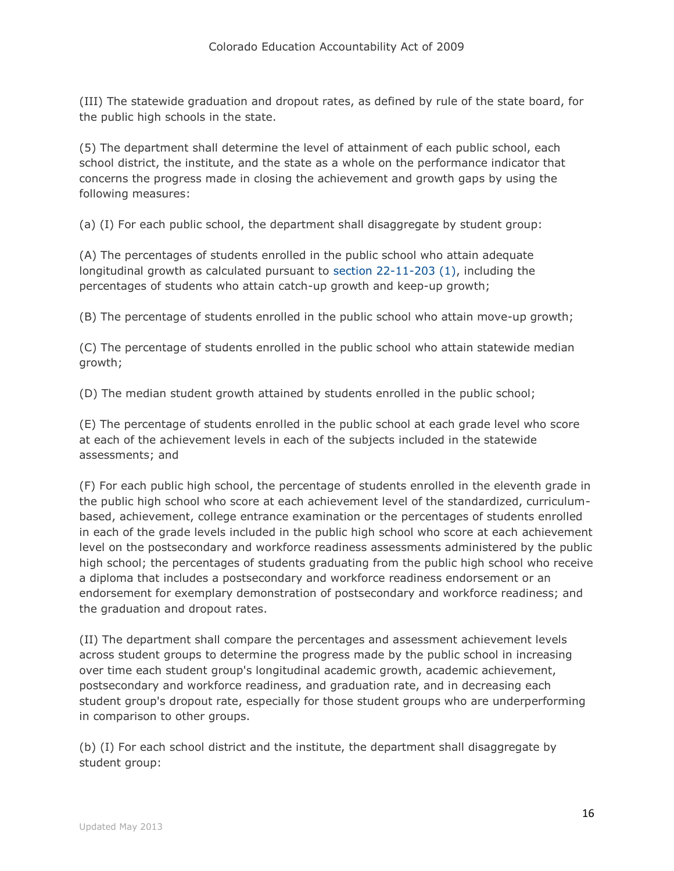(III) The statewide graduation and dropout rates, as defined by rule of the state board, for the public high schools in the state.

(5) The department shall determine the level of attainment of each public school, each school district, the institute, and the state as a whole on the performance indicator that concerns the progress made in closing the achievement and growth gaps by using the following measures:

(a) (I) For each public school, the department shall disaggregate by student group:

(A) The percentages of students enrolled in the public school who attain adequate longitudinal growth as calculated pursuant to [section 22-11-203 \(1\),](http://web.lexisnexis.com/research/buttonTFLink?_m=e79335bdcf455dbedaf3cb42e1881cf9&_xfercite=%3ccite%20cc%3d%22USA%22%3e%3c%21%5bCDATA%5bC.R.S.%2022-11-204%5d%5d%3e%3c%2fcite%3e&_butType=4&_butStat=0&_butNum=13&_butInline=1&_butinfo=COCODE%2022-11-203&_fmtstr=FULL&docnum=1&_startdoc=1&wchp=dGLzVzk-zSkAl&_md5=94a0ac6e3b30b79f899f511133994909) including the percentages of students who attain catch-up growth and keep-up growth;

(B) The percentage of students enrolled in the public school who attain move-up growth;

(C) The percentage of students enrolled in the public school who attain statewide median growth;

(D) The median student growth attained by students enrolled in the public school;

(E) The percentage of students enrolled in the public school at each grade level who score at each of the achievement levels in each of the subjects included in the statewide assessments; and

(F) For each public high school, the percentage of students enrolled in the eleventh grade in the public high school who score at each achievement level of the standardized, curriculumbased, achievement, college entrance examination or the percentages of students enrolled in each of the grade levels included in the public high school who score at each achievement level on the postsecondary and workforce readiness assessments administered by the public high school; the percentages of students graduating from the public high school who receive a diploma that includes a postsecondary and workforce readiness endorsement or an endorsement for exemplary demonstration of postsecondary and workforce readiness; and the graduation and dropout rates.

(II) The department shall compare the percentages and assessment achievement levels across student groups to determine the progress made by the public school in increasing over time each student group's longitudinal academic growth, academic achievement, postsecondary and workforce readiness, and graduation rate, and in decreasing each student group's dropout rate, especially for those student groups who are underperforming in comparison to other groups.

(b) (I) For each school district and the institute, the department shall disaggregate by student group: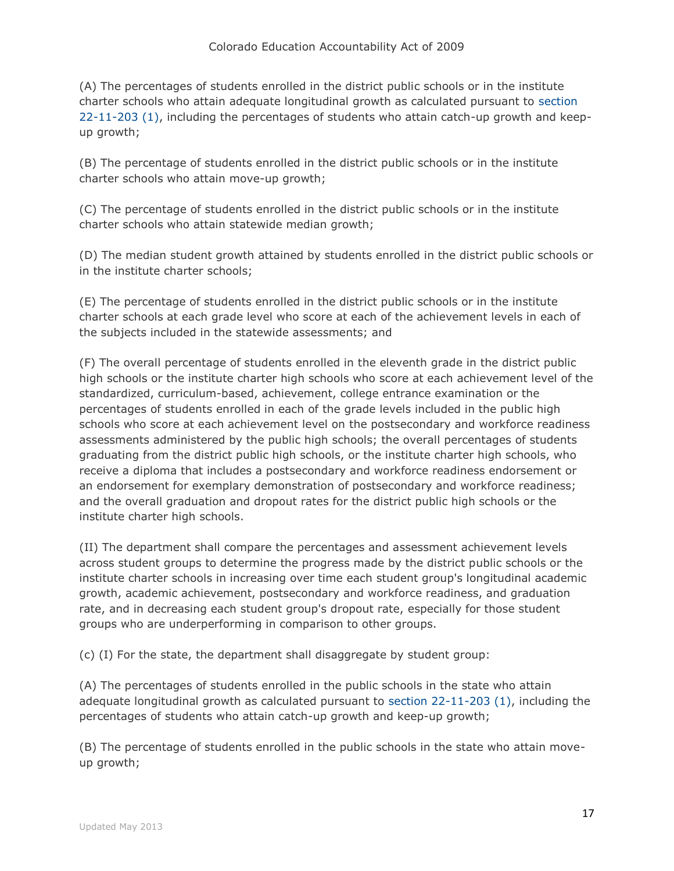(A) The percentages of students enrolled in the district public schools or in the institute charter schools who attain adequate longitudinal growth as calculated pursuant to [section](http://web.lexisnexis.com/research/buttonTFLink?_m=e79335bdcf455dbedaf3cb42e1881cf9&_xfercite=%3ccite%20cc%3d%22USA%22%3e%3c%21%5bCDATA%5bC.R.S.%2022-11-204%5d%5d%3e%3c%2fcite%3e&_butType=4&_butStat=0&_butNum=14&_butInline=1&_butinfo=COCODE%2022-11-203&_fmtstr=FULL&docnum=1&_startdoc=1&wchp=dGLzVzk-zSkAl&_md5=5459ef54d12ff0f3d306502c9887e286)  [22-11-203 \(1\),](http://web.lexisnexis.com/research/buttonTFLink?_m=e79335bdcf455dbedaf3cb42e1881cf9&_xfercite=%3ccite%20cc%3d%22USA%22%3e%3c%21%5bCDATA%5bC.R.S.%2022-11-204%5d%5d%3e%3c%2fcite%3e&_butType=4&_butStat=0&_butNum=14&_butInline=1&_butinfo=COCODE%2022-11-203&_fmtstr=FULL&docnum=1&_startdoc=1&wchp=dGLzVzk-zSkAl&_md5=5459ef54d12ff0f3d306502c9887e286) including the percentages of students who attain catch-up growth and keepup growth;

(B) The percentage of students enrolled in the district public schools or in the institute charter schools who attain move-up growth;

(C) The percentage of students enrolled in the district public schools or in the institute charter schools who attain statewide median growth;

(D) The median student growth attained by students enrolled in the district public schools or in the institute charter schools;

(E) The percentage of students enrolled in the district public schools or in the institute charter schools at each grade level who score at each of the achievement levels in each of the subjects included in the statewide assessments; and

(F) The overall percentage of students enrolled in the eleventh grade in the district public high schools or the institute charter high schools who score at each achievement level of the standardized, curriculum-based, achievement, college entrance examination or the percentages of students enrolled in each of the grade levels included in the public high schools who score at each achievement level on the postsecondary and workforce readiness assessments administered by the public high schools; the overall percentages of students graduating from the district public high schools, or the institute charter high schools, who receive a diploma that includes a postsecondary and workforce readiness endorsement or an endorsement for exemplary demonstration of postsecondary and workforce readiness; and the overall graduation and dropout rates for the district public high schools or the institute charter high schools.

(II) The department shall compare the percentages and assessment achievement levels across student groups to determine the progress made by the district public schools or the institute charter schools in increasing over time each student group's longitudinal academic growth, academic achievement, postsecondary and workforce readiness, and graduation rate, and in decreasing each student group's dropout rate, especially for those student groups who are underperforming in comparison to other groups.

(c) (I) For the state, the department shall disaggregate by student group:

(A) The percentages of students enrolled in the public schools in the state who attain adequate longitudinal growth as calculated pursuant to [section 22-11-203 \(1\),](http://web.lexisnexis.com/research/buttonTFLink?_m=e79335bdcf455dbedaf3cb42e1881cf9&_xfercite=%3ccite%20cc%3d%22USA%22%3e%3c%21%5bCDATA%5bC.R.S.%2022-11-204%5d%5d%3e%3c%2fcite%3e&_butType=4&_butStat=0&_butNum=15&_butInline=1&_butinfo=COCODE%2022-11-203&_fmtstr=FULL&docnum=1&_startdoc=1&wchp=dGLzVzk-zSkAl&_md5=46839c227d86efe6914050cdef41c5d4) including the percentages of students who attain catch-up growth and keep-up growth;

(B) The percentage of students enrolled in the public schools in the state who attain moveup growth;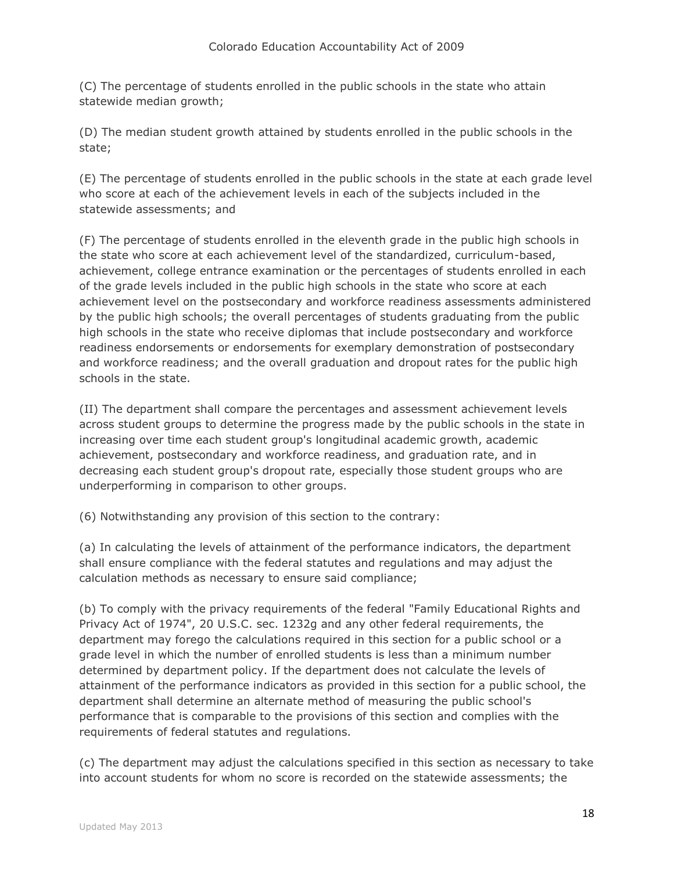(C) The percentage of students enrolled in the public schools in the state who attain statewide median growth;

(D) The median student growth attained by students enrolled in the public schools in the state;

(E) The percentage of students enrolled in the public schools in the state at each grade level who score at each of the achievement levels in each of the subjects included in the statewide assessments; and

(F) The percentage of students enrolled in the eleventh grade in the public high schools in the state who score at each achievement level of the standardized, curriculum-based, achievement, college entrance examination or the percentages of students enrolled in each of the grade levels included in the public high schools in the state who score at each achievement level on the postsecondary and workforce readiness assessments administered by the public high schools; the overall percentages of students graduating from the public high schools in the state who receive diplomas that include postsecondary and workforce readiness endorsements or endorsements for exemplary demonstration of postsecondary and workforce readiness; and the overall graduation and dropout rates for the public high schools in the state.

(II) The department shall compare the percentages and assessment achievement levels across student groups to determine the progress made by the public schools in the state in increasing over time each student group's longitudinal academic growth, academic achievement, postsecondary and workforce readiness, and graduation rate, and in decreasing each student group's dropout rate, especially those student groups who are underperforming in comparison to other groups.

(6) Notwithstanding any provision of this section to the contrary:

(a) In calculating the levels of attainment of the performance indicators, the department shall ensure compliance with the federal statutes and regulations and may adjust the calculation methods as necessary to ensure said compliance;

(b) To comply with the privacy requirements of the federal "Family Educational Rights and Privacy Act of 1974", 20 U.S.C. sec. 1232g and any other federal requirements, the department may forego the calculations required in this section for a public school or a grade level in which the number of enrolled students is less than a minimum number determined by department policy. If the department does not calculate the levels of attainment of the performance indicators as provided in this section for a public school, the department shall determine an alternate method of measuring the public school's performance that is comparable to the provisions of this section and complies with the requirements of federal statutes and regulations.

(c) The department may adjust the calculations specified in this section as necessary to take into account students for whom no score is recorded on the statewide assessments; the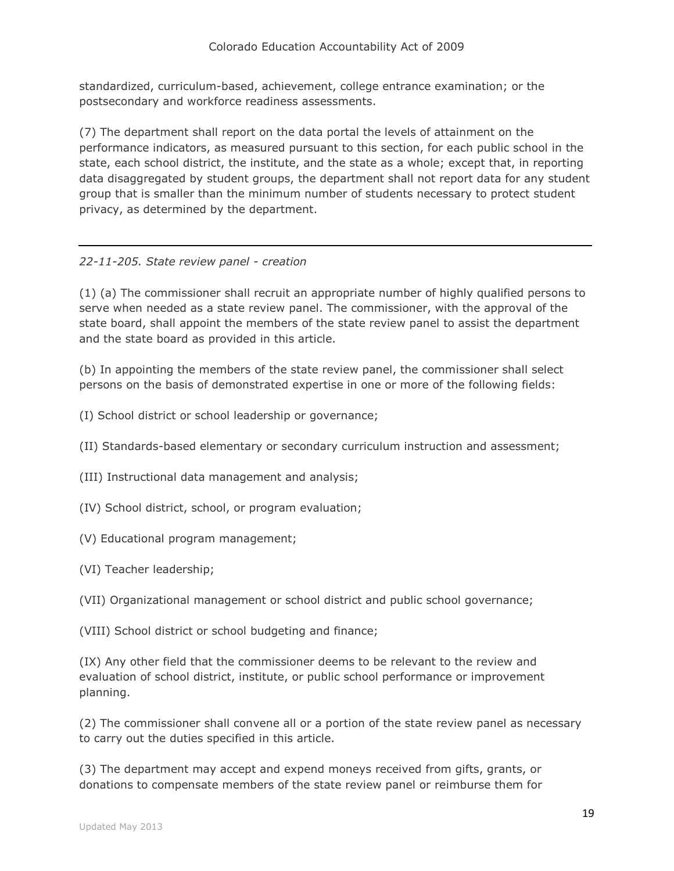standardized, curriculum-based, achievement, college entrance examination; or the postsecondary and workforce readiness assessments.

(7) The department shall report on the data portal the levels of attainment on the performance indicators, as measured pursuant to this section, for each public school in the state, each school district, the institute, and the state as a whole; except that, in reporting data disaggregated by student groups, the department shall not report data for any student group that is smaller than the minimum number of students necessary to protect student privacy, as determined by the department.

## *22-11-205. State review panel - creation*

(1) (a) The commissioner shall recruit an appropriate number of highly qualified persons to serve when needed as a state review panel. The commissioner, with the approval of the state board, shall appoint the members of the state review panel to assist the department and the state board as provided in this article.

(b) In appointing the members of the state review panel, the commissioner shall select persons on the basis of demonstrated expertise in one or more of the following fields:

- (I) School district or school leadership or governance;
- (II) Standards-based elementary or secondary curriculum instruction and assessment;
- (III) Instructional data management and analysis;
- (IV) School district, school, or program evaluation;
- (V) Educational program management;
- (VI) Teacher leadership;
- (VII) Organizational management or school district and public school governance;
- (VIII) School district or school budgeting and finance;

(IX) Any other field that the commissioner deems to be relevant to the review and evaluation of school district, institute, or public school performance or improvement planning.

(2) The commissioner shall convene all or a portion of the state review panel as necessary to carry out the duties specified in this article.

(3) The department may accept and expend moneys received from gifts, grants, or donations to compensate members of the state review panel or reimburse them for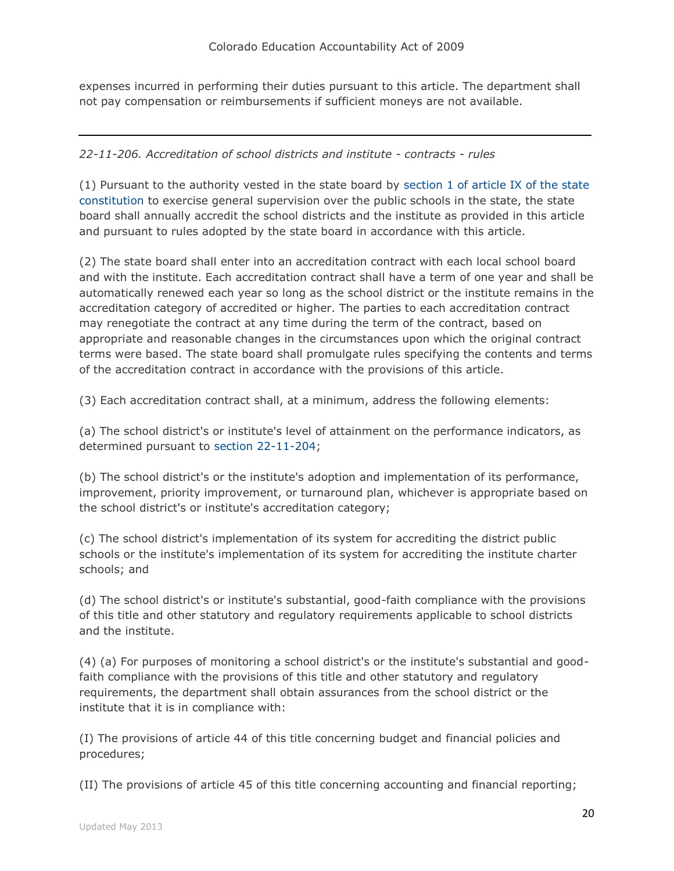expenses incurred in performing their duties pursuant to this article. The department shall not pay compensation or reimbursements if sufficient moneys are not available.

## *22-11-206. Accreditation of school districts and institute - contracts - rules*

(1) Pursuant to the authority vested in the state board by [section 1 of article IX of the state](http://web.lexisnexis.com/research/buttonTFLink?_m=b87ceb7ec1e5666523ea1e30005dc238&_xfercite=%3ccite%20cc%3d%22USA%22%3e%3c%21%5bCDATA%5bC.R.S.%2022-11-206%5d%5d%3e%3c%2fcite%3e&_butType=4&_butStat=0&_butNum=2&_butInline=1&_butinfo=CO%20CONST%20IX%201&_fmtstr=FULL&docnum=1&_startdoc=1&wchp=dGLzVzk-zSkAl&_md5=655a77b7e7974d07f8a68e9a62150465)  [constitution](http://web.lexisnexis.com/research/buttonTFLink?_m=b87ceb7ec1e5666523ea1e30005dc238&_xfercite=%3ccite%20cc%3d%22USA%22%3e%3c%21%5bCDATA%5bC.R.S.%2022-11-206%5d%5d%3e%3c%2fcite%3e&_butType=4&_butStat=0&_butNum=2&_butInline=1&_butinfo=CO%20CONST%20IX%201&_fmtstr=FULL&docnum=1&_startdoc=1&wchp=dGLzVzk-zSkAl&_md5=655a77b7e7974d07f8a68e9a62150465) to exercise general supervision over the public schools in the state, the state board shall annually accredit the school districts and the institute as provided in this article and pursuant to rules adopted by the state board in accordance with this article.

(2) The state board shall enter into an accreditation contract with each local school board and with the institute. Each accreditation contract shall have a term of one year and shall be automatically renewed each year so long as the school district or the institute remains in the accreditation category of accredited or higher. The parties to each accreditation contract may renegotiate the contract at any time during the term of the contract, based on appropriate and reasonable changes in the circumstances upon which the original contract terms were based. The state board shall promulgate rules specifying the contents and terms of the accreditation contract in accordance with the provisions of this article.

(3) Each accreditation contract shall, at a minimum, address the following elements:

(a) The school district's or institute's level of attainment on the performance indicators, as determined pursuant to [section 22-11-204;](http://web.lexisnexis.com/research/buttonTFLink?_m=b87ceb7ec1e5666523ea1e30005dc238&_xfercite=%3ccite%20cc%3d%22USA%22%3e%3c%21%5bCDATA%5bC.R.S.%2022-11-206%5d%5d%3e%3c%2fcite%3e&_butType=4&_butStat=0&_butNum=3&_butInline=1&_butinfo=COCODE%2022-11-204&_fmtstr=FULL&docnum=1&_startdoc=1&wchp=dGLzVzk-zSkAl&_md5=4a8bf657101dcbf48ac1337eb5a57174)

(b) The school district's or the institute's adoption and implementation of its performance, improvement, priority improvement, or turnaround plan, whichever is appropriate based on the school district's or institute's accreditation category;

(c) The school district's implementation of its system for accrediting the district public schools or the institute's implementation of its system for accrediting the institute charter schools; and

(d) The school district's or institute's substantial, good-faith compliance with the provisions of this title and other statutory and regulatory requirements applicable to school districts and the institute.

(4) (a) For purposes of monitoring a school district's or the institute's substantial and goodfaith compliance with the provisions of this title and other statutory and regulatory requirements, the department shall obtain assurances from the school district or the institute that it is in compliance with:

(I) The provisions of article 44 of this title concerning budget and financial policies and procedures;

(II) The provisions of article 45 of this title concerning accounting and financial reporting;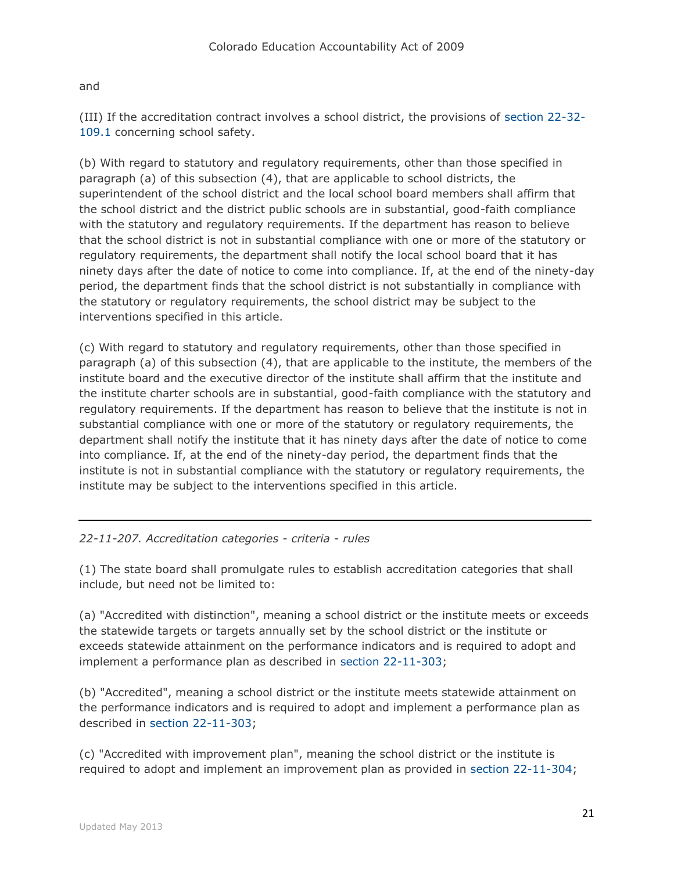## and

(III) If the accreditation contract involves a school district, the provisions of [section 22-32-](http://web.lexisnexis.com/research/buttonTFLink?_m=b87ceb7ec1e5666523ea1e30005dc238&_xfercite=%3ccite%20cc%3d%22USA%22%3e%3c%21%5bCDATA%5bC.R.S.%2022-11-206%5d%5d%3e%3c%2fcite%3e&_butType=4&_butStat=0&_butNum=4&_butInline=1&_butinfo=COCODE%2022-32-109.1&_fmtstr=FULL&docnum=1&_startdoc=1&wchp=dGLzVzk-zSkAl&_md5=9b382bc50a29fb87bbdcb36a4dc664c8) [109.1](http://web.lexisnexis.com/research/buttonTFLink?_m=b87ceb7ec1e5666523ea1e30005dc238&_xfercite=%3ccite%20cc%3d%22USA%22%3e%3c%21%5bCDATA%5bC.R.S.%2022-11-206%5d%5d%3e%3c%2fcite%3e&_butType=4&_butStat=0&_butNum=4&_butInline=1&_butinfo=COCODE%2022-32-109.1&_fmtstr=FULL&docnum=1&_startdoc=1&wchp=dGLzVzk-zSkAl&_md5=9b382bc50a29fb87bbdcb36a4dc664c8) concerning school safety.

(b) With regard to statutory and regulatory requirements, other than those specified in paragraph (a) of this subsection (4), that are applicable to school districts, the superintendent of the school district and the local school board members shall affirm that the school district and the district public schools are in substantial, good-faith compliance with the statutory and regulatory requirements. If the department has reason to believe that the school district is not in substantial compliance with one or more of the statutory or regulatory requirements, the department shall notify the local school board that it has ninety days after the date of notice to come into compliance. If, at the end of the ninety-day period, the department finds that the school district is not substantially in compliance with the statutory or regulatory requirements, the school district may be subject to the interventions specified in this article.

(c) With regard to statutory and regulatory requirements, other than those specified in paragraph (a) of this subsection (4), that are applicable to the institute, the members of the institute board and the executive director of the institute shall affirm that the institute and the institute charter schools are in substantial, good-faith compliance with the statutory and regulatory requirements. If the department has reason to believe that the institute is not in substantial compliance with one or more of the statutory or regulatory requirements, the department shall notify the institute that it has ninety days after the date of notice to come into compliance. If, at the end of the ninety-day period, the department finds that the institute is not in substantial compliance with the statutory or regulatory requirements, the institute may be subject to the interventions specified in this article.

# *22-11-207. Accreditation categories - criteria - rules*

(1) The state board shall promulgate rules to establish accreditation categories that shall include, but need not be limited to:

(a) "Accredited with distinction", meaning a school district or the institute meets or exceeds the statewide targets or targets annually set by the school district or the institute or exceeds statewide attainment on the performance indicators and is required to adopt and implement a performance plan as described in [section 22-11-303;](http://web.lexisnexis.com/research/buttonTFLink?_m=ac5d00dc61e82582b0967a3e542dc38d&_xfercite=%3ccite%20cc%3d%22USA%22%3e%3c%21%5bCDATA%5bC.R.S.%2022-11-207%5d%5d%3e%3c%2fcite%3e&_butType=4&_butStat=0&_butNum=3&_butInline=1&_butinfo=COCODE%2022-11-303&_fmtstr=FULL&docnum=1&_startdoc=1&wchp=dGLzVzk-zSkAl&_md5=32a2931ef9811cffee76eb50d6a326c2)

(b) "Accredited", meaning a school district or the institute meets statewide attainment on the performance indicators and is required to adopt and implement a performance plan as described in [section 22-11-303;](http://web.lexisnexis.com/research/buttonTFLink?_m=ac5d00dc61e82582b0967a3e542dc38d&_xfercite=%3ccite%20cc%3d%22USA%22%3e%3c%21%5bCDATA%5bC.R.S.%2022-11-207%5d%5d%3e%3c%2fcite%3e&_butType=4&_butStat=0&_butNum=4&_butInline=1&_butinfo=COCODE%2022-11-303&_fmtstr=FULL&docnum=1&_startdoc=1&wchp=dGLzVzk-zSkAl&_md5=b28d911bd98e8c213ac32036399487a5)

(c) "Accredited with improvement plan", meaning the school district or the institute is required to adopt and implement an improvement plan as provided in [section 22-11-304;](http://web.lexisnexis.com/research/buttonTFLink?_m=ac5d00dc61e82582b0967a3e542dc38d&_xfercite=%3ccite%20cc%3d%22USA%22%3e%3c%21%5bCDATA%5bC.R.S.%2022-11-207%5d%5d%3e%3c%2fcite%3e&_butType=4&_butStat=0&_butNum=5&_butInline=1&_butinfo=COCODE%2022-11-304&_fmtstr=FULL&docnum=1&_startdoc=1&wchp=dGLzVzk-zSkAl&_md5=8bf995bea65ff577fdc587544bea32f6)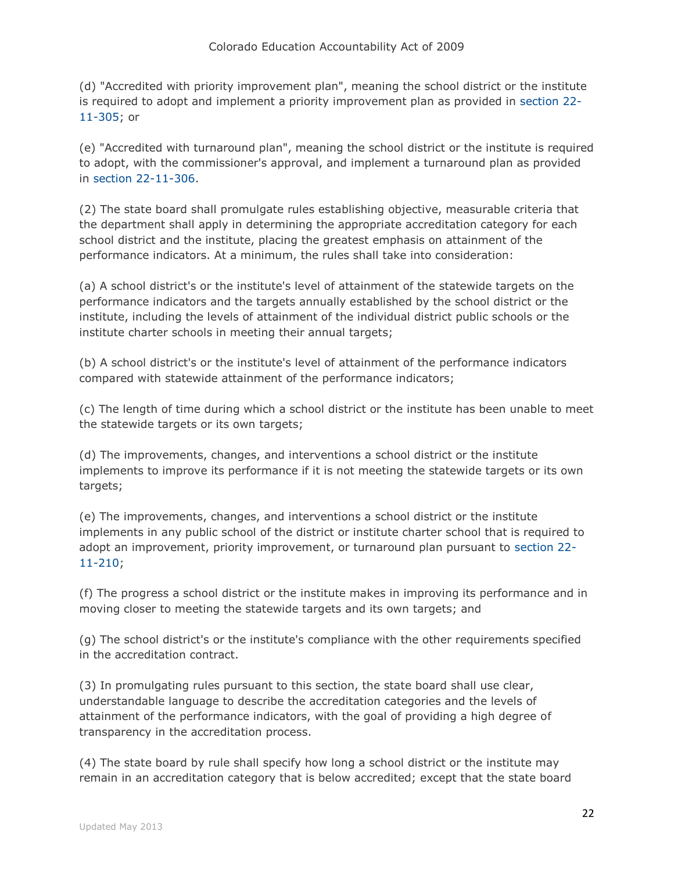(d) "Accredited with priority improvement plan", meaning the school district or the institute is required to adopt and implement a priority improvement plan as provided in [section 22-](http://web.lexisnexis.com/research/buttonTFLink?_m=ac5d00dc61e82582b0967a3e542dc38d&_xfercite=%3ccite%20cc%3d%22USA%22%3e%3c%21%5bCDATA%5bC.R.S.%2022-11-207%5d%5d%3e%3c%2fcite%3e&_butType=4&_butStat=0&_butNum=6&_butInline=1&_butinfo=COCODE%2022-11-305&_fmtstr=FULL&docnum=1&_startdoc=1&wchp=dGLzVzk-zSkAl&_md5=8703bb2624747ea9143f66c9506e432c) [11-305;](http://web.lexisnexis.com/research/buttonTFLink?_m=ac5d00dc61e82582b0967a3e542dc38d&_xfercite=%3ccite%20cc%3d%22USA%22%3e%3c%21%5bCDATA%5bC.R.S.%2022-11-207%5d%5d%3e%3c%2fcite%3e&_butType=4&_butStat=0&_butNum=6&_butInline=1&_butinfo=COCODE%2022-11-305&_fmtstr=FULL&docnum=1&_startdoc=1&wchp=dGLzVzk-zSkAl&_md5=8703bb2624747ea9143f66c9506e432c) or

(e) "Accredited with turnaround plan", meaning the school district or the institute is required to adopt, with the commissioner's approval, and implement a turnaround plan as provided in [section 22-11-306.](http://web.lexisnexis.com/research/buttonTFLink?_m=ac5d00dc61e82582b0967a3e542dc38d&_xfercite=%3ccite%20cc%3d%22USA%22%3e%3c%21%5bCDATA%5bC.R.S.%2022-11-207%5d%5d%3e%3c%2fcite%3e&_butType=4&_butStat=0&_butNum=7&_butInline=1&_butinfo=COCODE%2022-11-306&_fmtstr=FULL&docnum=1&_startdoc=1&wchp=dGLzVzk-zSkAl&_md5=9da3dfd56a009daf08ce3b009f9ea15a)

(2) The state board shall promulgate rules establishing objective, measurable criteria that the department shall apply in determining the appropriate accreditation category for each school district and the institute, placing the greatest emphasis on attainment of the performance indicators. At a minimum, the rules shall take into consideration:

(a) A school district's or the institute's level of attainment of the statewide targets on the performance indicators and the targets annually established by the school district or the institute, including the levels of attainment of the individual district public schools or the institute charter schools in meeting their annual targets;

(b) A school district's or the institute's level of attainment of the performance indicators compared with statewide attainment of the performance indicators;

(c) The length of time during which a school district or the institute has been unable to meet the statewide targets or its own targets;

(d) The improvements, changes, and interventions a school district or the institute implements to improve its performance if it is not meeting the statewide targets or its own targets;

(e) The improvements, changes, and interventions a school district or the institute implements in any public school of the district or institute charter school that is required to adopt an improvement, priority improvement, or turnaround plan pursuant to [section 22-](http://web.lexisnexis.com/research/buttonTFLink?_m=ac5d00dc61e82582b0967a3e542dc38d&_xfercite=%3ccite%20cc%3d%22USA%22%3e%3c%21%5bCDATA%5bC.R.S.%2022-11-207%5d%5d%3e%3c%2fcite%3e&_butType=4&_butStat=0&_butNum=8&_butInline=1&_butinfo=COCODE%2022-11-210&_fmtstr=FULL&docnum=1&_startdoc=1&wchp=dGLzVzk-zSkAl&_md5=d6febe14c3f9cf35f88b15fe86051627) [11-210;](http://web.lexisnexis.com/research/buttonTFLink?_m=ac5d00dc61e82582b0967a3e542dc38d&_xfercite=%3ccite%20cc%3d%22USA%22%3e%3c%21%5bCDATA%5bC.R.S.%2022-11-207%5d%5d%3e%3c%2fcite%3e&_butType=4&_butStat=0&_butNum=8&_butInline=1&_butinfo=COCODE%2022-11-210&_fmtstr=FULL&docnum=1&_startdoc=1&wchp=dGLzVzk-zSkAl&_md5=d6febe14c3f9cf35f88b15fe86051627)

(f) The progress a school district or the institute makes in improving its performance and in moving closer to meeting the statewide targets and its own targets; and

(g) The school district's or the institute's compliance with the other requirements specified in the accreditation contract.

(3) In promulgating rules pursuant to this section, the state board shall use clear, understandable language to describe the accreditation categories and the levels of attainment of the performance indicators, with the goal of providing a high degree of transparency in the accreditation process.

(4) The state board by rule shall specify how long a school district or the institute may remain in an accreditation category that is below accredited; except that the state board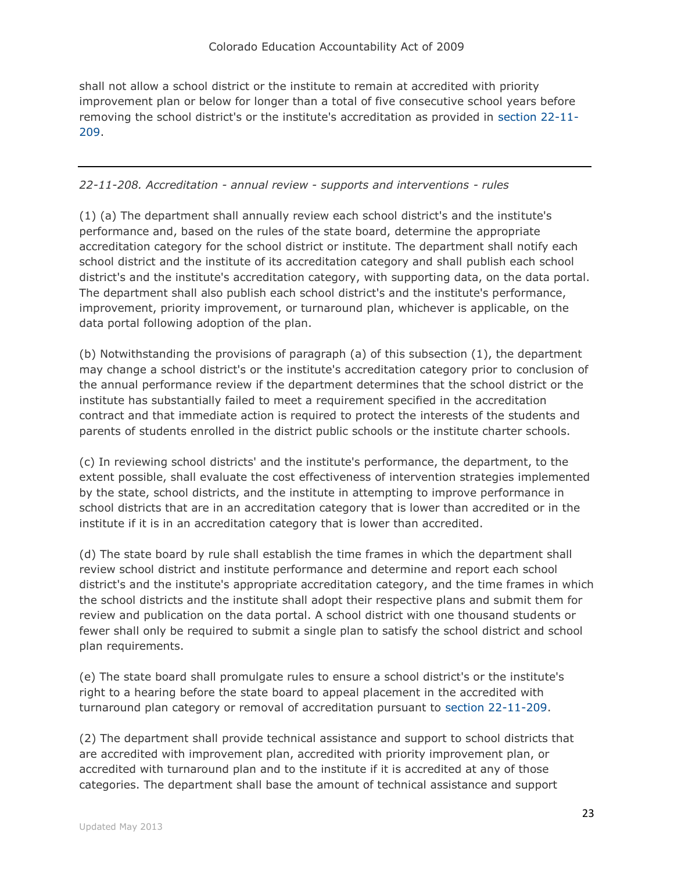shall not allow a school district or the institute to remain at accredited with priority improvement plan or below for longer than a total of five consecutive school years before removing the school district's or the institute's accreditation as provided in [section 22-11-](http://web.lexisnexis.com/research/buttonTFLink?_m=ac5d00dc61e82582b0967a3e542dc38d&_xfercite=%3ccite%20cc%3d%22USA%22%3e%3c%21%5bCDATA%5bC.R.S.%2022-11-207%5d%5d%3e%3c%2fcite%3e&_butType=4&_butStat=0&_butNum=9&_butInline=1&_butinfo=COCODE%2022-11-209&_fmtstr=FULL&docnum=1&_startdoc=1&wchp=dGLzVzk-zSkAl&_md5=9dadfe83dae8be2675bf78e73467bfbd) [209.](http://web.lexisnexis.com/research/buttonTFLink?_m=ac5d00dc61e82582b0967a3e542dc38d&_xfercite=%3ccite%20cc%3d%22USA%22%3e%3c%21%5bCDATA%5bC.R.S.%2022-11-207%5d%5d%3e%3c%2fcite%3e&_butType=4&_butStat=0&_butNum=9&_butInline=1&_butinfo=COCODE%2022-11-209&_fmtstr=FULL&docnum=1&_startdoc=1&wchp=dGLzVzk-zSkAl&_md5=9dadfe83dae8be2675bf78e73467bfbd)

## *22-11-208. Accreditation - annual review - supports and interventions - rules*

(1) (a) The department shall annually review each school district's and the institute's performance and, based on the rules of the state board, determine the appropriate accreditation category for the school district or institute. The department shall notify each school district and the institute of its accreditation category and shall publish each school district's and the institute's accreditation category, with supporting data, on the data portal. The department shall also publish each school district's and the institute's performance, improvement, priority improvement, or turnaround plan, whichever is applicable, on the data portal following adoption of the plan.

(b) Notwithstanding the provisions of paragraph (a) of this subsection (1), the department may change a school district's or the institute's accreditation category prior to conclusion of the annual performance review if the department determines that the school district or the institute has substantially failed to meet a requirement specified in the accreditation contract and that immediate action is required to protect the interests of the students and parents of students enrolled in the district public schools or the institute charter schools.

(c) In reviewing school districts' and the institute's performance, the department, to the extent possible, shall evaluate the cost effectiveness of intervention strategies implemented by the state, school districts, and the institute in attempting to improve performance in school districts that are in an accreditation category that is lower than accredited or in the institute if it is in an accreditation category that is lower than accredited.

(d) The state board by rule shall establish the time frames in which the department shall review school district and institute performance and determine and report each school district's and the institute's appropriate accreditation category, and the time frames in which the school districts and the institute shall adopt their respective plans and submit them for review and publication on the data portal. A school district with one thousand students or fewer shall only be required to submit a single plan to satisfy the school district and school plan requirements.

(e) The state board shall promulgate rules to ensure a school district's or the institute's right to a hearing before the state board to appeal placement in the accredited with turnaround plan category or removal of accreditation pursuant to [section 22-11-209.](http://web.lexisnexis.com/research/buttonTFLink?_m=8089b5a4a374cb80cfec5768eb282d2c&_xfercite=%3ccite%20cc%3d%22USA%22%3e%3c%21%5bCDATA%5bC.R.S.%2022-11-208%5d%5d%3e%3c%2fcite%3e&_butType=4&_butStat=0&_butNum=2&_butInline=1&_butinfo=COCODE%2022-11-209&_fmtstr=FULL&docnum=1&_startdoc=1&wchp=dGLzVzk-zSkAl&_md5=e07e8da1e436fc64d3550e7f10361117)

(2) The department shall provide technical assistance and support to school districts that are accredited with improvement plan, accredited with priority improvement plan, or accredited with turnaround plan and to the institute if it is accredited at any of those categories. The department shall base the amount of technical assistance and support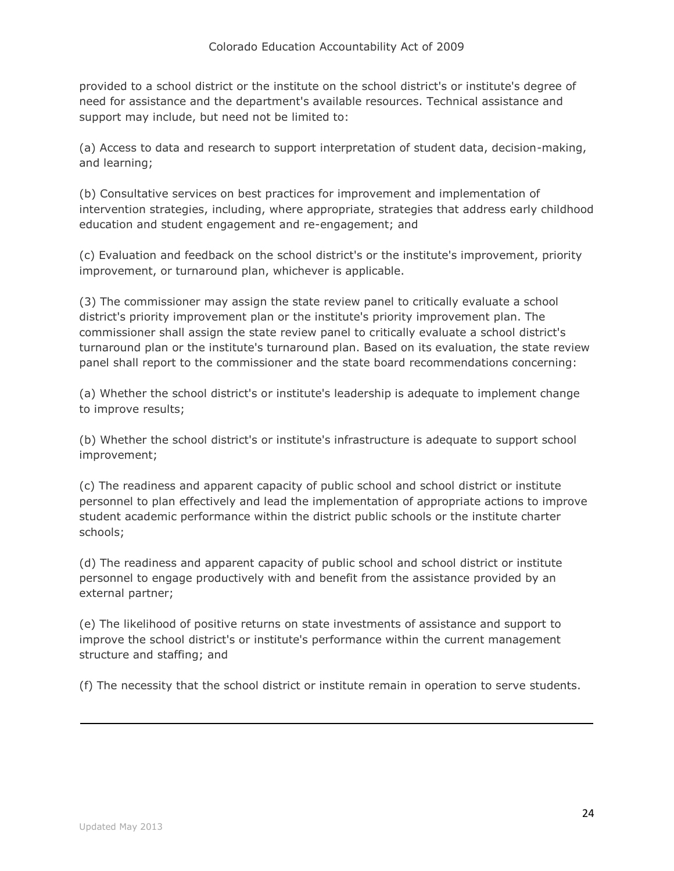provided to a school district or the institute on the school district's or institute's degree of need for assistance and the department's available resources. Technical assistance and support may include, but need not be limited to:

(a) Access to data and research to support interpretation of student data, decision-making, and learning;

(b) Consultative services on best practices for improvement and implementation of intervention strategies, including, where appropriate, strategies that address early childhood education and student engagement and re-engagement; and

(c) Evaluation and feedback on the school district's or the institute's improvement, priority improvement, or turnaround plan, whichever is applicable.

(3) The commissioner may assign the state review panel to critically evaluate a school district's priority improvement plan or the institute's priority improvement plan. The commissioner shall assign the state review panel to critically evaluate a school district's turnaround plan or the institute's turnaround plan. Based on its evaluation, the state review panel shall report to the commissioner and the state board recommendations concerning:

(a) Whether the school district's or institute's leadership is adequate to implement change to improve results;

(b) Whether the school district's or institute's infrastructure is adequate to support school improvement;

(c) The readiness and apparent capacity of public school and school district or institute personnel to plan effectively and lead the implementation of appropriate actions to improve student academic performance within the district public schools or the institute charter schools;

(d) The readiness and apparent capacity of public school and school district or institute personnel to engage productively with and benefit from the assistance provided by an external partner;

(e) The likelihood of positive returns on state investments of assistance and support to improve the school district's or institute's performance within the current management structure and staffing; and

(f) The necessity that the school district or institute remain in operation to serve students.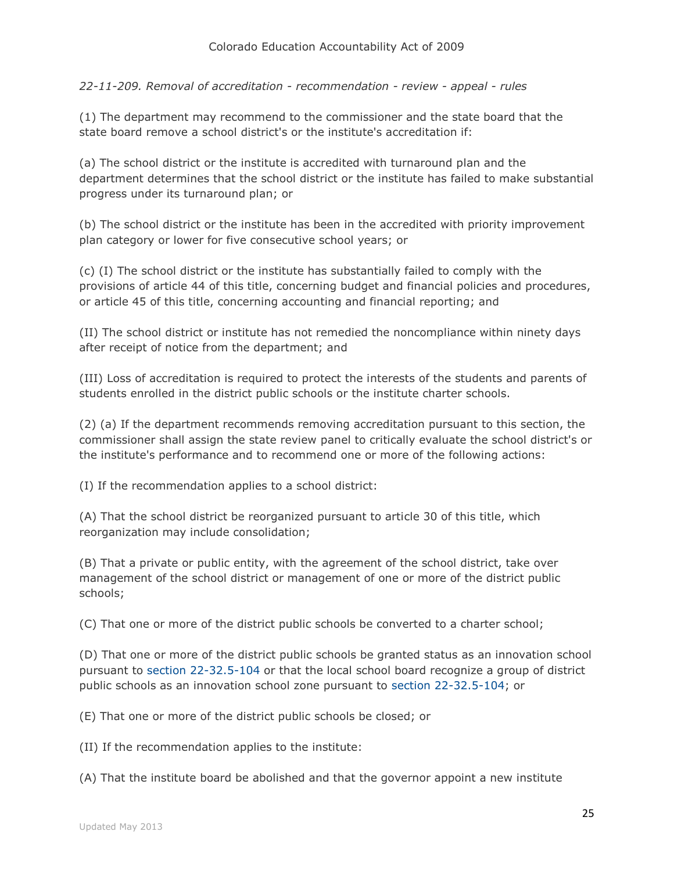*22-11-209. Removal of accreditation - recommendation - review - appeal - rules*

(1) The department may recommend to the commissioner and the state board that the state board remove a school district's or the institute's accreditation if:

(a) The school district or the institute is accredited with turnaround plan and the department determines that the school district or the institute has failed to make substantial progress under its turnaround plan; or

(b) The school district or the institute has been in the accredited with priority improvement plan category or lower for five consecutive school years; or

(c) (I) The school district or the institute has substantially failed to comply with the provisions of article 44 of this title, concerning budget and financial policies and procedures, or article 45 of this title, concerning accounting and financial reporting; and

(II) The school district or institute has not remedied the noncompliance within ninety days after receipt of notice from the department; and

(III) Loss of accreditation is required to protect the interests of the students and parents of students enrolled in the district public schools or the institute charter schools.

(2) (a) If the department recommends removing accreditation pursuant to this section, the commissioner shall assign the state review panel to critically evaluate the school district's or the institute's performance and to recommend one or more of the following actions:

(I) If the recommendation applies to a school district:

(A) That the school district be reorganized pursuant to article 30 of this title, which reorganization may include consolidation;

(B) That a private or public entity, with the agreement of the school district, take over management of the school district or management of one or more of the district public schools;

(C) That one or more of the district public schools be converted to a charter school;

(D) That one or more of the district public schools be granted status as an innovation school pursuant to [section 22-32.5-104](http://web.lexisnexis.com/research/buttonTFLink?_m=2b6a44404e177bfe43c8e766539a5b9f&_xfercite=%3ccite%20cc%3d%22USA%22%3e%3c%21%5bCDATA%5bC.R.S.%2022-11-209%5d%5d%3e%3c%2fcite%3e&_butType=4&_butStat=0&_butNum=2&_butInline=1&_butinfo=COCODE%2022-32.5-104&_fmtstr=FULL&docnum=1&_startdoc=1&wchp=dGLzVzk-zSkAl&_md5=dcb87cdc54c81522b41fba3a546f099d) or that the local school board recognize a group of district public schools as an innovation school zone pursuant to [section 22-32.5-104;](http://web.lexisnexis.com/research/buttonTFLink?_m=2b6a44404e177bfe43c8e766539a5b9f&_xfercite=%3ccite%20cc%3d%22USA%22%3e%3c%21%5bCDATA%5bC.R.S.%2022-11-209%5d%5d%3e%3c%2fcite%3e&_butType=4&_butStat=0&_butNum=3&_butInline=1&_butinfo=COCODE%2022-32.5-104&_fmtstr=FULL&docnum=1&_startdoc=1&wchp=dGLzVzk-zSkAl&_md5=183dc3e0567214537234e73dc4302002) or

(E) That one or more of the district public schools be closed; or

(II) If the recommendation applies to the institute:

(A) That the institute board be abolished and that the governor appoint a new institute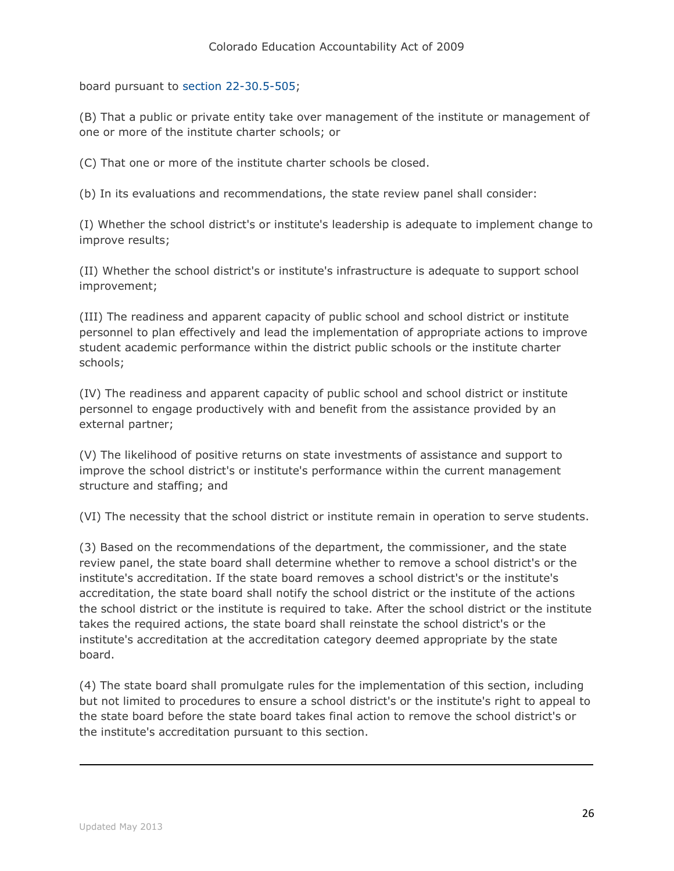board pursuant to [section 22-30.5-505;](http://web.lexisnexis.com/research/buttonTFLink?_m=2b6a44404e177bfe43c8e766539a5b9f&_xfercite=%3ccite%20cc%3d%22USA%22%3e%3c%21%5bCDATA%5bC.R.S.%2022-11-209%5d%5d%3e%3c%2fcite%3e&_butType=4&_butStat=0&_butNum=4&_butInline=1&_butinfo=COCODE%2022-30.5-505&_fmtstr=FULL&docnum=1&_startdoc=1&wchp=dGLzVzk-zSkAl&_md5=4b8813e907fcf2cbb07392d308b89577)

(B) That a public or private entity take over management of the institute or management of one or more of the institute charter schools; or

(C) That one or more of the institute charter schools be closed.

(b) In its evaluations and recommendations, the state review panel shall consider:

(I) Whether the school district's or institute's leadership is adequate to implement change to improve results;

(II) Whether the school district's or institute's infrastructure is adequate to support school improvement;

(III) The readiness and apparent capacity of public school and school district or institute personnel to plan effectively and lead the implementation of appropriate actions to improve student academic performance within the district public schools or the institute charter schools;

(IV) The readiness and apparent capacity of public school and school district or institute personnel to engage productively with and benefit from the assistance provided by an external partner;

(V) The likelihood of positive returns on state investments of assistance and support to improve the school district's or institute's performance within the current management structure and staffing; and

(VI) The necessity that the school district or institute remain in operation to serve students.

(3) Based on the recommendations of the department, the commissioner, and the state review panel, the state board shall determine whether to remove a school district's or the institute's accreditation. If the state board removes a school district's or the institute's accreditation, the state board shall notify the school district or the institute of the actions the school district or the institute is required to take. After the school district or the institute takes the required actions, the state board shall reinstate the school district's or the institute's accreditation at the accreditation category deemed appropriate by the state board.

(4) The state board shall promulgate rules for the implementation of this section, including but not limited to procedures to ensure a school district's or the institute's right to appeal to the state board before the state board takes final action to remove the school district's or the institute's accreditation pursuant to this section.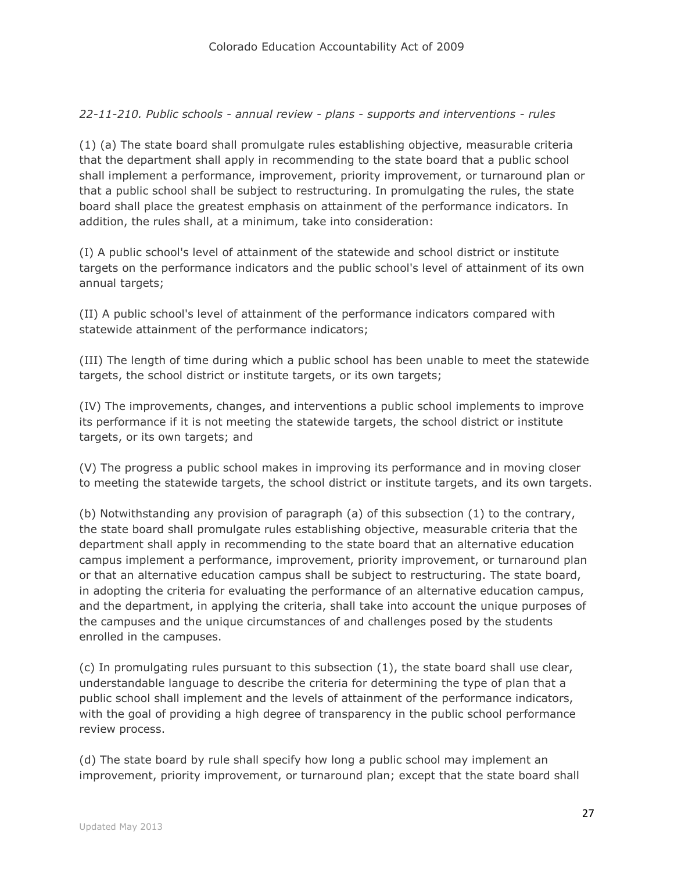## *22-11-210. Public schools - annual review - plans - supports and interventions - rules*

(1) (a) The state board shall promulgate rules establishing objective, measurable criteria that the department shall apply in recommending to the state board that a public school shall implement a performance, improvement, priority improvement, or turnaround plan or that a public school shall be subject to restructuring. In promulgating the rules, the state board shall place the greatest emphasis on attainment of the performance indicators. In addition, the rules shall, at a minimum, take into consideration:

(I) A public school's level of attainment of the statewide and school district or institute targets on the performance indicators and the public school's level of attainment of its own annual targets;

(II) A public school's level of attainment of the performance indicators compared with statewide attainment of the performance indicators;

(III) The length of time during which a public school has been unable to meet the statewide targets, the school district or institute targets, or its own targets;

(IV) The improvements, changes, and interventions a public school implements to improve its performance if it is not meeting the statewide targets, the school district or institute targets, or its own targets; and

(V) The progress a public school makes in improving its performance and in moving closer to meeting the statewide targets, the school district or institute targets, and its own targets.

(b) Notwithstanding any provision of paragraph (a) of this subsection (1) to the contrary, the state board shall promulgate rules establishing objective, measurable criteria that the department shall apply in recommending to the state board that an alternative education campus implement a performance, improvement, priority improvement, or turnaround plan or that an alternative education campus shall be subject to restructuring. The state board, in adopting the criteria for evaluating the performance of an alternative education campus, and the department, in applying the criteria, shall take into account the unique purposes of the campuses and the unique circumstances of and challenges posed by the students enrolled in the campuses.

(c) In promulgating rules pursuant to this subsection (1), the state board shall use clear, understandable language to describe the criteria for determining the type of plan that a public school shall implement and the levels of attainment of the performance indicators, with the goal of providing a high degree of transparency in the public school performance review process.

(d) The state board by rule shall specify how long a public school may implement an improvement, priority improvement, or turnaround plan; except that the state board shall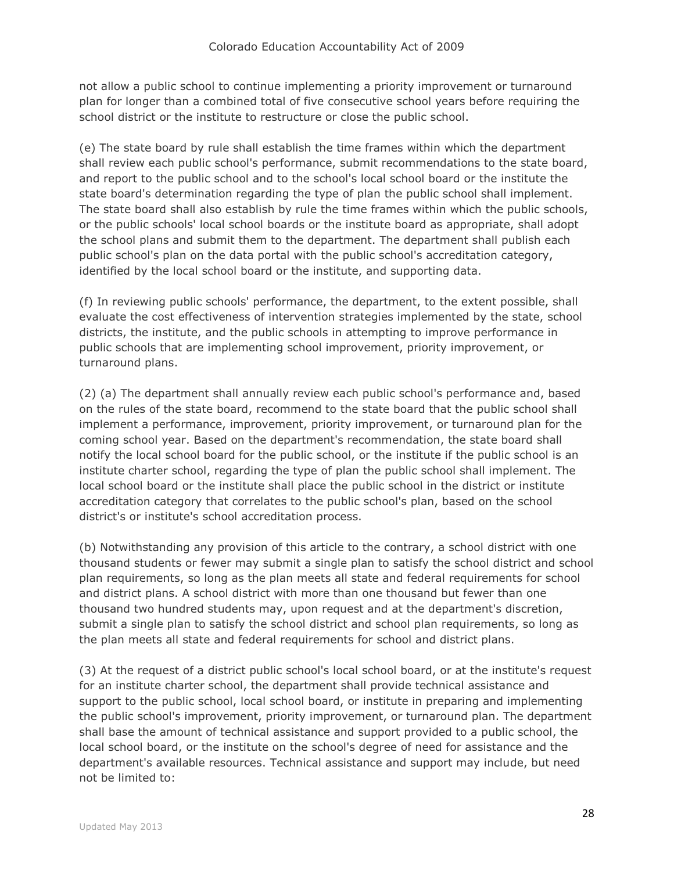not allow a public school to continue implementing a priority improvement or turnaround plan for longer than a combined total of five consecutive school years before requiring the school district or the institute to restructure or close the public school.

(e) The state board by rule shall establish the time frames within which the department shall review each public school's performance, submit recommendations to the state board, and report to the public school and to the school's local school board or the institute the state board's determination regarding the type of plan the public school shall implement. The state board shall also establish by rule the time frames within which the public schools, or the public schools' local school boards or the institute board as appropriate, shall adopt the school plans and submit them to the department. The department shall publish each public school's plan on the data portal with the public school's accreditation category, identified by the local school board or the institute, and supporting data.

(f) In reviewing public schools' performance, the department, to the extent possible, shall evaluate the cost effectiveness of intervention strategies implemented by the state, school districts, the institute, and the public schools in attempting to improve performance in public schools that are implementing school improvement, priority improvement, or turnaround plans.

(2) (a) The department shall annually review each public school's performance and, based on the rules of the state board, recommend to the state board that the public school shall implement a performance, improvement, priority improvement, or turnaround plan for the coming school year. Based on the department's recommendation, the state board shall notify the local school board for the public school, or the institute if the public school is an institute charter school, regarding the type of plan the public school shall implement. The local school board or the institute shall place the public school in the district or institute accreditation category that correlates to the public school's plan, based on the school district's or institute's school accreditation process.

(b) Notwithstanding any provision of this article to the contrary, a school district with one thousand students or fewer may submit a single plan to satisfy the school district and school plan requirements, so long as the plan meets all state and federal requirements for school and district plans. A school district with more than one thousand but fewer than one thousand two hundred students may, upon request and at the department's discretion, submit a single plan to satisfy the school district and school plan requirements, so long as the plan meets all state and federal requirements for school and district plans.

(3) At the request of a district public school's local school board, or at the institute's request for an institute charter school, the department shall provide technical assistance and support to the public school, local school board, or institute in preparing and implementing the public school's improvement, priority improvement, or turnaround plan. The department shall base the amount of technical assistance and support provided to a public school, the local school board, or the institute on the school's degree of need for assistance and the department's available resources. Technical assistance and support may include, but need not be limited to: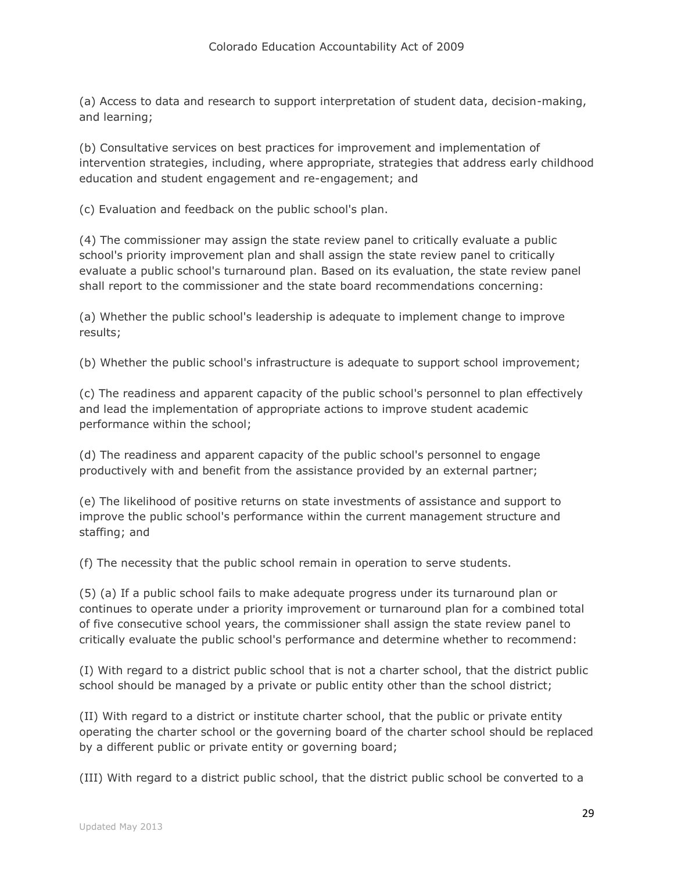(a) Access to data and research to support interpretation of student data, decision-making, and learning;

(b) Consultative services on best practices for improvement and implementation of intervention strategies, including, where appropriate, strategies that address early childhood education and student engagement and re-engagement; and

(c) Evaluation and feedback on the public school's plan.

(4) The commissioner may assign the state review panel to critically evaluate a public school's priority improvement plan and shall assign the state review panel to critically evaluate a public school's turnaround plan. Based on its evaluation, the state review panel shall report to the commissioner and the state board recommendations concerning:

(a) Whether the public school's leadership is adequate to implement change to improve results;

(b) Whether the public school's infrastructure is adequate to support school improvement;

(c) The readiness and apparent capacity of the public school's personnel to plan effectively and lead the implementation of appropriate actions to improve student academic performance within the school;

(d) The readiness and apparent capacity of the public school's personnel to engage productively with and benefit from the assistance provided by an external partner;

(e) The likelihood of positive returns on state investments of assistance and support to improve the public school's performance within the current management structure and staffing; and

(f) The necessity that the public school remain in operation to serve students.

(5) (a) If a public school fails to make adequate progress under its turnaround plan or continues to operate under a priority improvement or turnaround plan for a combined total of five consecutive school years, the commissioner shall assign the state review panel to critically evaluate the public school's performance and determine whether to recommend:

(I) With regard to a district public school that is not a charter school, that the district public school should be managed by a private or public entity other than the school district;

(II) With regard to a district or institute charter school, that the public or private entity operating the charter school or the governing board of the charter school should be replaced by a different public or private entity or governing board;

(III) With regard to a district public school, that the district public school be converted to a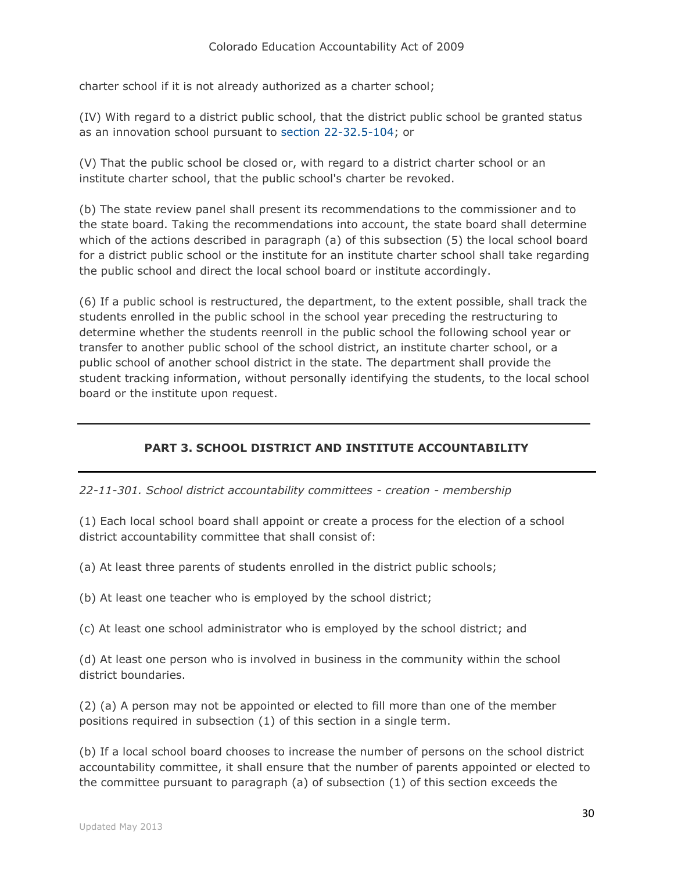charter school if it is not already authorized as a charter school;

(IV) With regard to a district public school, that the district public school be granted status as an innovation school pursuant to [section 22-32.5-104;](http://web.lexisnexis.com/research/buttonTFLink?_m=1ce7db47ecd076b385b68eb96c119f65&_xfercite=%3ccite%20cc%3d%22USA%22%3e%3c%21%5bCDATA%5bC.R.S.%2022-11-210%5d%5d%3e%3c%2fcite%3e&_butType=4&_butStat=0&_butNum=2&_butInline=1&_butinfo=COCODE%2022-32.5-104&_fmtstr=FULL&docnum=1&_startdoc=1&wchp=dGLzVzk-zSkAl&_md5=7be5e72fc8eaa13fe640afd50dca0383) or

(V) That the public school be closed or, with regard to a district charter school or an institute charter school, that the public school's charter be revoked.

(b) The state review panel shall present its recommendations to the commissioner and to the state board. Taking the recommendations into account, the state board shall determine which of the actions described in paragraph (a) of this subsection (5) the local school board for a district public school or the institute for an institute charter school shall take regarding the public school and direct the local school board or institute accordingly.

(6) If a public school is restructured, the department, to the extent possible, shall track the students enrolled in the public school in the school year preceding the restructuring to determine whether the students reenroll in the public school the following school year or transfer to another public school of the school district, an institute charter school, or a public school of another school district in the state. The department shall provide the student tracking information, without personally identifying the students, to the local school board or the institute upon request.

# **PART 3. SCHOOL DISTRICT AND INSTITUTE ACCOUNTABILITY**

*22-11-301. School district accountability committees - creation - membership*

(1) Each local school board shall appoint or create a process for the election of a school district accountability committee that shall consist of:

(a) At least three parents of students enrolled in the district public schools;

(b) At least one teacher who is employed by the school district;

(c) At least one school administrator who is employed by the school district; and

(d) At least one person who is involved in business in the community within the school district boundaries.

(2) (a) A person may not be appointed or elected to fill more than one of the member positions required in subsection (1) of this section in a single term.

(b) If a local school board chooses to increase the number of persons on the school district accountability committee, it shall ensure that the number of parents appointed or elected to the committee pursuant to paragraph (a) of subsection (1) of this section exceeds the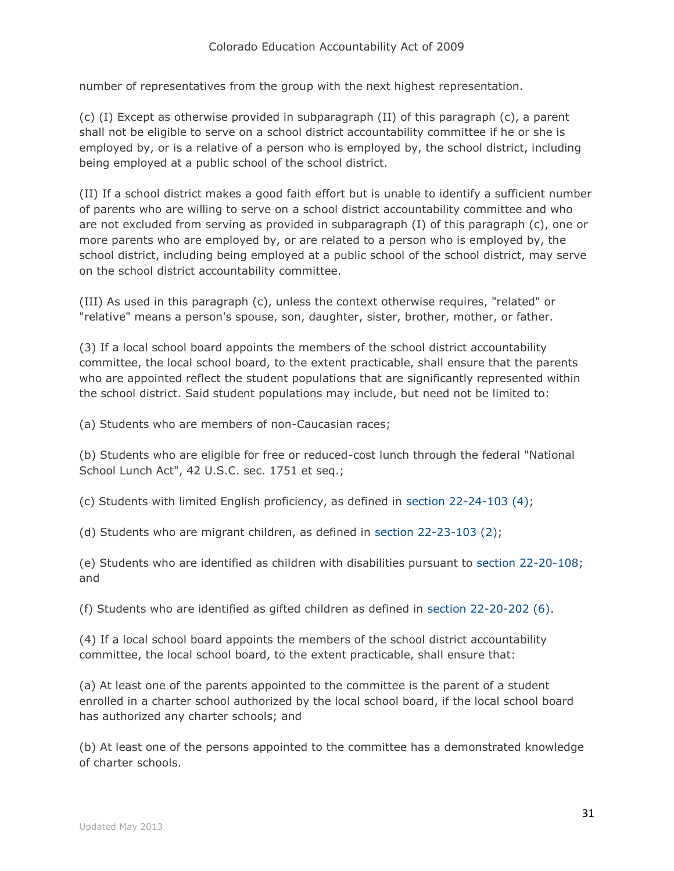number of representatives from the group with the next highest representation.

(c) (I) Except as otherwise provided in subparagraph (II) of this paragraph (c), a parent shall not be eligible to serve on a school district accountability committee if he or she is employed by, or is a relative of a person who is employed by, the school district, including being employed at a public school of the school district.

(II) If a school district makes a good faith effort but is unable to identify a sufficient number of parents who are willing to serve on a school district accountability committee and who are not excluded from serving as provided in subparagraph (I) of this paragraph (c), one or more parents who are employed by, or are related to a person who is employed by, the school district, including being employed at a public school of the school district, may serve on the school district accountability committee.

(III) As used in this paragraph (c), unless the context otherwise requires, "related" or "relative" means a person's spouse, son, daughter, sister, brother, mother, or father.

(3) If a local school board appoints the members of the school district accountability committee, the local school board, to the extent practicable, shall ensure that the parents who are appointed reflect the student populations that are significantly represented within the school district. Said student populations may include, but need not be limited to:

(a) Students who are members of non-Caucasian races;

(b) Students who are eligible for free or reduced-cost lunch through the federal "National School Lunch Act", 42 U.S.C. sec. 1751 et seq.;

(c) Students with limited English proficiency, as defined in [section 22-24-103 \(4\);](http://web.lexisnexis.com/research/buttonTFLink?_m=f70f7ed2a3551aa4db39dbc7f71cef3d&_xfercite=%3ccite%20cc%3d%22USA%22%3e%3c%21%5bCDATA%5bC.R.S.%2022-11-301%5d%5d%3e%3c%2fcite%3e&_butType=4&_butStat=0&_butNum=3&_butInline=1&_butinfo=COCODE%2022-24-103&_fmtstr=FULL&docnum=1&_startdoc=1&wchp=dGLzVzk-zSkAl&_md5=44e0cb172aae9abed31ac866ac7fcdf7)

(d) Students who are migrant children, as defined in [section 22-23-103 \(2\);](http://web.lexisnexis.com/research/buttonTFLink?_m=f70f7ed2a3551aa4db39dbc7f71cef3d&_xfercite=%3ccite%20cc%3d%22USA%22%3e%3c%21%5bCDATA%5bC.R.S.%2022-11-301%5d%5d%3e%3c%2fcite%3e&_butType=4&_butStat=0&_butNum=4&_butInline=1&_butinfo=COCODE%2022-23-103&_fmtstr=FULL&docnum=1&_startdoc=1&wchp=dGLzVzk-zSkAl&_md5=bbe77345d2706f0e8d8fdead7717521b)

(e) Students who are identified as children with disabilities pursuant to [section 22-20-108;](http://web.lexisnexis.com/research/buttonTFLink?_m=f70f7ed2a3551aa4db39dbc7f71cef3d&_xfercite=%3ccite%20cc%3d%22USA%22%3e%3c%21%5bCDATA%5bC.R.S.%2022-11-301%5d%5d%3e%3c%2fcite%3e&_butType=4&_butStat=0&_butNum=5&_butInline=1&_butinfo=COCODE%2022-20-108&_fmtstr=FULL&docnum=1&_startdoc=1&wchp=dGLzVzk-zSkAl&_md5=8909de4a495cf634ffa0056489d5f353) and

(f) Students who are identified as gifted children as defined in [section 22-20-202 \(6\).](http://web.lexisnexis.com/research/buttonTFLink?_m=f70f7ed2a3551aa4db39dbc7f71cef3d&_xfercite=%3ccite%20cc%3d%22USA%22%3e%3c%21%5bCDATA%5bC.R.S.%2022-11-301%5d%5d%3e%3c%2fcite%3e&_butType=4&_butStat=0&_butNum=6&_butInline=1&_butinfo=COCODE%2022-20-202&_fmtstr=FULL&docnum=1&_startdoc=1&wchp=dGLzVzk-zSkAl&_md5=43b5db5345dfc65f7317716e067ed45d)

(4) If a local school board appoints the members of the school district accountability committee, the local school board, to the extent practicable, shall ensure that:

(a) At least one of the parents appointed to the committee is the parent of a student enrolled in a charter school authorized by the local school board, if the local school board has authorized any charter schools; and

(b) At least one of the persons appointed to the committee has a demonstrated knowledge of charter schools.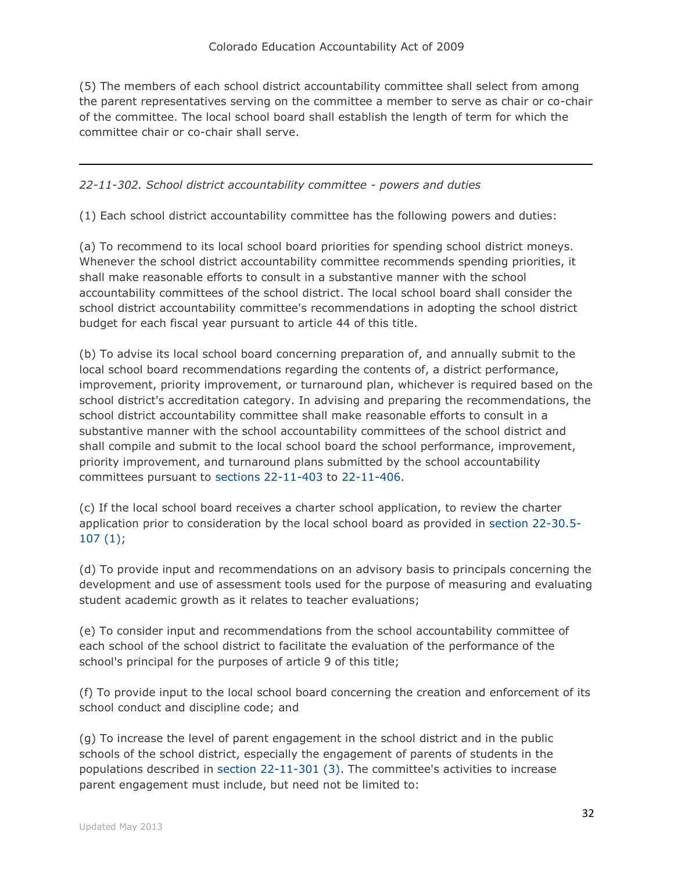(5) The members of each school district accountability committee shall select from among the parent representatives serving on the committee a member to serve as chair or co-chair of the committee. The local school board shall establish the length of term for which the committee chair or co-chair shall serve.

## *22-11-302. School district accountability committee - powers and duties*

(1) Each school district accountability committee has the following powers and duties:

(a) To recommend to its local school board priorities for spending school district moneys. Whenever the school district accountability committee recommends spending priorities, it shall make reasonable efforts to consult in a substantive manner with the school accountability committees of the school district. The local school board shall consider the school district accountability committee's recommendations in adopting the school district budget for each fiscal year pursuant to article 44 of this title.

(b) To advise its local school board concerning preparation of, and annually submit to the local school board recommendations regarding the contents of, a district performance, improvement, priority improvement, or turnaround plan, whichever is required based on the school district's accreditation category. In advising and preparing the recommendations, the school district accountability committee shall make reasonable efforts to consult in a substantive manner with the school accountability committees of the school district and shall compile and submit to the local school board the school performance, improvement, priority improvement, and turnaround plans submitted by the school accountability committees pursuant to [sections 22-11-403](http://web.lexisnexis.com/research/buttonTFLink?_m=65d602cd97e48f03874fab2bbde17748&_xfercite=%3ccite%20cc%3d%22USA%22%3e%3c%21%5bCDATA%5bC.R.S.%2022-11-302%5d%5d%3e%3c%2fcite%3e&_butType=4&_butStat=0&_butNum=2&_butInline=1&_butinfo=COCODE%2022-11-403&_fmtstr=FULL&docnum=1&_startdoc=1&wchp=dGLzVzt-zSkAW&_md5=8678d91f5285e98264eea1dad4a858c6) to [22-11-406.](http://web.lexisnexis.com/research/buttonTFLink?_m=65d602cd97e48f03874fab2bbde17748&_xfercite=%3ccite%20cc%3d%22USA%22%3e%3c%21%5bCDATA%5bC.R.S.%2022-11-302%5d%5d%3e%3c%2fcite%3e&_butType=4&_butStat=0&_butNum=3&_butInline=1&_butinfo=COCODE%2022-11-406&_fmtstr=FULL&docnum=1&_startdoc=1&wchp=dGLzVzt-zSkAW&_md5=f50c32b712a5fcba881891a963306e73)

(c) If the local school board receives a charter school application, to review the charter application prior to consideration by the local school board as provided in [section 22-30.5-](http://web.lexisnexis.com/research/buttonTFLink?_m=65d602cd97e48f03874fab2bbde17748&_xfercite=%3ccite%20cc%3d%22USA%22%3e%3c%21%5bCDATA%5bC.R.S.%2022-11-302%5d%5d%3e%3c%2fcite%3e&_butType=4&_butStat=0&_butNum=4&_butInline=1&_butinfo=COCODE%2022-30.5-107&_fmtstr=FULL&docnum=1&_startdoc=1&wchp=dGLzVzt-zSkAW&_md5=ef0ecfdb74d6f5ebb8885bbb65198e75) [107 \(1\);](http://web.lexisnexis.com/research/buttonTFLink?_m=65d602cd97e48f03874fab2bbde17748&_xfercite=%3ccite%20cc%3d%22USA%22%3e%3c%21%5bCDATA%5bC.R.S.%2022-11-302%5d%5d%3e%3c%2fcite%3e&_butType=4&_butStat=0&_butNum=4&_butInline=1&_butinfo=COCODE%2022-30.5-107&_fmtstr=FULL&docnum=1&_startdoc=1&wchp=dGLzVzt-zSkAW&_md5=ef0ecfdb74d6f5ebb8885bbb65198e75)

(d) To provide input and recommendations on an advisory basis to principals concerning the development and use of assessment tools used for the purpose of measuring and evaluating student academic growth as it relates to teacher evaluations;

(e) To consider input and recommendations from the school accountability committee of each school of the school district to facilitate the evaluation of the performance of the school's principal for the purposes of article 9 of this title;

(f) To provide input to the local school board concerning the creation and enforcement of its school conduct and discipline code; and

(g) To increase the level of parent engagement in the school district and in the public schools of the school district, especially the engagement of parents of students in the populations described in [section 22-11-301 \(3\).](http://web.lexisnexis.com/research/buttonTFLink?_m=65d602cd97e48f03874fab2bbde17748&_xfercite=%3ccite%20cc%3d%22USA%22%3e%3c%21%5bCDATA%5bC.R.S.%2022-11-302%5d%5d%3e%3c%2fcite%3e&_butType=4&_butStat=0&_butNum=5&_butInline=1&_butinfo=COCODE%2022-11-301&_fmtstr=FULL&docnum=1&_startdoc=1&wchp=dGLzVzt-zSkAW&_md5=5a5891e8e5fa68f2a81e138130565e03) The committee's activities to increase parent engagement must include, but need not be limited to: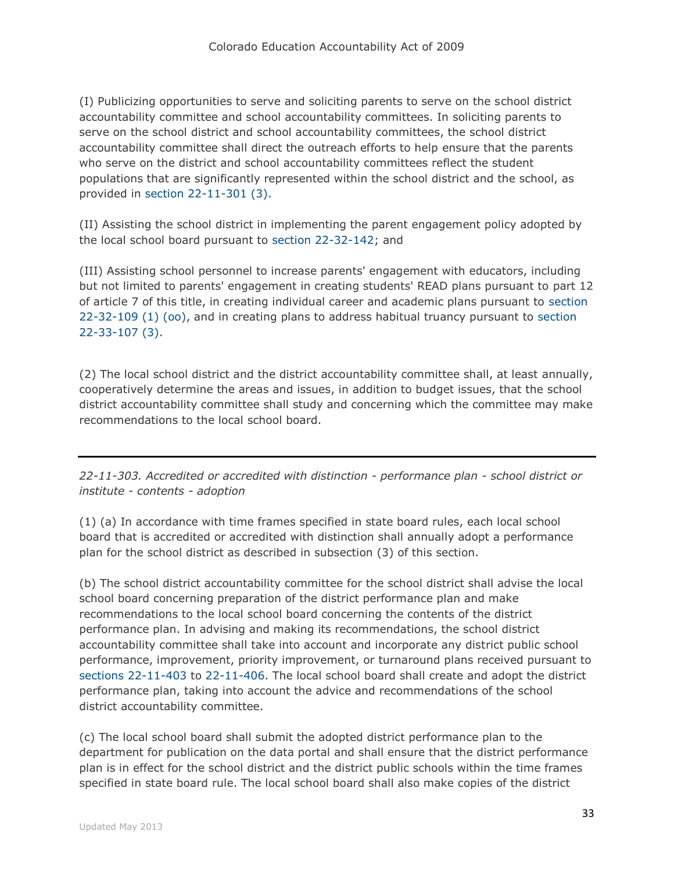(I) Publicizing opportunities to serve and soliciting parents to serve on the school district accountability committee and school accountability committees. In soliciting parents to serve on the school district and school accountability committees, the school district accountability committee shall direct the outreach efforts to help ensure that the parents who serve on the district and school accountability committees reflect the student populations that are significantly represented within the school district and the school, as provided in [section 22-11-301 \(3\).](http://web.lexisnexis.com/research/buttonTFLink?_m=65d602cd97e48f03874fab2bbde17748&_xfercite=%3ccite%20cc%3d%22USA%22%3e%3c%21%5bCDATA%5bC.R.S.%2022-11-302%5d%5d%3e%3c%2fcite%3e&_butType=4&_butStat=0&_butNum=6&_butInline=1&_butinfo=COCODE%2022-11-301&_fmtstr=FULL&docnum=1&_startdoc=1&wchp=dGLzVzt-zSkAW&_md5=3eb3ef7a849ba17a17b9014f1ba53f5d)

(II) Assisting the school district in implementing the parent engagement policy adopted by the local school board pursuant to [section 22-32-142;](http://web.lexisnexis.com/research/buttonTFLink?_m=65d602cd97e48f03874fab2bbde17748&_xfercite=%3ccite%20cc%3d%22USA%22%3e%3c%21%5bCDATA%5bC.R.S.%2022-11-302%5d%5d%3e%3c%2fcite%3e&_butType=4&_butStat=0&_butNum=7&_butInline=1&_butinfo=COCODE%2022-32-142&_fmtstr=FULL&docnum=1&_startdoc=1&wchp=dGLzVzt-zSkAW&_md5=eddbc4a58934f02f716311115d60f246) and

(III) Assisting school personnel to increase parents' engagement with educators, including but not limited to parents' engagement in creating students' READ plans pursuant to part 12 of article 7 of this title, in creating individual career and academic plans pursuant to [section](http://web.lexisnexis.com/research/buttonTFLink?_m=65d602cd97e48f03874fab2bbde17748&_xfercite=%3ccite%20cc%3d%22USA%22%3e%3c%21%5bCDATA%5bC.R.S.%2022-11-302%5d%5d%3e%3c%2fcite%3e&_butType=4&_butStat=0&_butNum=8&_butInline=1&_butinfo=COCODE%2022-32-109&_fmtstr=FULL&docnum=1&_startdoc=1&wchp=dGLzVzt-zSkAW&_md5=307f2d5a833bc648fe29e62ffc4ed37e)  [22-32-109 \(1\) \(oo\),](http://web.lexisnexis.com/research/buttonTFLink?_m=65d602cd97e48f03874fab2bbde17748&_xfercite=%3ccite%20cc%3d%22USA%22%3e%3c%21%5bCDATA%5bC.R.S.%2022-11-302%5d%5d%3e%3c%2fcite%3e&_butType=4&_butStat=0&_butNum=8&_butInline=1&_butinfo=COCODE%2022-32-109&_fmtstr=FULL&docnum=1&_startdoc=1&wchp=dGLzVzt-zSkAW&_md5=307f2d5a833bc648fe29e62ffc4ed37e) and in creating plans to address habitual truancy pursuant to [section](http://web.lexisnexis.com/research/buttonTFLink?_m=65d602cd97e48f03874fab2bbde17748&_xfercite=%3ccite%20cc%3d%22USA%22%3e%3c%21%5bCDATA%5bC.R.S.%2022-11-302%5d%5d%3e%3c%2fcite%3e&_butType=4&_butStat=0&_butNum=9&_butInline=1&_butinfo=COCODE%2022-33-107&_fmtstr=FULL&docnum=1&_startdoc=1&wchp=dGLzVzt-zSkAW&_md5=c0f4d0b1bcd7e79441c42cc608559d09)  [22-33-107 \(3\).](http://web.lexisnexis.com/research/buttonTFLink?_m=65d602cd97e48f03874fab2bbde17748&_xfercite=%3ccite%20cc%3d%22USA%22%3e%3c%21%5bCDATA%5bC.R.S.%2022-11-302%5d%5d%3e%3c%2fcite%3e&_butType=4&_butStat=0&_butNum=9&_butInline=1&_butinfo=COCODE%2022-33-107&_fmtstr=FULL&docnum=1&_startdoc=1&wchp=dGLzVzt-zSkAW&_md5=c0f4d0b1bcd7e79441c42cc608559d09)

(2) The local school district and the district accountability committee shall, at least annually, cooperatively determine the areas and issues, in addition to budget issues, that the school district accountability committee shall study and concerning which the committee may make recommendations to the local school board.

*22-11-303. Accredited or accredited with distinction - performance plan - school district or institute - contents - adoption*

(1) (a) In accordance with time frames specified in state board rules, each local school board that is accredited or accredited with distinction shall annually adopt a performance plan for the school district as described in subsection (3) of this section.

(b) The school district accountability committee for the school district shall advise the local school board concerning preparation of the district performance plan and make recommendations to the local school board concerning the contents of the district performance plan. In advising and making its recommendations, the school district accountability committee shall take into account and incorporate any district public school performance, improvement, priority improvement, or turnaround plans received pursuant to [sections 22-11-403](http://web.lexisnexis.com/research/buttonTFLink?_m=caa47c4d682007ad36557a4e19ec388e&_xfercite=%3ccite%20cc%3d%22USA%22%3e%3c%21%5bCDATA%5bC.R.S.%2022-11-303%5d%5d%3e%3c%2fcite%3e&_butType=4&_butStat=0&_butNum=2&_butInline=1&_butinfo=COCODE%2022-11-403&_fmtstr=FULL&docnum=1&_startdoc=1&wchp=dGLzVzt-zSkAW&_md5=7c5f3d9515ab7dedaae1ca1860ad5feb) to [22-11-406.](http://web.lexisnexis.com/research/buttonTFLink?_m=caa47c4d682007ad36557a4e19ec388e&_xfercite=%3ccite%20cc%3d%22USA%22%3e%3c%21%5bCDATA%5bC.R.S.%2022-11-303%5d%5d%3e%3c%2fcite%3e&_butType=4&_butStat=0&_butNum=3&_butInline=1&_butinfo=COCODE%2022-11-406&_fmtstr=FULL&docnum=1&_startdoc=1&wchp=dGLzVzt-zSkAW&_md5=b122472c212251cebee86d5a7a246210) The local school board shall create and adopt the district performance plan, taking into account the advice and recommendations of the school district accountability committee.

(c) The local school board shall submit the adopted district performance plan to the department for publication on the data portal and shall ensure that the district performance plan is in effect for the school district and the district public schools within the time frames specified in state board rule. The local school board shall also make copies of the district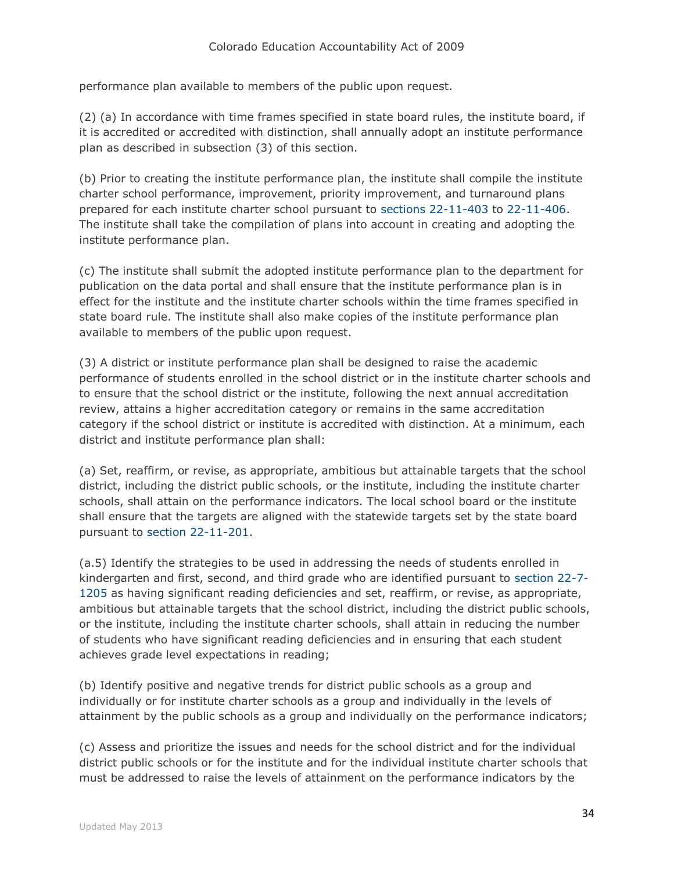performance plan available to members of the public upon request.

(2) (a) In accordance with time frames specified in state board rules, the institute board, if it is accredited or accredited with distinction, shall annually adopt an institute performance plan as described in subsection (3) of this section.

(b) Prior to creating the institute performance plan, the institute shall compile the institute charter school performance, improvement, priority improvement, and turnaround plans prepared for each institute charter school pursuant to [sections 22-11-403](http://web.lexisnexis.com/research/buttonTFLink?_m=caa47c4d682007ad36557a4e19ec388e&_xfercite=%3ccite%20cc%3d%22USA%22%3e%3c%21%5bCDATA%5bC.R.S.%2022-11-303%5d%5d%3e%3c%2fcite%3e&_butType=4&_butStat=0&_butNum=4&_butInline=1&_butinfo=COCODE%2022-11-403&_fmtstr=FULL&docnum=1&_startdoc=1&wchp=dGLzVzt-zSkAW&_md5=b61a6d128d828eb67a134eea595bbc5f) to [22-11-406.](http://web.lexisnexis.com/research/buttonTFLink?_m=caa47c4d682007ad36557a4e19ec388e&_xfercite=%3ccite%20cc%3d%22USA%22%3e%3c%21%5bCDATA%5bC.R.S.%2022-11-303%5d%5d%3e%3c%2fcite%3e&_butType=4&_butStat=0&_butNum=5&_butInline=1&_butinfo=COCODE%2022-11-406&_fmtstr=FULL&docnum=1&_startdoc=1&wchp=dGLzVzt-zSkAW&_md5=55f8fb7f19eddfb864d4d397fbf16111) The institute shall take the compilation of plans into account in creating and adopting the institute performance plan.

(c) The institute shall submit the adopted institute performance plan to the department for publication on the data portal and shall ensure that the institute performance plan is in effect for the institute and the institute charter schools within the time frames specified in state board rule. The institute shall also make copies of the institute performance plan available to members of the public upon request.

(3) A district or institute performance plan shall be designed to raise the academic performance of students enrolled in the school district or in the institute charter schools and to ensure that the school district or the institute, following the next annual accreditation review, attains a higher accreditation category or remains in the same accreditation category if the school district or institute is accredited with distinction. At a minimum, each district and institute performance plan shall:

(a) Set, reaffirm, or revise, as appropriate, ambitious but attainable targets that the school district, including the district public schools, or the institute, including the institute charter schools, shall attain on the performance indicators. The local school board or the institute shall ensure that the targets are aligned with the statewide targets set by the state board pursuant to [section 22-11-201.](http://web.lexisnexis.com/research/buttonTFLink?_m=caa47c4d682007ad36557a4e19ec388e&_xfercite=%3ccite%20cc%3d%22USA%22%3e%3c%21%5bCDATA%5bC.R.S.%2022-11-303%5d%5d%3e%3c%2fcite%3e&_butType=4&_butStat=0&_butNum=6&_butInline=1&_butinfo=COCODE%2022-11-201&_fmtstr=FULL&docnum=1&_startdoc=1&wchp=dGLzVzt-zSkAW&_md5=19d1b99e35fed2c9e8a7870482ee8c99)

(a.5) Identify the strategies to be used in addressing the needs of students enrolled in kindergarten and first, second, and third grade who are identified pursuant to [section 22-7-](http://web.lexisnexis.com/research/buttonTFLink?_m=caa47c4d682007ad36557a4e19ec388e&_xfercite=%3ccite%20cc%3d%22USA%22%3e%3c%21%5bCDATA%5bC.R.S.%2022-11-303%5d%5d%3e%3c%2fcite%3e&_butType=4&_butStat=0&_butNum=7&_butInline=1&_butinfo=COCODE%2022-7-1205&_fmtstr=FULL&docnum=1&_startdoc=1&wchp=dGLzVzt-zSkAW&_md5=8cda1cc11899a9c7506b9096999a8215) [1205](http://web.lexisnexis.com/research/buttonTFLink?_m=caa47c4d682007ad36557a4e19ec388e&_xfercite=%3ccite%20cc%3d%22USA%22%3e%3c%21%5bCDATA%5bC.R.S.%2022-11-303%5d%5d%3e%3c%2fcite%3e&_butType=4&_butStat=0&_butNum=7&_butInline=1&_butinfo=COCODE%2022-7-1205&_fmtstr=FULL&docnum=1&_startdoc=1&wchp=dGLzVzt-zSkAW&_md5=8cda1cc11899a9c7506b9096999a8215) as having significant reading deficiencies and set, reaffirm, or revise, as appropriate, ambitious but attainable targets that the school district, including the district public schools, or the institute, including the institute charter schools, shall attain in reducing the number of students who have significant reading deficiencies and in ensuring that each student achieves grade level expectations in reading;

(b) Identify positive and negative trends for district public schools as a group and individually or for institute charter schools as a group and individually in the levels of attainment by the public schools as a group and individually on the performance indicators;

(c) Assess and prioritize the issues and needs for the school district and for the individual district public schools or for the institute and for the individual institute charter schools that must be addressed to raise the levels of attainment on the performance indicators by the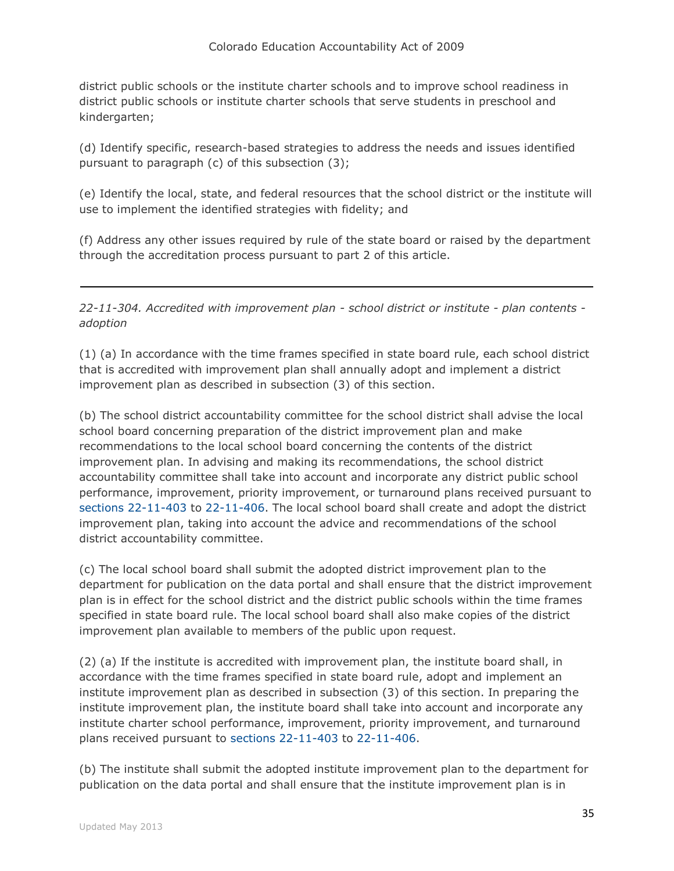district public schools or the institute charter schools and to improve school readiness in district public schools or institute charter schools that serve students in preschool and kindergarten;

(d) Identify specific, research-based strategies to address the needs and issues identified pursuant to paragraph (c) of this subsection (3);

(e) Identify the local, state, and federal resources that the school district or the institute will use to implement the identified strategies with fidelity; and

(f) Address any other issues required by rule of the state board or raised by the department through the accreditation process pursuant to part 2 of this article.

*22-11-304. Accredited with improvement plan - school district or institute - plan contents adoption*

(1) (a) In accordance with the time frames specified in state board rule, each school district that is accredited with improvement plan shall annually adopt and implement a district improvement plan as described in subsection (3) of this section.

(b) The school district accountability committee for the school district shall advise the local school board concerning preparation of the district improvement plan and make recommendations to the local school board concerning the contents of the district improvement plan. In advising and making its recommendations, the school district accountability committee shall take into account and incorporate any district public school performance, improvement, priority improvement, or turnaround plans received pursuant to [sections 22-11-403](http://web.lexisnexis.com/research/buttonTFLink?_m=f5c0d8b37b5eb47ce1f7012bc914126b&_xfercite=%3ccite%20cc%3d%22USA%22%3e%3c%21%5bCDATA%5bC.R.S.%2022-11-304%5d%5d%3e%3c%2fcite%3e&_butType=4&_butStat=0&_butNum=2&_butInline=1&_butinfo=COCODE%2022-11-403&_fmtstr=FULL&docnum=1&_startdoc=1&wchp=dGLzVzt-zSkAW&_md5=00fc568fa90b3ec41b0f74f1207dfcb3) to [22-11-406.](http://web.lexisnexis.com/research/buttonTFLink?_m=f5c0d8b37b5eb47ce1f7012bc914126b&_xfercite=%3ccite%20cc%3d%22USA%22%3e%3c%21%5bCDATA%5bC.R.S.%2022-11-304%5d%5d%3e%3c%2fcite%3e&_butType=4&_butStat=0&_butNum=3&_butInline=1&_butinfo=COCODE%2022-11-406&_fmtstr=FULL&docnum=1&_startdoc=1&wchp=dGLzVzt-zSkAW&_md5=63872478079f994f9c7bf3248f95c953) The local school board shall create and adopt the district improvement plan, taking into account the advice and recommendations of the school district accountability committee.

(c) The local school board shall submit the adopted district improvement plan to the department for publication on the data portal and shall ensure that the district improvement plan is in effect for the school district and the district public schools within the time frames specified in state board rule. The local school board shall also make copies of the district improvement plan available to members of the public upon request.

(2) (a) If the institute is accredited with improvement plan, the institute board shall, in accordance with the time frames specified in state board rule, adopt and implement an institute improvement plan as described in subsection (3) of this section. In preparing the institute improvement plan, the institute board shall take into account and incorporate any institute charter school performance, improvement, priority improvement, and turnaround plans received pursuant to [sections 22-11-403](http://web.lexisnexis.com/research/buttonTFLink?_m=f5c0d8b37b5eb47ce1f7012bc914126b&_xfercite=%3ccite%20cc%3d%22USA%22%3e%3c%21%5bCDATA%5bC.R.S.%2022-11-304%5d%5d%3e%3c%2fcite%3e&_butType=4&_butStat=0&_butNum=4&_butInline=1&_butinfo=COCODE%2022-11-403&_fmtstr=FULL&docnum=1&_startdoc=1&wchp=dGLzVzt-zSkAW&_md5=1ee730a0c686cb1939cace5b98f4e7f8) to [22-11-406.](http://web.lexisnexis.com/research/buttonTFLink?_m=f5c0d8b37b5eb47ce1f7012bc914126b&_xfercite=%3ccite%20cc%3d%22USA%22%3e%3c%21%5bCDATA%5bC.R.S.%2022-11-304%5d%5d%3e%3c%2fcite%3e&_butType=4&_butStat=0&_butNum=5&_butInline=1&_butinfo=COCODE%2022-11-406&_fmtstr=FULL&docnum=1&_startdoc=1&wchp=dGLzVzt-zSkAW&_md5=81a9afc810ac856be47c3538e98d2720)

(b) The institute shall submit the adopted institute improvement plan to the department for publication on the data portal and shall ensure that the institute improvement plan is in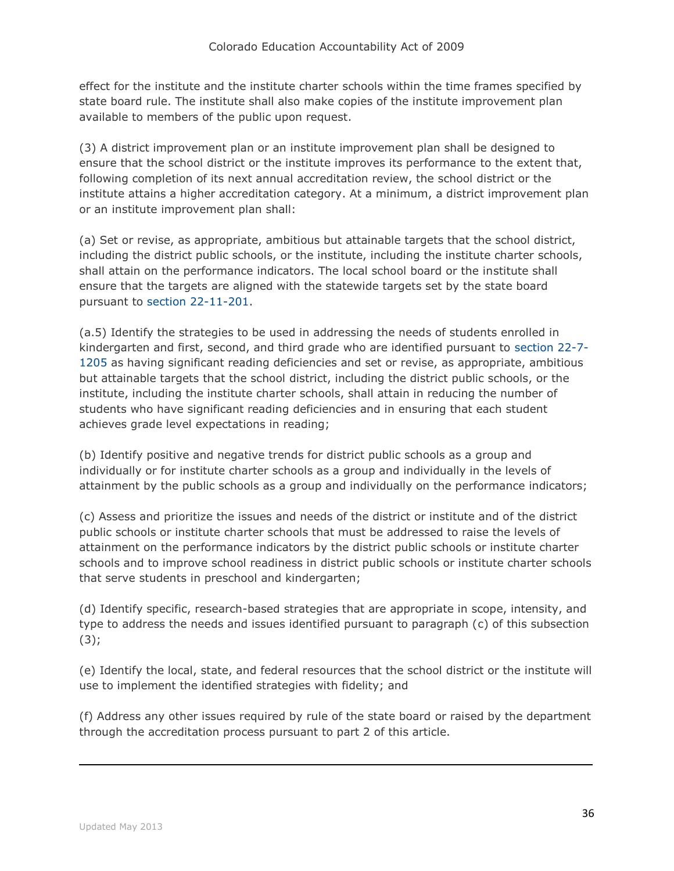effect for the institute and the institute charter schools within the time frames specified by state board rule. The institute shall also make copies of the institute improvement plan available to members of the public upon request.

(3) A district improvement plan or an institute improvement plan shall be designed to ensure that the school district or the institute improves its performance to the extent that, following completion of its next annual accreditation review, the school district or the institute attains a higher accreditation category. At a minimum, a district improvement plan or an institute improvement plan shall:

(a) Set or revise, as appropriate, ambitious but attainable targets that the school district, including the district public schools, or the institute, including the institute charter schools, shall attain on the performance indicators. The local school board or the institute shall ensure that the targets are aligned with the statewide targets set by the state board pursuant to [section 22-11-201.](http://web.lexisnexis.com/research/buttonTFLink?_m=f5c0d8b37b5eb47ce1f7012bc914126b&_xfercite=%3ccite%20cc%3d%22USA%22%3e%3c%21%5bCDATA%5bC.R.S.%2022-11-304%5d%5d%3e%3c%2fcite%3e&_butType=4&_butStat=0&_butNum=6&_butInline=1&_butinfo=COCODE%2022-11-201&_fmtstr=FULL&docnum=1&_startdoc=1&wchp=dGLzVzt-zSkAW&_md5=80a3f2c6a0a897fcfc28c47aa4bcd16a)

(a.5) Identify the strategies to be used in addressing the needs of students enrolled in kindergarten and first, second, and third grade who are identified pursuant to [section 22-7-](http://web.lexisnexis.com/research/buttonTFLink?_m=f5c0d8b37b5eb47ce1f7012bc914126b&_xfercite=%3ccite%20cc%3d%22USA%22%3e%3c%21%5bCDATA%5bC.R.S.%2022-11-304%5d%5d%3e%3c%2fcite%3e&_butType=4&_butStat=0&_butNum=7&_butInline=1&_butinfo=COCODE%2022-7-1205&_fmtstr=FULL&docnum=1&_startdoc=1&wchp=dGLzVzt-zSkAW&_md5=8933e6f5d8c51e7058b11450744a67d1) [1205](http://web.lexisnexis.com/research/buttonTFLink?_m=f5c0d8b37b5eb47ce1f7012bc914126b&_xfercite=%3ccite%20cc%3d%22USA%22%3e%3c%21%5bCDATA%5bC.R.S.%2022-11-304%5d%5d%3e%3c%2fcite%3e&_butType=4&_butStat=0&_butNum=7&_butInline=1&_butinfo=COCODE%2022-7-1205&_fmtstr=FULL&docnum=1&_startdoc=1&wchp=dGLzVzt-zSkAW&_md5=8933e6f5d8c51e7058b11450744a67d1) as having significant reading deficiencies and set or revise, as appropriate, ambitious but attainable targets that the school district, including the district public schools, or the institute, including the institute charter schools, shall attain in reducing the number of students who have significant reading deficiencies and in ensuring that each student achieves grade level expectations in reading;

(b) Identify positive and negative trends for district public schools as a group and individually or for institute charter schools as a group and individually in the levels of attainment by the public schools as a group and individually on the performance indicators;

(c) Assess and prioritize the issues and needs of the district or institute and of the district public schools or institute charter schools that must be addressed to raise the levels of attainment on the performance indicators by the district public schools or institute charter schools and to improve school readiness in district public schools or institute charter schools that serve students in preschool and kindergarten;

(d) Identify specific, research-based strategies that are appropriate in scope, intensity, and type to address the needs and issues identified pursuant to paragraph (c) of this subsection  $(3);$ 

(e) Identify the local, state, and federal resources that the school district or the institute will use to implement the identified strategies with fidelity; and

(f) Address any other issues required by rule of the state board or raised by the department through the accreditation process pursuant to part 2 of this article.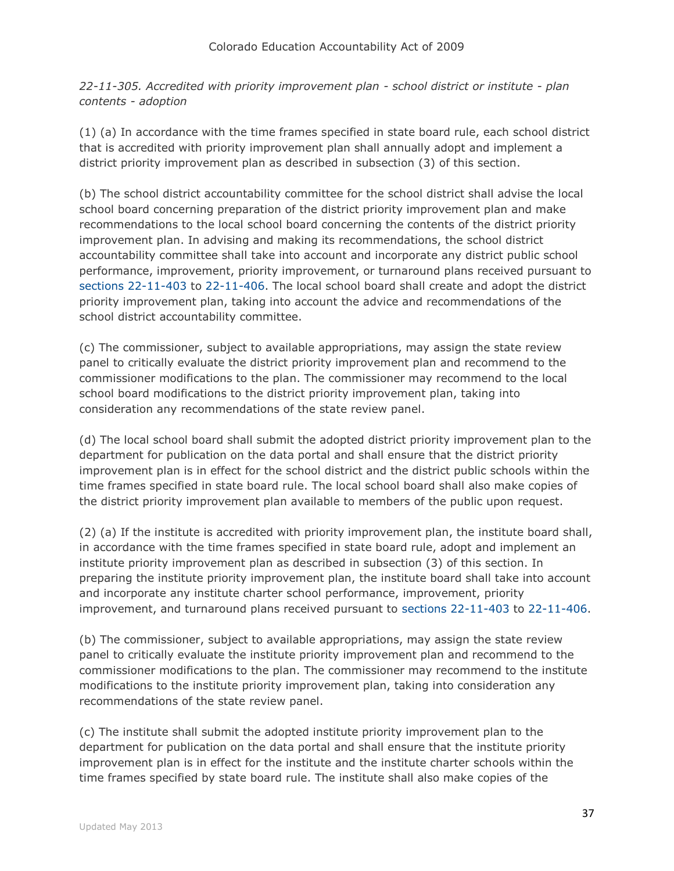*22-11-305. Accredited with priority improvement plan - school district or institute - plan contents - adoption*

(1) (a) In accordance with the time frames specified in state board rule, each school district that is accredited with priority improvement plan shall annually adopt and implement a district priority improvement plan as described in subsection (3) of this section.

(b) The school district accountability committee for the school district shall advise the local school board concerning preparation of the district priority improvement plan and make recommendations to the local school board concerning the contents of the district priority improvement plan. In advising and making its recommendations, the school district accountability committee shall take into account and incorporate any district public school performance, improvement, priority improvement, or turnaround plans received pursuant to [sections 22-11-403](http://web.lexisnexis.com/research/buttonTFLink?_m=8aebfc3999187c7be0bd77145a53180e&_xfercite=%3ccite%20cc%3d%22USA%22%3e%3c%21%5bCDATA%5bC.R.S.%2022-11-305%5d%5d%3e%3c%2fcite%3e&_butType=4&_butStat=0&_butNum=2&_butInline=1&_butinfo=COCODE%2022-11-403&_fmtstr=FULL&docnum=1&_startdoc=1&wchp=dGLzVzt-zSkAW&_md5=523c5f3e4561d2c89f5327b75dcf66f6) to [22-11-406.](http://web.lexisnexis.com/research/buttonTFLink?_m=8aebfc3999187c7be0bd77145a53180e&_xfercite=%3ccite%20cc%3d%22USA%22%3e%3c%21%5bCDATA%5bC.R.S.%2022-11-305%5d%5d%3e%3c%2fcite%3e&_butType=4&_butStat=0&_butNum=3&_butInline=1&_butinfo=COCODE%2022-11-406&_fmtstr=FULL&docnum=1&_startdoc=1&wchp=dGLzVzt-zSkAW&_md5=5b5cd996a8a7b53abea0e2359cfdb5eb) The local school board shall create and adopt the district priority improvement plan, taking into account the advice and recommendations of the school district accountability committee.

(c) The commissioner, subject to available appropriations, may assign the state review panel to critically evaluate the district priority improvement plan and recommend to the commissioner modifications to the plan. The commissioner may recommend to the local school board modifications to the district priority improvement plan, taking into consideration any recommendations of the state review panel.

(d) The local school board shall submit the adopted district priority improvement plan to the department for publication on the data portal and shall ensure that the district priority improvement plan is in effect for the school district and the district public schools within the time frames specified in state board rule. The local school board shall also make copies of the district priority improvement plan available to members of the public upon request.

(2) (a) If the institute is accredited with priority improvement plan, the institute board shall, in accordance with the time frames specified in state board rule, adopt and implement an institute priority improvement plan as described in subsection (3) of this section. In preparing the institute priority improvement plan, the institute board shall take into account and incorporate any institute charter school performance, improvement, priority improvement, and turnaround plans received pursuant to [sections 22-11-403](http://web.lexisnexis.com/research/buttonTFLink?_m=8aebfc3999187c7be0bd77145a53180e&_xfercite=%3ccite%20cc%3d%22USA%22%3e%3c%21%5bCDATA%5bC.R.S.%2022-11-305%5d%5d%3e%3c%2fcite%3e&_butType=4&_butStat=0&_butNum=4&_butInline=1&_butinfo=COCODE%2022-11-403&_fmtstr=FULL&docnum=1&_startdoc=1&wchp=dGLzVzt-zSkAW&_md5=7b7d0609c373604298ec9126a3042dcb) to [22-11-406.](http://web.lexisnexis.com/research/buttonTFLink?_m=8aebfc3999187c7be0bd77145a53180e&_xfercite=%3ccite%20cc%3d%22USA%22%3e%3c%21%5bCDATA%5bC.R.S.%2022-11-305%5d%5d%3e%3c%2fcite%3e&_butType=4&_butStat=0&_butNum=5&_butInline=1&_butinfo=COCODE%2022-11-406&_fmtstr=FULL&docnum=1&_startdoc=1&wchp=dGLzVzt-zSkAW&_md5=ef880b82639fe92544e49a97a5f7dd28)

(b) The commissioner, subject to available appropriations, may assign the state review panel to critically evaluate the institute priority improvement plan and recommend to the commissioner modifications to the plan. The commissioner may recommend to the institute modifications to the institute priority improvement plan, taking into consideration any recommendations of the state review panel.

(c) The institute shall submit the adopted institute priority improvement plan to the department for publication on the data portal and shall ensure that the institute priority improvement plan is in effect for the institute and the institute charter schools within the time frames specified by state board rule. The institute shall also make copies of the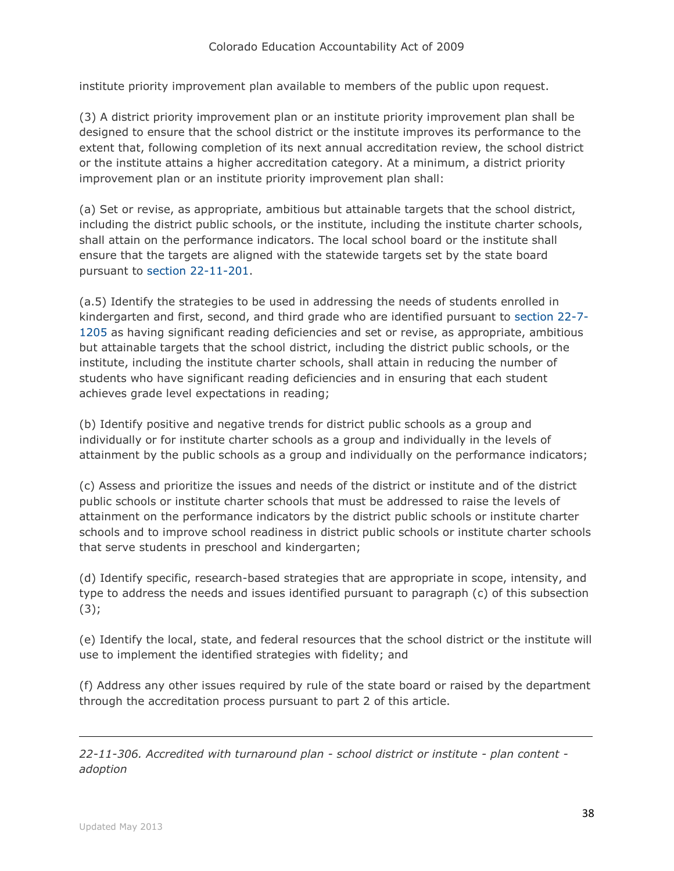institute priority improvement plan available to members of the public upon request.

(3) A district priority improvement plan or an institute priority improvement plan shall be designed to ensure that the school district or the institute improves its performance to the extent that, following completion of its next annual accreditation review, the school district or the institute attains a higher accreditation category. At a minimum, a district priority improvement plan or an institute priority improvement plan shall:

(a) Set or revise, as appropriate, ambitious but attainable targets that the school district, including the district public schools, or the institute, including the institute charter schools, shall attain on the performance indicators. The local school board or the institute shall ensure that the targets are aligned with the statewide targets set by the state board pursuant to [section 22-11-201.](http://web.lexisnexis.com/research/buttonTFLink?_m=8aebfc3999187c7be0bd77145a53180e&_xfercite=%3ccite%20cc%3d%22USA%22%3e%3c%21%5bCDATA%5bC.R.S.%2022-11-305%5d%5d%3e%3c%2fcite%3e&_butType=4&_butStat=0&_butNum=6&_butInline=1&_butinfo=COCODE%2022-11-201&_fmtstr=FULL&docnum=1&_startdoc=1&wchp=dGLzVzt-zSkAW&_md5=10cd808bf71212ebfc82913da39e26a0)

(a.5) Identify the strategies to be used in addressing the needs of students enrolled in kindergarten and first, second, and third grade who are identified pursuant to [section 22-7-](http://web.lexisnexis.com/research/buttonTFLink?_m=8aebfc3999187c7be0bd77145a53180e&_xfercite=%3ccite%20cc%3d%22USA%22%3e%3c%21%5bCDATA%5bC.R.S.%2022-11-305%5d%5d%3e%3c%2fcite%3e&_butType=4&_butStat=0&_butNum=7&_butInline=1&_butinfo=COCODE%2022-7-1205&_fmtstr=FULL&docnum=1&_startdoc=1&wchp=dGLzVzt-zSkAW&_md5=df63077a8f93e5b3e6c5b9dd902c7154) [1205](http://web.lexisnexis.com/research/buttonTFLink?_m=8aebfc3999187c7be0bd77145a53180e&_xfercite=%3ccite%20cc%3d%22USA%22%3e%3c%21%5bCDATA%5bC.R.S.%2022-11-305%5d%5d%3e%3c%2fcite%3e&_butType=4&_butStat=0&_butNum=7&_butInline=1&_butinfo=COCODE%2022-7-1205&_fmtstr=FULL&docnum=1&_startdoc=1&wchp=dGLzVzt-zSkAW&_md5=df63077a8f93e5b3e6c5b9dd902c7154) as having significant reading deficiencies and set or revise, as appropriate, ambitious but attainable targets that the school district, including the district public schools, or the institute, including the institute charter schools, shall attain in reducing the number of students who have significant reading deficiencies and in ensuring that each student achieves grade level expectations in reading;

(b) Identify positive and negative trends for district public schools as a group and individually or for institute charter schools as a group and individually in the levels of attainment by the public schools as a group and individually on the performance indicators;

(c) Assess and prioritize the issues and needs of the district or institute and of the district public schools or institute charter schools that must be addressed to raise the levels of attainment on the performance indicators by the district public schools or institute charter schools and to improve school readiness in district public schools or institute charter schools that serve students in preschool and kindergarten;

(d) Identify specific, research-based strategies that are appropriate in scope, intensity, and type to address the needs and issues identified pursuant to paragraph (c) of this subsection (3);

(e) Identify the local, state, and federal resources that the school district or the institute will use to implement the identified strategies with fidelity; and

(f) Address any other issues required by rule of the state board or raised by the department through the accreditation process pursuant to part 2 of this article.

*22-11-306. Accredited with turnaround plan - school district or institute - plan content adoption*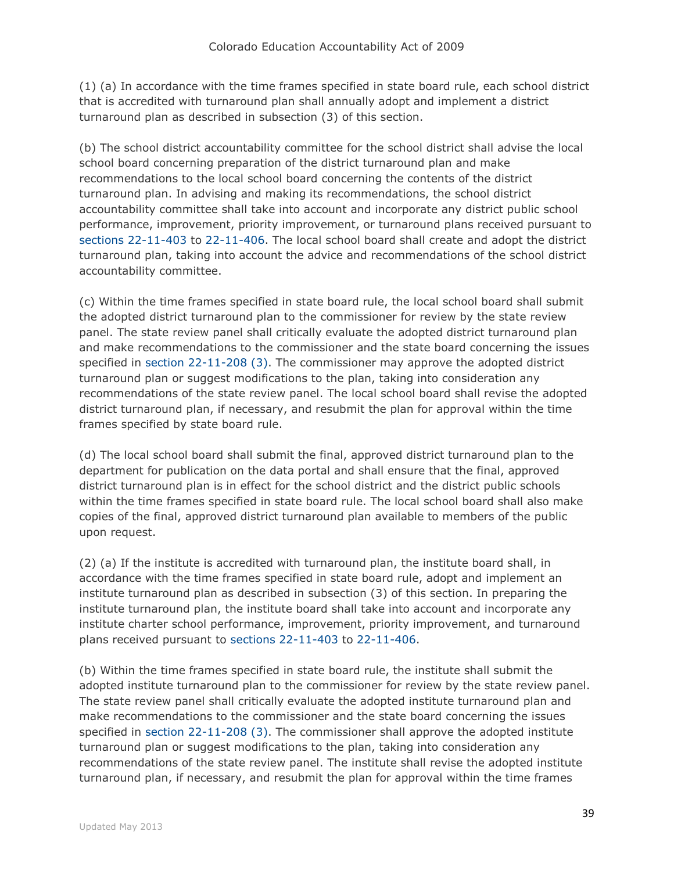(1) (a) In accordance with the time frames specified in state board rule, each school district that is accredited with turnaround plan shall annually adopt and implement a district turnaround plan as described in subsection (3) of this section.

(b) The school district accountability committee for the school district shall advise the local school board concerning preparation of the district turnaround plan and make recommendations to the local school board concerning the contents of the district turnaround plan. In advising and making its recommendations, the school district accountability committee shall take into account and incorporate any district public school performance, improvement, priority improvement, or turnaround plans received pursuant to [sections 22-11-403](http://web.lexisnexis.com/research/buttonTFLink?_m=2f0fe7871d9653c0580cc2aaafccca43&_xfercite=%3ccite%20cc%3d%22USA%22%3e%3c%21%5bCDATA%5bC.R.S.%2022-11-306%5d%5d%3e%3c%2fcite%3e&_butType=4&_butStat=0&_butNum=2&_butInline=1&_butinfo=COCODE%2022-11-403&_fmtstr=FULL&docnum=1&_startdoc=1&wchp=dGLzVzt-zSkAW&_md5=3281df90c0dcf910643ab512edc7682a) to [22-11-406.](http://web.lexisnexis.com/research/buttonTFLink?_m=2f0fe7871d9653c0580cc2aaafccca43&_xfercite=%3ccite%20cc%3d%22USA%22%3e%3c%21%5bCDATA%5bC.R.S.%2022-11-306%5d%5d%3e%3c%2fcite%3e&_butType=4&_butStat=0&_butNum=3&_butInline=1&_butinfo=COCODE%2022-11-406&_fmtstr=FULL&docnum=1&_startdoc=1&wchp=dGLzVzt-zSkAW&_md5=1244fc79cdb8f19456c0af3885596427) The local school board shall create and adopt the district turnaround plan, taking into account the advice and recommendations of the school district accountability committee.

(c) Within the time frames specified in state board rule, the local school board shall submit the adopted district turnaround plan to the commissioner for review by the state review panel. The state review panel shall critically evaluate the adopted district turnaround plan and make recommendations to the commissioner and the state board concerning the issues specified in [section 22-11-208 \(3\).](http://web.lexisnexis.com/research/buttonTFLink?_m=2f0fe7871d9653c0580cc2aaafccca43&_xfercite=%3ccite%20cc%3d%22USA%22%3e%3c%21%5bCDATA%5bC.R.S.%2022-11-306%5d%5d%3e%3c%2fcite%3e&_butType=4&_butStat=0&_butNum=4&_butInline=1&_butinfo=COCODE%2022-11-208&_fmtstr=FULL&docnum=1&_startdoc=1&wchp=dGLzVzt-zSkAW&_md5=6eea9a026ad2d82017ceb053e932c9a6) The commissioner may approve the adopted district turnaround plan or suggest modifications to the plan, taking into consideration any recommendations of the state review panel. The local school board shall revise the adopted district turnaround plan, if necessary, and resubmit the plan for approval within the time frames specified by state board rule.

(d) The local school board shall submit the final, approved district turnaround plan to the department for publication on the data portal and shall ensure that the final, approved district turnaround plan is in effect for the school district and the district public schools within the time frames specified in state board rule. The local school board shall also make copies of the final, approved district turnaround plan available to members of the public upon request.

(2) (a) If the institute is accredited with turnaround plan, the institute board shall, in accordance with the time frames specified in state board rule, adopt and implement an institute turnaround plan as described in subsection (3) of this section. In preparing the institute turnaround plan, the institute board shall take into account and incorporate any institute charter school performance, improvement, priority improvement, and turnaround plans received pursuant to [sections 22-11-403](http://web.lexisnexis.com/research/buttonTFLink?_m=2f0fe7871d9653c0580cc2aaafccca43&_xfercite=%3ccite%20cc%3d%22USA%22%3e%3c%21%5bCDATA%5bC.R.S.%2022-11-306%5d%5d%3e%3c%2fcite%3e&_butType=4&_butStat=0&_butNum=5&_butInline=1&_butinfo=COCODE%2022-11-403&_fmtstr=FULL&docnum=1&_startdoc=1&wchp=dGLzVzt-zSkAW&_md5=a28c1f8f449f4d149d584e80c3837a0b) to [22-11-406.](http://web.lexisnexis.com/research/buttonTFLink?_m=2f0fe7871d9653c0580cc2aaafccca43&_xfercite=%3ccite%20cc%3d%22USA%22%3e%3c%21%5bCDATA%5bC.R.S.%2022-11-306%5d%5d%3e%3c%2fcite%3e&_butType=4&_butStat=0&_butNum=6&_butInline=1&_butinfo=COCODE%2022-11-406&_fmtstr=FULL&docnum=1&_startdoc=1&wchp=dGLzVzt-zSkAW&_md5=f6e64e90590ebf6e269d9e72ec4246fd)

(b) Within the time frames specified in state board rule, the institute shall submit the adopted institute turnaround plan to the commissioner for review by the state review panel. The state review panel shall critically evaluate the adopted institute turnaround plan and make recommendations to the commissioner and the state board concerning the issues specified in [section 22-11-208 \(3\).](http://web.lexisnexis.com/research/buttonTFLink?_m=2f0fe7871d9653c0580cc2aaafccca43&_xfercite=%3ccite%20cc%3d%22USA%22%3e%3c%21%5bCDATA%5bC.R.S.%2022-11-306%5d%5d%3e%3c%2fcite%3e&_butType=4&_butStat=0&_butNum=7&_butInline=1&_butinfo=COCODE%2022-11-208&_fmtstr=FULL&docnum=1&_startdoc=1&wchp=dGLzVzt-zSkAW&_md5=e39b944a18087c13d6a4803b5cdb2046) The commissioner shall approve the adopted institute turnaround plan or suggest modifications to the plan, taking into consideration any recommendations of the state review panel. The institute shall revise the adopted institute turnaround plan, if necessary, and resubmit the plan for approval within the time frames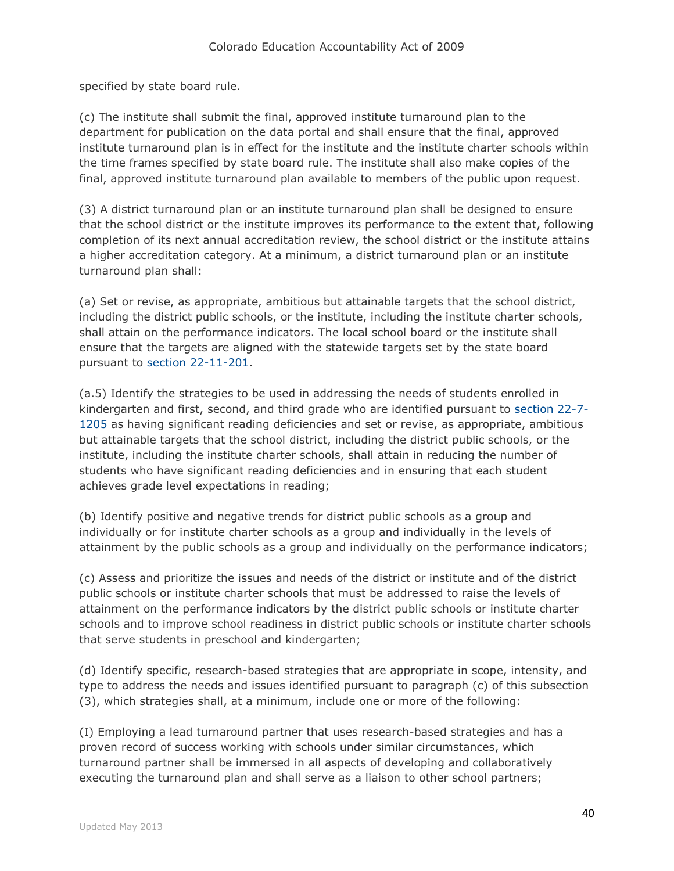specified by state board rule.

(c) The institute shall submit the final, approved institute turnaround plan to the department for publication on the data portal and shall ensure that the final, approved institute turnaround plan is in effect for the institute and the institute charter schools within the time frames specified by state board rule. The institute shall also make copies of the final, approved institute turnaround plan available to members of the public upon request.

(3) A district turnaround plan or an institute turnaround plan shall be designed to ensure that the school district or the institute improves its performance to the extent that, following completion of its next annual accreditation review, the school district or the institute attains a higher accreditation category. At a minimum, a district turnaround plan or an institute turnaround plan shall:

(a) Set or revise, as appropriate, ambitious but attainable targets that the school district, including the district public schools, or the institute, including the institute charter schools, shall attain on the performance indicators. The local school board or the institute shall ensure that the targets are aligned with the statewide targets set by the state board pursuant to [section 22-11-201.](http://web.lexisnexis.com/research/buttonTFLink?_m=2f0fe7871d9653c0580cc2aaafccca43&_xfercite=%3ccite%20cc%3d%22USA%22%3e%3c%21%5bCDATA%5bC.R.S.%2022-11-306%5d%5d%3e%3c%2fcite%3e&_butType=4&_butStat=0&_butNum=8&_butInline=1&_butinfo=COCODE%2022-11-201&_fmtstr=FULL&docnum=1&_startdoc=1&wchp=dGLzVzt-zSkAW&_md5=ec3b1cbfebe0c8e65a8c66a560549268)

(a.5) Identify the strategies to be used in addressing the needs of students enrolled in kindergarten and first, second, and third grade who are identified pursuant to [section 22-7-](http://web.lexisnexis.com/research/buttonTFLink?_m=2f0fe7871d9653c0580cc2aaafccca43&_xfercite=%3ccite%20cc%3d%22USA%22%3e%3c%21%5bCDATA%5bC.R.S.%2022-11-306%5d%5d%3e%3c%2fcite%3e&_butType=4&_butStat=0&_butNum=9&_butInline=1&_butinfo=COCODE%2022-7-1205&_fmtstr=FULL&docnum=1&_startdoc=1&wchp=dGLzVzt-zSkAW&_md5=671fa84cd4a68fb8f492a941d6f5a3e7) [1205](http://web.lexisnexis.com/research/buttonTFLink?_m=2f0fe7871d9653c0580cc2aaafccca43&_xfercite=%3ccite%20cc%3d%22USA%22%3e%3c%21%5bCDATA%5bC.R.S.%2022-11-306%5d%5d%3e%3c%2fcite%3e&_butType=4&_butStat=0&_butNum=9&_butInline=1&_butinfo=COCODE%2022-7-1205&_fmtstr=FULL&docnum=1&_startdoc=1&wchp=dGLzVzt-zSkAW&_md5=671fa84cd4a68fb8f492a941d6f5a3e7) as having significant reading deficiencies and set or revise, as appropriate, ambitious but attainable targets that the school district, including the district public schools, or the institute, including the institute charter schools, shall attain in reducing the number of students who have significant reading deficiencies and in ensuring that each student achieves grade level expectations in reading;

(b) Identify positive and negative trends for district public schools as a group and individually or for institute charter schools as a group and individually in the levels of attainment by the public schools as a group and individually on the performance indicators;

(c) Assess and prioritize the issues and needs of the district or institute and of the district public schools or institute charter schools that must be addressed to raise the levels of attainment on the performance indicators by the district public schools or institute charter schools and to improve school readiness in district public schools or institute charter schools that serve students in preschool and kindergarten;

(d) Identify specific, research-based strategies that are appropriate in scope, intensity, and type to address the needs and issues identified pursuant to paragraph (c) of this subsection (3), which strategies shall, at a minimum, include one or more of the following:

(I) Employing a lead turnaround partner that uses research-based strategies and has a proven record of success working with schools under similar circumstances, which turnaround partner shall be immersed in all aspects of developing and collaboratively executing the turnaround plan and shall serve as a liaison to other school partners;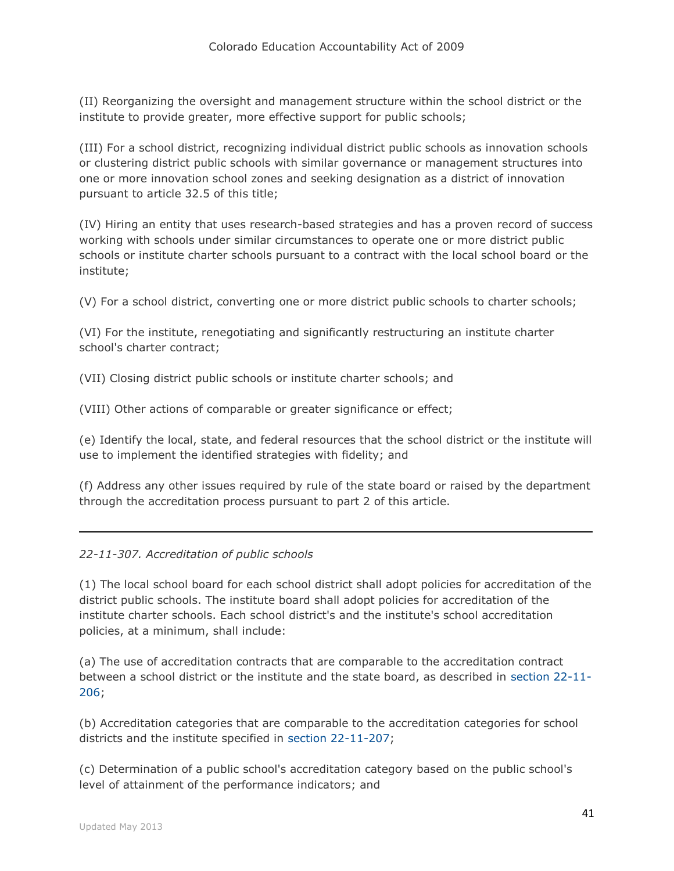(II) Reorganizing the oversight and management structure within the school district or the institute to provide greater, more effective support for public schools;

(III) For a school district, recognizing individual district public schools as innovation schools or clustering district public schools with similar governance or management structures into one or more innovation school zones and seeking designation as a district of innovation pursuant to article 32.5 of this title;

(IV) Hiring an entity that uses research-based strategies and has a proven record of success working with schools under similar circumstances to operate one or more district public schools or institute charter schools pursuant to a contract with the local school board or the institute;

(V) For a school district, converting one or more district public schools to charter schools;

(VI) For the institute, renegotiating and significantly restructuring an institute charter school's charter contract;

(VII) Closing district public schools or institute charter schools; and

(VIII) Other actions of comparable or greater significance or effect;

(e) Identify the local, state, and federal resources that the school district or the institute will use to implement the identified strategies with fidelity; and

(f) Address any other issues required by rule of the state board or raised by the department through the accreditation process pursuant to part 2 of this article.

### *22-11-307. Accreditation of public schools*

(1) The local school board for each school district shall adopt policies for accreditation of the district public schools. The institute board shall adopt policies for accreditation of the institute charter schools. Each school district's and the institute's school accreditation policies, at a minimum, shall include:

(a) The use of accreditation contracts that are comparable to the accreditation contract between a school district or the institute and the state board, as described in [section 22-11-](http://web.lexisnexis.com/research/buttonTFLink?_m=a61b690c0436278afd65a884ea06e21d&_xfercite=%3ccite%20cc%3d%22USA%22%3e%3c%21%5bCDATA%5bC.R.S.%2022-11-307%5d%5d%3e%3c%2fcite%3e&_butType=4&_butStat=0&_butNum=2&_butInline=1&_butinfo=COCODE%2022-11-206&_fmtstr=FULL&docnum=1&_startdoc=1&wchp=dGLzVzt-zSkAW&_md5=90c19e15a286ea0d67f1d263e281014e) [206;](http://web.lexisnexis.com/research/buttonTFLink?_m=a61b690c0436278afd65a884ea06e21d&_xfercite=%3ccite%20cc%3d%22USA%22%3e%3c%21%5bCDATA%5bC.R.S.%2022-11-307%5d%5d%3e%3c%2fcite%3e&_butType=4&_butStat=0&_butNum=2&_butInline=1&_butinfo=COCODE%2022-11-206&_fmtstr=FULL&docnum=1&_startdoc=1&wchp=dGLzVzt-zSkAW&_md5=90c19e15a286ea0d67f1d263e281014e)

(b) Accreditation categories that are comparable to the accreditation categories for school districts and the institute specified in [section 22-11-207;](http://web.lexisnexis.com/research/buttonTFLink?_m=a61b690c0436278afd65a884ea06e21d&_xfercite=%3ccite%20cc%3d%22USA%22%3e%3c%21%5bCDATA%5bC.R.S.%2022-11-307%5d%5d%3e%3c%2fcite%3e&_butType=4&_butStat=0&_butNum=3&_butInline=1&_butinfo=COCODE%2022-11-207&_fmtstr=FULL&docnum=1&_startdoc=1&wchp=dGLzVzt-zSkAW&_md5=fa91e9b59879a306dac407a56d753a5c)

(c) Determination of a public school's accreditation category based on the public school's level of attainment of the performance indicators; and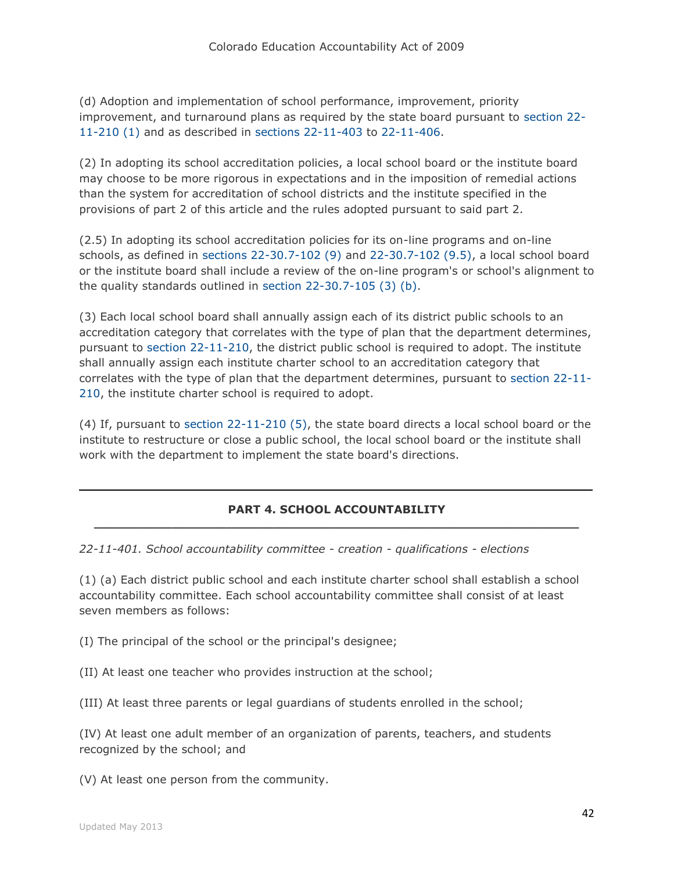(d) Adoption and implementation of school performance, improvement, priority improvement, and turnaround plans as required by the state board pursuant to [section 22-](http://web.lexisnexis.com/research/buttonTFLink?_m=a61b690c0436278afd65a884ea06e21d&_xfercite=%3ccite%20cc%3d%22USA%22%3e%3c%21%5bCDATA%5bC.R.S.%2022-11-307%5d%5d%3e%3c%2fcite%3e&_butType=4&_butStat=0&_butNum=4&_butInline=1&_butinfo=COCODE%2022-11-210&_fmtstr=FULL&docnum=1&_startdoc=1&wchp=dGLzVzt-zSkAW&_md5=556a0729057809d5184c93a4a1939565) [11-210 \(1\)](http://web.lexisnexis.com/research/buttonTFLink?_m=a61b690c0436278afd65a884ea06e21d&_xfercite=%3ccite%20cc%3d%22USA%22%3e%3c%21%5bCDATA%5bC.R.S.%2022-11-307%5d%5d%3e%3c%2fcite%3e&_butType=4&_butStat=0&_butNum=4&_butInline=1&_butinfo=COCODE%2022-11-210&_fmtstr=FULL&docnum=1&_startdoc=1&wchp=dGLzVzt-zSkAW&_md5=556a0729057809d5184c93a4a1939565) and as described in [sections 22-11-403](http://web.lexisnexis.com/research/buttonTFLink?_m=a61b690c0436278afd65a884ea06e21d&_xfercite=%3ccite%20cc%3d%22USA%22%3e%3c%21%5bCDATA%5bC.R.S.%2022-11-307%5d%5d%3e%3c%2fcite%3e&_butType=4&_butStat=0&_butNum=5&_butInline=1&_butinfo=COCODE%2022-11-403&_fmtstr=FULL&docnum=1&_startdoc=1&wchp=dGLzVzt-zSkAW&_md5=b3d5a12df96abc4968b0c0d9278fb14d) to [22-11-406.](http://web.lexisnexis.com/research/buttonTFLink?_m=a61b690c0436278afd65a884ea06e21d&_xfercite=%3ccite%20cc%3d%22USA%22%3e%3c%21%5bCDATA%5bC.R.S.%2022-11-307%5d%5d%3e%3c%2fcite%3e&_butType=4&_butStat=0&_butNum=6&_butInline=1&_butinfo=COCODE%2022-11-406&_fmtstr=FULL&docnum=1&_startdoc=1&wchp=dGLzVzt-zSkAW&_md5=10397caffdbb909fda87459b7b0a1926)

(2) In adopting its school accreditation policies, a local school board or the institute board may choose to be more rigorous in expectations and in the imposition of remedial actions than the system for accreditation of school districts and the institute specified in the provisions of part 2 of this article and the rules adopted pursuant to said part 2.

(2.5) In adopting its school accreditation policies for its on-line programs and on-line schools, as defined in [sections 22-30.7-102 \(9\)](http://web.lexisnexis.com/research/buttonTFLink?_m=a61b690c0436278afd65a884ea06e21d&_xfercite=%3ccite%20cc%3d%22USA%22%3e%3c%21%5bCDATA%5bC.R.S.%2022-11-307%5d%5d%3e%3c%2fcite%3e&_butType=4&_butStat=0&_butNum=7&_butInline=1&_butinfo=COCODE%2022-30.7-102&_fmtstr=FULL&docnum=1&_startdoc=1&wchp=dGLzVzt-zSkAW&_md5=c7a020ffeec817c2da4f5eb0279e5024) and [22-30.7-102 \(9.5\),](http://web.lexisnexis.com/research/buttonTFLink?_m=a61b690c0436278afd65a884ea06e21d&_xfercite=%3ccite%20cc%3d%22USA%22%3e%3c%21%5bCDATA%5bC.R.S.%2022-11-307%5d%5d%3e%3c%2fcite%3e&_butType=4&_butStat=0&_butNum=8&_butInline=1&_butinfo=COCODE%2022-30.7-102&_fmtstr=FULL&docnum=1&_startdoc=1&wchp=dGLzVzt-zSkAW&_md5=8707176bc4a785eab3c507c54562a85a) a local school board or the institute board shall include a review of the on-line program's or school's alignment to the quality standards outlined in [section 22-30.7-105 \(3\) \(b\).](http://web.lexisnexis.com/research/buttonTFLink?_m=a61b690c0436278afd65a884ea06e21d&_xfercite=%3ccite%20cc%3d%22USA%22%3e%3c%21%5bCDATA%5bC.R.S.%2022-11-307%5d%5d%3e%3c%2fcite%3e&_butType=4&_butStat=0&_butNum=9&_butInline=1&_butinfo=COCODE%2022-30.7-105&_fmtstr=FULL&docnum=1&_startdoc=1&wchp=dGLzVzt-zSkAW&_md5=085e47fc1ba750c542c2c7a324338a11)

(3) Each local school board shall annually assign each of its district public schools to an accreditation category that correlates with the type of plan that the department determines, pursuant to [section 22-11-210,](http://web.lexisnexis.com/research/buttonTFLink?_m=a61b690c0436278afd65a884ea06e21d&_xfercite=%3ccite%20cc%3d%22USA%22%3e%3c%21%5bCDATA%5bC.R.S.%2022-11-307%5d%5d%3e%3c%2fcite%3e&_butType=4&_butStat=0&_butNum=10&_butInline=1&_butinfo=COCODE%2022-11-210&_fmtstr=FULL&docnum=1&_startdoc=1&wchp=dGLzVzt-zSkAW&_md5=46c7c621f716111357a344e7d80da591) the district public school is required to adopt. The institute shall annually assign each institute charter school to an accreditation category that correlates with the type of plan that the department determines, pursuant to [section 22-11-](http://web.lexisnexis.com/research/buttonTFLink?_m=a61b690c0436278afd65a884ea06e21d&_xfercite=%3ccite%20cc%3d%22USA%22%3e%3c%21%5bCDATA%5bC.R.S.%2022-11-307%5d%5d%3e%3c%2fcite%3e&_butType=4&_butStat=0&_butNum=11&_butInline=1&_butinfo=COCODE%2022-11-210&_fmtstr=FULL&docnum=1&_startdoc=1&wchp=dGLzVzt-zSkAW&_md5=97f685a8e100852fb9d60495f7758a72) [210,](http://web.lexisnexis.com/research/buttonTFLink?_m=a61b690c0436278afd65a884ea06e21d&_xfercite=%3ccite%20cc%3d%22USA%22%3e%3c%21%5bCDATA%5bC.R.S.%2022-11-307%5d%5d%3e%3c%2fcite%3e&_butType=4&_butStat=0&_butNum=11&_butInline=1&_butinfo=COCODE%2022-11-210&_fmtstr=FULL&docnum=1&_startdoc=1&wchp=dGLzVzt-zSkAW&_md5=97f685a8e100852fb9d60495f7758a72) the institute charter school is required to adopt.

(4) If, pursuant to [section 22-11-210 \(5\),](http://web.lexisnexis.com/research/buttonTFLink?_m=a61b690c0436278afd65a884ea06e21d&_xfercite=%3ccite%20cc%3d%22USA%22%3e%3c%21%5bCDATA%5bC.R.S.%2022-11-307%5d%5d%3e%3c%2fcite%3e&_butType=4&_butStat=0&_butNum=12&_butInline=1&_butinfo=COCODE%2022-11-210&_fmtstr=FULL&docnum=1&_startdoc=1&wchp=dGLzVzt-zSkAW&_md5=434f0460a45a4950ba8ec96f05b59260) the state board directs a local school board or the institute to restructure or close a public school, the local school board or the institute shall work with the department to implement the state board's directions.

#### **PART 4. SCHOOL ACCOUNTABILITY \_\_\_\_\_\_\_\_\_\_\_\_\_\_\_\_\_\_\_\_\_\_\_\_\_\_\_\_\_\_\_\_\_\_\_\_\_\_\_\_\_\_\_\_\_\_\_\_\_\_\_\_\_\_\_\_\_\_\_\_\_\_**

*22-11-401. School accountability committee - creation - qualifications - elections*

(1) (a) Each district public school and each institute charter school shall establish a school accountability committee. Each school accountability committee shall consist of at least seven members as follows:

(I) The principal of the school or the principal's designee;

(II) At least one teacher who provides instruction at the school;

(III) At least three parents or legal guardians of students enrolled in the school;

(IV) At least one adult member of an organization of parents, teachers, and students recognized by the school; and

(V) At least one person from the community.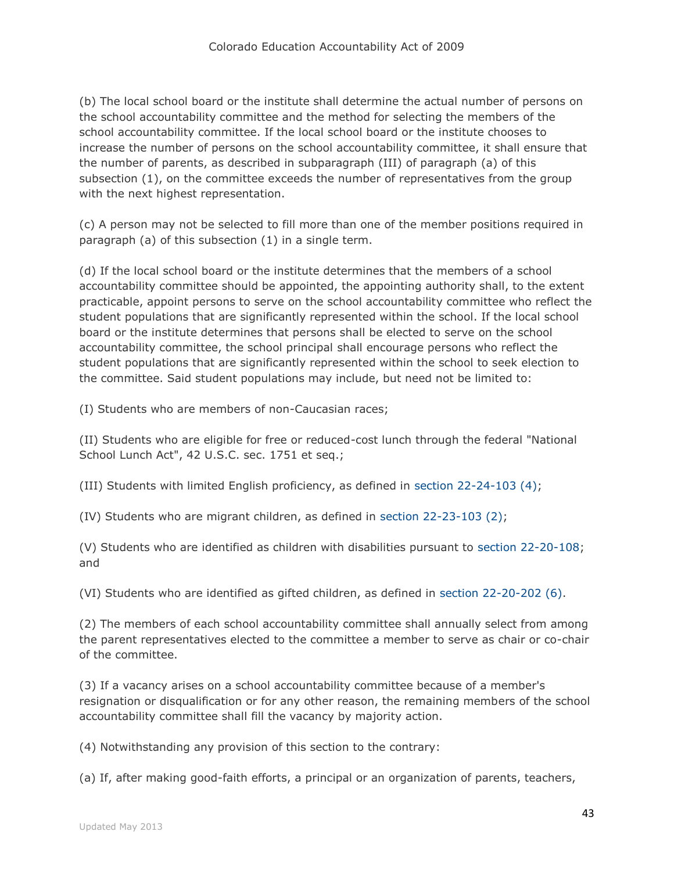(b) The local school board or the institute shall determine the actual number of persons on the school accountability committee and the method for selecting the members of the school accountability committee. If the local school board or the institute chooses to increase the number of persons on the school accountability committee, it shall ensure that the number of parents, as described in subparagraph (III) of paragraph (a) of this subsection (1), on the committee exceeds the number of representatives from the group with the next highest representation.

(c) A person may not be selected to fill more than one of the member positions required in paragraph (a) of this subsection (1) in a single term.

(d) If the local school board or the institute determines that the members of a school accountability committee should be appointed, the appointing authority shall, to the extent practicable, appoint persons to serve on the school accountability committee who reflect the student populations that are significantly represented within the school. If the local school board or the institute determines that persons shall be elected to serve on the school accountability committee, the school principal shall encourage persons who reflect the student populations that are significantly represented within the school to seek election to the committee. Said student populations may include, but need not be limited to:

(I) Students who are members of non-Caucasian races;

(II) Students who are eligible for free or reduced-cost lunch through the federal "National School Lunch Act", 42 U.S.C. sec. 1751 et seq.;

(III) Students with limited English proficiency, as defined in [section 22-24-103 \(4\);](http://web.lexisnexis.com/research/buttonTFLink?_m=7f59bb01dbee2bb1d1ff6bfc25bf4ce2&_xfercite=%3ccite%20cc%3d%22USA%22%3e%3c%21%5bCDATA%5bC.R.S.%2022-11-401%5d%5d%3e%3c%2fcite%3e&_butType=4&_butStat=0&_butNum=3&_butInline=1&_butinfo=COCODE%2022-24-103&_fmtstr=FULL&docnum=1&_startdoc=1&wchp=dGLzVzt-zSkAW&_md5=ff4da5164051dc03c8f48df728b4df7e)

(IV) Students who are migrant children, as defined in [section 22-23-103 \(2\);](http://web.lexisnexis.com/research/buttonTFLink?_m=7f59bb01dbee2bb1d1ff6bfc25bf4ce2&_xfercite=%3ccite%20cc%3d%22USA%22%3e%3c%21%5bCDATA%5bC.R.S.%2022-11-401%5d%5d%3e%3c%2fcite%3e&_butType=4&_butStat=0&_butNum=4&_butInline=1&_butinfo=COCODE%2022-23-103&_fmtstr=FULL&docnum=1&_startdoc=1&wchp=dGLzVzt-zSkAW&_md5=279e2742e47772001ff4294bcb7cedf3)

(V) Students who are identified as children with disabilities pursuant to [section 22-20-108;](http://web.lexisnexis.com/research/buttonTFLink?_m=7f59bb01dbee2bb1d1ff6bfc25bf4ce2&_xfercite=%3ccite%20cc%3d%22USA%22%3e%3c%21%5bCDATA%5bC.R.S.%2022-11-401%5d%5d%3e%3c%2fcite%3e&_butType=4&_butStat=0&_butNum=5&_butInline=1&_butinfo=COCODE%2022-20-108&_fmtstr=FULL&docnum=1&_startdoc=1&wchp=dGLzVzt-zSkAW&_md5=a528077dcfc9e8d4f5dda27abbed722d) and

(VI) Students who are identified as gifted children, as defined in [section 22-20-202 \(6\).](http://web.lexisnexis.com/research/buttonTFLink?_m=7f59bb01dbee2bb1d1ff6bfc25bf4ce2&_xfercite=%3ccite%20cc%3d%22USA%22%3e%3c%21%5bCDATA%5bC.R.S.%2022-11-401%5d%5d%3e%3c%2fcite%3e&_butType=4&_butStat=0&_butNum=6&_butInline=1&_butinfo=COCODE%2022-20-202&_fmtstr=FULL&docnum=1&_startdoc=1&wchp=dGLzVzt-zSkAW&_md5=235882a97433cfcef566fe53db700818)

(2) The members of each school accountability committee shall annually select from among the parent representatives elected to the committee a member to serve as chair or co-chair of the committee.

(3) If a vacancy arises on a school accountability committee because of a member's resignation or disqualification or for any other reason, the remaining members of the school accountability committee shall fill the vacancy by majority action.

(4) Notwithstanding any provision of this section to the contrary:

(a) If, after making good-faith efforts, a principal or an organization of parents, teachers,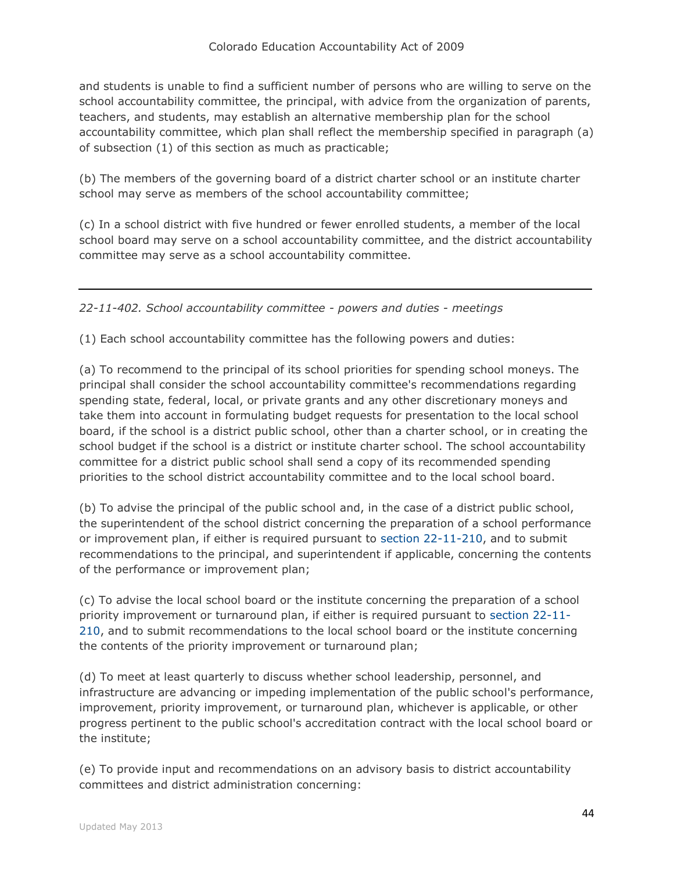and students is unable to find a sufficient number of persons who are willing to serve on the school accountability committee, the principal, with advice from the organization of parents, teachers, and students, may establish an alternative membership plan for the school accountability committee, which plan shall reflect the membership specified in paragraph (a) of subsection (1) of this section as much as practicable;

(b) The members of the governing board of a district charter school or an institute charter school may serve as members of the school accountability committee;

(c) In a school district with five hundred or fewer enrolled students, a member of the local school board may serve on a school accountability committee, and the district accountability committee may serve as a school accountability committee.

*22-11-402. School accountability committee - powers and duties - meetings*

(1) Each school accountability committee has the following powers and duties:

(a) To recommend to the principal of its school priorities for spending school moneys. The principal shall consider the school accountability committee's recommendations regarding spending state, federal, local, or private grants and any other discretionary moneys and take them into account in formulating budget requests for presentation to the local school board, if the school is a district public school, other than a charter school, or in creating the school budget if the school is a district or institute charter school. The school accountability committee for a district public school shall send a copy of its recommended spending priorities to the school district accountability committee and to the local school board.

(b) To advise the principal of the public school and, in the case of a district public school, the superintendent of the school district concerning the preparation of a school performance or improvement plan, if either is required pursuant to [section 22-11-210,](http://web.lexisnexis.com/research/buttonTFLink?_m=fe9d17cb01457503dad0b42ad3adcc87&_xfercite=%3ccite%20cc%3d%22USA%22%3e%3c%21%5bCDATA%5bC.R.S.%2022-11-402%5d%5d%3e%3c%2fcite%3e&_butType=4&_butStat=0&_butNum=2&_butInline=1&_butinfo=COCODE%2022-11-210&_fmtstr=FULL&docnum=1&_startdoc=1&wchp=dGLzVzt-zSkAW&_md5=1a49122c32b406f217f94426ce30b44f) and to submit recommendations to the principal, and superintendent if applicable, concerning the contents of the performance or improvement plan;

(c) To advise the local school board or the institute concerning the preparation of a school priority improvement or turnaround plan, if either is required pursuant to [section 22-11-](http://web.lexisnexis.com/research/buttonTFLink?_m=fe9d17cb01457503dad0b42ad3adcc87&_xfercite=%3ccite%20cc%3d%22USA%22%3e%3c%21%5bCDATA%5bC.R.S.%2022-11-402%5d%5d%3e%3c%2fcite%3e&_butType=4&_butStat=0&_butNum=3&_butInline=1&_butinfo=COCODE%2022-11-210&_fmtstr=FULL&docnum=1&_startdoc=1&wchp=dGLzVzt-zSkAW&_md5=6fb366459f71d35db51ec6f839bcc173) [210,](http://web.lexisnexis.com/research/buttonTFLink?_m=fe9d17cb01457503dad0b42ad3adcc87&_xfercite=%3ccite%20cc%3d%22USA%22%3e%3c%21%5bCDATA%5bC.R.S.%2022-11-402%5d%5d%3e%3c%2fcite%3e&_butType=4&_butStat=0&_butNum=3&_butInline=1&_butinfo=COCODE%2022-11-210&_fmtstr=FULL&docnum=1&_startdoc=1&wchp=dGLzVzt-zSkAW&_md5=6fb366459f71d35db51ec6f839bcc173) and to submit recommendations to the local school board or the institute concerning the contents of the priority improvement or turnaround plan;

(d) To meet at least quarterly to discuss whether school leadership, personnel, and infrastructure are advancing or impeding implementation of the public school's performance, improvement, priority improvement, or turnaround plan, whichever is applicable, or other progress pertinent to the public school's accreditation contract with the local school board or the institute;

(e) To provide input and recommendations on an advisory basis to district accountability committees and district administration concerning: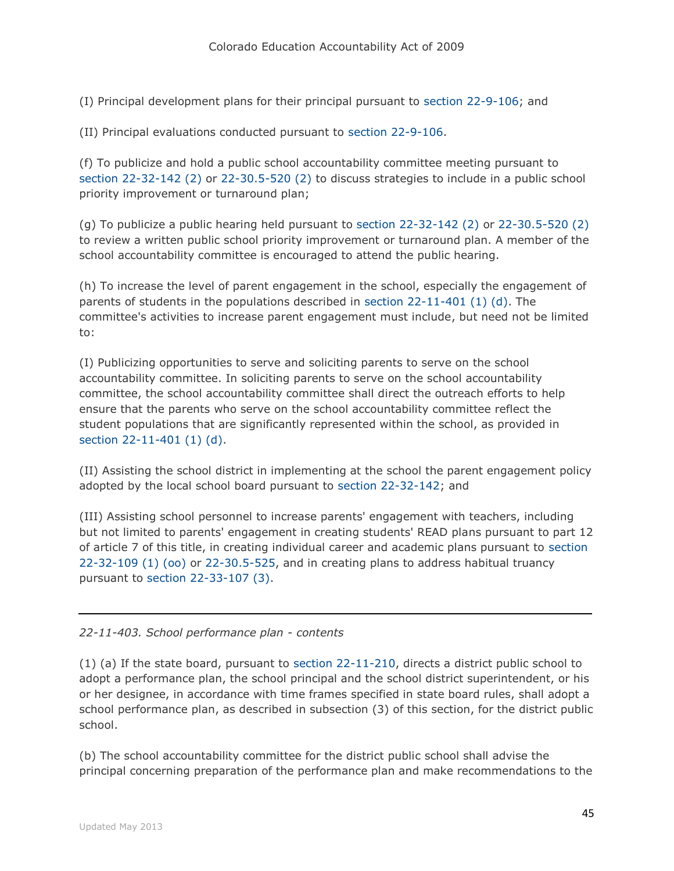(I) Principal development plans for their principal pursuant to [section 22-9-106;](http://web.lexisnexis.com/research/buttonTFLink?_m=fe9d17cb01457503dad0b42ad3adcc87&_xfercite=%3ccite%20cc%3d%22USA%22%3e%3c%21%5bCDATA%5bC.R.S.%2022-11-402%5d%5d%3e%3c%2fcite%3e&_butType=4&_butStat=0&_butNum=4&_butInline=1&_butinfo=COCODE%2022-9-106&_fmtstr=FULL&docnum=1&_startdoc=1&wchp=dGLzVzt-zSkAW&_md5=18b6c7ced1cae6b5c5d0f27a2577d15d) and

(II) Principal evaluations conducted pursuant to [section 22-9-106.](http://web.lexisnexis.com/research/buttonTFLink?_m=fe9d17cb01457503dad0b42ad3adcc87&_xfercite=%3ccite%20cc%3d%22USA%22%3e%3c%21%5bCDATA%5bC.R.S.%2022-11-402%5d%5d%3e%3c%2fcite%3e&_butType=4&_butStat=0&_butNum=5&_butInline=1&_butinfo=COCODE%2022-9-106&_fmtstr=FULL&docnum=1&_startdoc=1&wchp=dGLzVzt-zSkAW&_md5=b818c5e3d35809f633a386e1d77a4014)

(f) To publicize and hold a public school accountability committee meeting pursuant to [section 22-32-142 \(2\)](http://web.lexisnexis.com/research/buttonTFLink?_m=fe9d17cb01457503dad0b42ad3adcc87&_xfercite=%3ccite%20cc%3d%22USA%22%3e%3c%21%5bCDATA%5bC.R.S.%2022-11-402%5d%5d%3e%3c%2fcite%3e&_butType=4&_butStat=0&_butNum=6&_butInline=1&_butinfo=COCODE%2022-32-142&_fmtstr=FULL&docnum=1&_startdoc=1&wchp=dGLzVzt-zSkAW&_md5=c9ad015d743ba176143a1564917d2938) or [22-30.5-520 \(2\)](http://web.lexisnexis.com/research/buttonTFLink?_m=fe9d17cb01457503dad0b42ad3adcc87&_xfercite=%3ccite%20cc%3d%22USA%22%3e%3c%21%5bCDATA%5bC.R.S.%2022-11-402%5d%5d%3e%3c%2fcite%3e&_butType=4&_butStat=0&_butNum=7&_butInline=1&_butinfo=COCODE%2022-30.5-520&_fmtstr=FULL&docnum=1&_startdoc=1&wchp=dGLzVzt-zSkAW&_md5=076cc4d66e560f06cf26da7d07112c84) to discuss strategies to include in a public school priority improvement or turnaround plan;

(g) To publicize a public hearing held pursuant to [section 22-32-142 \(2\)](http://web.lexisnexis.com/research/buttonTFLink?_m=fe9d17cb01457503dad0b42ad3adcc87&_xfercite=%3ccite%20cc%3d%22USA%22%3e%3c%21%5bCDATA%5bC.R.S.%2022-11-402%5d%5d%3e%3c%2fcite%3e&_butType=4&_butStat=0&_butNum=8&_butInline=1&_butinfo=COCODE%2022-32-142&_fmtstr=FULL&docnum=1&_startdoc=1&wchp=dGLzVzt-zSkAW&_md5=471e59b079bf934910d757e9eeed6507) or [22-30.5-520 \(2\)](http://web.lexisnexis.com/research/buttonTFLink?_m=fe9d17cb01457503dad0b42ad3adcc87&_xfercite=%3ccite%20cc%3d%22USA%22%3e%3c%21%5bCDATA%5bC.R.S.%2022-11-402%5d%5d%3e%3c%2fcite%3e&_butType=4&_butStat=0&_butNum=9&_butInline=1&_butinfo=COCODE%2022-30.5-520&_fmtstr=FULL&docnum=1&_startdoc=1&wchp=dGLzVzt-zSkAW&_md5=5ca1c97265fd48f7c2af0c76c1a17539) to review a written public school priority improvement or turnaround plan. A member of the school accountability committee is encouraged to attend the public hearing.

(h) To increase the level of parent engagement in the school, especially the engagement of parents of students in the populations described in [section 22-11-401 \(1\) \(d\).](http://web.lexisnexis.com/research/buttonTFLink?_m=fe9d17cb01457503dad0b42ad3adcc87&_xfercite=%3ccite%20cc%3d%22USA%22%3e%3c%21%5bCDATA%5bC.R.S.%2022-11-402%5d%5d%3e%3c%2fcite%3e&_butType=4&_butStat=0&_butNum=10&_butInline=1&_butinfo=COCODE%2022-11-401&_fmtstr=FULL&docnum=1&_startdoc=1&wchp=dGLzVzt-zSkAW&_md5=a272d8193bd8c35439a1997aca67a542) The committee's activities to increase parent engagement must include, but need not be limited to:

(I) Publicizing opportunities to serve and soliciting parents to serve on the school accountability committee. In soliciting parents to serve on the school accountability committee, the school accountability committee shall direct the outreach efforts to help ensure that the parents who serve on the school accountability committee reflect the student populations that are significantly represented within the school, as provided in [section 22-11-401 \(1\) \(d\).](http://web.lexisnexis.com/research/buttonTFLink?_m=fe9d17cb01457503dad0b42ad3adcc87&_xfercite=%3ccite%20cc%3d%22USA%22%3e%3c%21%5bCDATA%5bC.R.S.%2022-11-402%5d%5d%3e%3c%2fcite%3e&_butType=4&_butStat=0&_butNum=11&_butInline=1&_butinfo=COCODE%2022-11-401&_fmtstr=FULL&docnum=1&_startdoc=1&wchp=dGLzVzt-zSkAW&_md5=824009fbf11f943c9b95284b12ef370b)

(II) Assisting the school district in implementing at the school the parent engagement policy adopted by the local school board pursuant to [section 22-32-142;](http://web.lexisnexis.com/research/buttonTFLink?_m=fe9d17cb01457503dad0b42ad3adcc87&_xfercite=%3ccite%20cc%3d%22USA%22%3e%3c%21%5bCDATA%5bC.R.S.%2022-11-402%5d%5d%3e%3c%2fcite%3e&_butType=4&_butStat=0&_butNum=12&_butInline=1&_butinfo=COCODE%2022-32-142&_fmtstr=FULL&docnum=1&_startdoc=1&wchp=dGLzVzt-zSkAW&_md5=e820437c29c00355f0e7bd3a2e2d7c83) and

(III) Assisting school personnel to increase parents' engagement with teachers, including but not limited to parents' engagement in creating students' READ plans pursuant to part 12 of article 7 of this title, in creating individual career and academic plans pursuant to [section](http://web.lexisnexis.com/research/buttonTFLink?_m=fe9d17cb01457503dad0b42ad3adcc87&_xfercite=%3ccite%20cc%3d%22USA%22%3e%3c%21%5bCDATA%5bC.R.S.%2022-11-402%5d%5d%3e%3c%2fcite%3e&_butType=4&_butStat=0&_butNum=13&_butInline=1&_butinfo=COCODE%2022-32-109&_fmtstr=FULL&docnum=1&_startdoc=1&wchp=dGLzVzt-zSkAW&_md5=8a4f4d6d04f2ecf4425c1dc32bf23177)  [22-32-109 \(1\) \(oo\)](http://web.lexisnexis.com/research/buttonTFLink?_m=fe9d17cb01457503dad0b42ad3adcc87&_xfercite=%3ccite%20cc%3d%22USA%22%3e%3c%21%5bCDATA%5bC.R.S.%2022-11-402%5d%5d%3e%3c%2fcite%3e&_butType=4&_butStat=0&_butNum=13&_butInline=1&_butinfo=COCODE%2022-32-109&_fmtstr=FULL&docnum=1&_startdoc=1&wchp=dGLzVzt-zSkAW&_md5=8a4f4d6d04f2ecf4425c1dc32bf23177) or [22-30.5-525,](http://web.lexisnexis.com/research/buttonTFLink?_m=fe9d17cb01457503dad0b42ad3adcc87&_xfercite=%3ccite%20cc%3d%22USA%22%3e%3c%21%5bCDATA%5bC.R.S.%2022-11-402%5d%5d%3e%3c%2fcite%3e&_butType=4&_butStat=0&_butNum=14&_butInline=1&_butinfo=COCODE%2022-30.5-525&_fmtstr=FULL&docnum=1&_startdoc=1&wchp=dGLzVzt-zSkAW&_md5=964c718716aaef0c2c0fba6ceb941f1f) and in creating plans to address habitual truancy pursuant to [section 22-33-107 \(3\).](http://web.lexisnexis.com/research/buttonTFLink?_m=fe9d17cb01457503dad0b42ad3adcc87&_xfercite=%3ccite%20cc%3d%22USA%22%3e%3c%21%5bCDATA%5bC.R.S.%2022-11-402%5d%5d%3e%3c%2fcite%3e&_butType=4&_butStat=0&_butNum=15&_butInline=1&_butinfo=COCODE%2022-33-107&_fmtstr=FULL&docnum=1&_startdoc=1&wchp=dGLzVzt-zSkAW&_md5=b41a2e897c65a0e4424c230af39e66e6)

*22-11-403. School performance plan - contents*

(1) (a) If the state board, pursuant to [section 22-11-210,](http://web.lexisnexis.com/research/buttonTFLink?_m=d8ef4cf8220ebebf870fb84211e3cb4c&_xfercite=%3ccite%20cc%3d%22USA%22%3e%3c%21%5bCDATA%5bC.R.S.%2022-11-403%5d%5d%3e%3c%2fcite%3e&_butType=4&_butStat=0&_butNum=2&_butInline=1&_butinfo=COCODE%2022-11-210&_fmtstr=FULL&docnum=1&_startdoc=1&wchp=dGLzVzt-zSkAW&_md5=342be5142b9e6d3fc2fdf03f6e8865a7) directs a district public school to adopt a performance plan, the school principal and the school district superintendent, or his or her designee, in accordance with time frames specified in state board rules, shall adopt a school performance plan, as described in subsection (3) of this section, for the district public school.

(b) The school accountability committee for the district public school shall advise the principal concerning preparation of the performance plan and make recommendations to the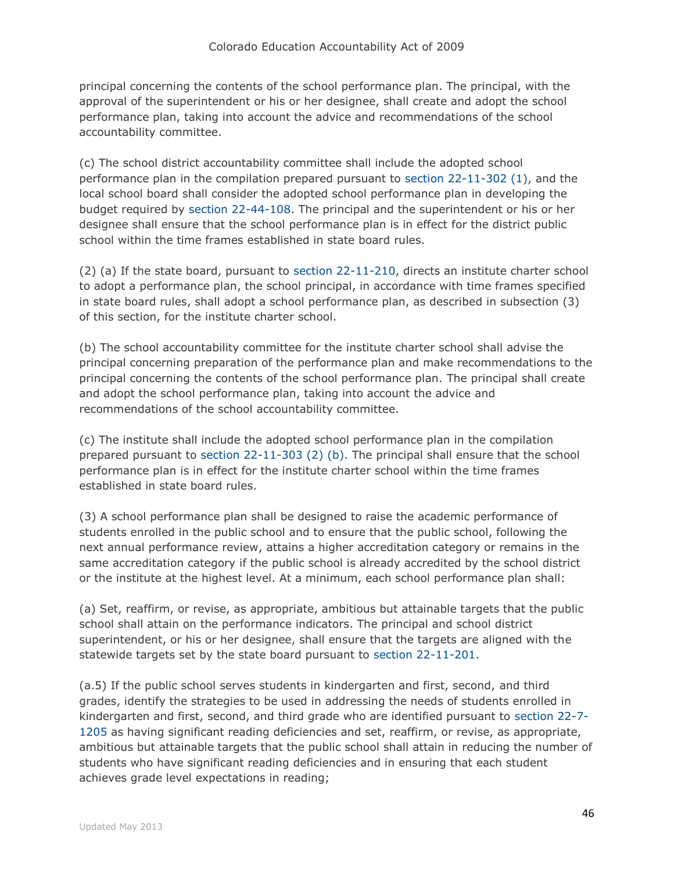principal concerning the contents of the school performance plan. The principal, with the approval of the superintendent or his or her designee, shall create and adopt the school performance plan, taking into account the advice and recommendations of the school accountability committee.

(c) The school district accountability committee shall include the adopted school performance plan in the compilation prepared pursuant to [section 22-11-302 \(1\),](http://web.lexisnexis.com/research/buttonTFLink?_m=d8ef4cf8220ebebf870fb84211e3cb4c&_xfercite=%3ccite%20cc%3d%22USA%22%3e%3c%21%5bCDATA%5bC.R.S.%2022-11-403%5d%5d%3e%3c%2fcite%3e&_butType=4&_butStat=0&_butNum=3&_butInline=1&_butinfo=COCODE%2022-11-302&_fmtstr=FULL&docnum=1&_startdoc=1&wchp=dGLzVzt-zSkAW&_md5=c34586008c305d32f422bf2f3ef148db) and the local school board shall consider the adopted school performance plan in developing the budget required by [section 22-44-108.](http://web.lexisnexis.com/research/buttonTFLink?_m=d8ef4cf8220ebebf870fb84211e3cb4c&_xfercite=%3ccite%20cc%3d%22USA%22%3e%3c%21%5bCDATA%5bC.R.S.%2022-11-403%5d%5d%3e%3c%2fcite%3e&_butType=4&_butStat=0&_butNum=4&_butInline=1&_butinfo=COCODE%2022-44-108&_fmtstr=FULL&docnum=1&_startdoc=1&wchp=dGLzVzt-zSkAW&_md5=80e01d3349f1733100f7b7dde4a3ab28) The principal and the superintendent or his or her designee shall ensure that the school performance plan is in effect for the district public school within the time frames established in state board rules.

(2) (a) If the state board, pursuant to [section 22-11-210,](http://web.lexisnexis.com/research/buttonTFLink?_m=d8ef4cf8220ebebf870fb84211e3cb4c&_xfercite=%3ccite%20cc%3d%22USA%22%3e%3c%21%5bCDATA%5bC.R.S.%2022-11-403%5d%5d%3e%3c%2fcite%3e&_butType=4&_butStat=0&_butNum=5&_butInline=1&_butinfo=COCODE%2022-11-210&_fmtstr=FULL&docnum=1&_startdoc=1&wchp=dGLzVzt-zSkAW&_md5=f24a3b060f828979cecb10d607758a65) directs an institute charter school to adopt a performance plan, the school principal, in accordance with time frames specified in state board rules, shall adopt a school performance plan, as described in subsection (3) of this section, for the institute charter school.

(b) The school accountability committee for the institute charter school shall advise the principal concerning preparation of the performance plan and make recommendations to the principal concerning the contents of the school performance plan. The principal shall create and adopt the school performance plan, taking into account the advice and recommendations of the school accountability committee.

(c) The institute shall include the adopted school performance plan in the compilation prepared pursuant to [section 22-11-303 \(2\) \(b\).](http://web.lexisnexis.com/research/buttonTFLink?_m=d8ef4cf8220ebebf870fb84211e3cb4c&_xfercite=%3ccite%20cc%3d%22USA%22%3e%3c%21%5bCDATA%5bC.R.S.%2022-11-403%5d%5d%3e%3c%2fcite%3e&_butType=4&_butStat=0&_butNum=6&_butInline=1&_butinfo=COCODE%2022-11-303&_fmtstr=FULL&docnum=1&_startdoc=1&wchp=dGLzVzt-zSkAW&_md5=27425c6fed53571a91afa5e5a443686e) The principal shall ensure that the school performance plan is in effect for the institute charter school within the time frames established in state board rules.

(3) A school performance plan shall be designed to raise the academic performance of students enrolled in the public school and to ensure that the public school, following the next annual performance review, attains a higher accreditation category or remains in the same accreditation category if the public school is already accredited by the school district or the institute at the highest level. At a minimum, each school performance plan shall:

(a) Set, reaffirm, or revise, as appropriate, ambitious but attainable targets that the public school shall attain on the performance indicators. The principal and school district superintendent, or his or her designee, shall ensure that the targets are aligned with the statewide targets set by the state board pursuant to [section 22-11-201.](http://web.lexisnexis.com/research/buttonTFLink?_m=d8ef4cf8220ebebf870fb84211e3cb4c&_xfercite=%3ccite%20cc%3d%22USA%22%3e%3c%21%5bCDATA%5bC.R.S.%2022-11-403%5d%5d%3e%3c%2fcite%3e&_butType=4&_butStat=0&_butNum=7&_butInline=1&_butinfo=COCODE%2022-11-201&_fmtstr=FULL&docnum=1&_startdoc=1&wchp=dGLzVzt-zSkAW&_md5=149669a12cc476cb1d297417c853af39)

(a.5) If the public school serves students in kindergarten and first, second, and third grades, identify the strategies to be used in addressing the needs of students enrolled in kindergarten and first, second, and third grade who are identified pursuant to [section 22-7-](http://web.lexisnexis.com/research/buttonTFLink?_m=d8ef4cf8220ebebf870fb84211e3cb4c&_xfercite=%3ccite%20cc%3d%22USA%22%3e%3c%21%5bCDATA%5bC.R.S.%2022-11-403%5d%5d%3e%3c%2fcite%3e&_butType=4&_butStat=0&_butNum=8&_butInline=1&_butinfo=COCODE%2022-7-1205&_fmtstr=FULL&docnum=1&_startdoc=1&wchp=dGLzVzt-zSkAW&_md5=40a51a529aec8bfbe21d3f57e6b10c86) [1205](http://web.lexisnexis.com/research/buttonTFLink?_m=d8ef4cf8220ebebf870fb84211e3cb4c&_xfercite=%3ccite%20cc%3d%22USA%22%3e%3c%21%5bCDATA%5bC.R.S.%2022-11-403%5d%5d%3e%3c%2fcite%3e&_butType=4&_butStat=0&_butNum=8&_butInline=1&_butinfo=COCODE%2022-7-1205&_fmtstr=FULL&docnum=1&_startdoc=1&wchp=dGLzVzt-zSkAW&_md5=40a51a529aec8bfbe21d3f57e6b10c86) as having significant reading deficiencies and set, reaffirm, or revise, as appropriate, ambitious but attainable targets that the public school shall attain in reducing the number of students who have significant reading deficiencies and in ensuring that each student achieves grade level expectations in reading;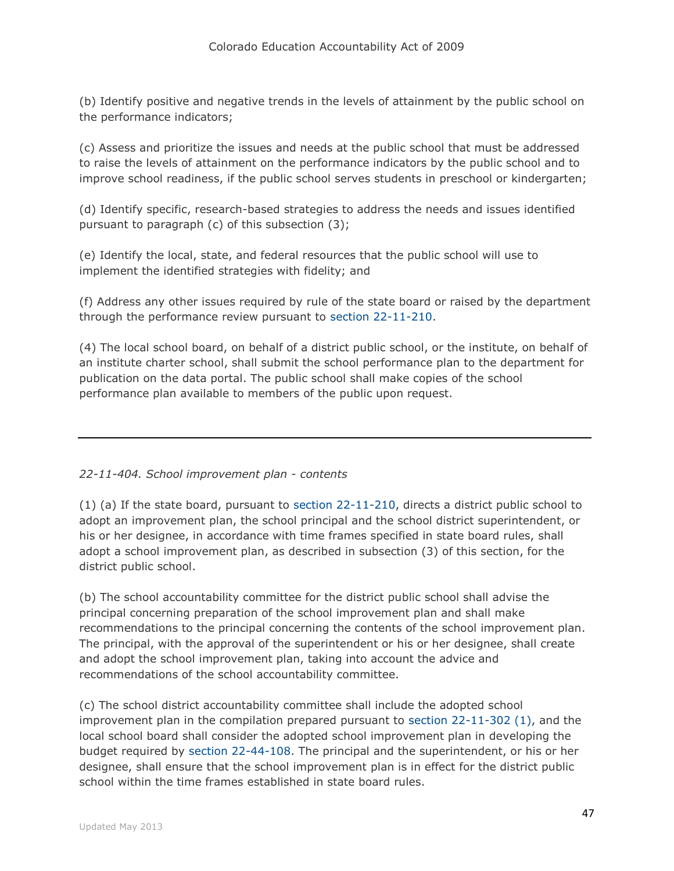(b) Identify positive and negative trends in the levels of attainment by the public school on the performance indicators;

(c) Assess and prioritize the issues and needs at the public school that must be addressed to raise the levels of attainment on the performance indicators by the public school and to improve school readiness, if the public school serves students in preschool or kindergarten;

(d) Identify specific, research-based strategies to address the needs and issues identified pursuant to paragraph (c) of this subsection (3);

(e) Identify the local, state, and federal resources that the public school will use to implement the identified strategies with fidelity; and

(f) Address any other issues required by rule of the state board or raised by the department through the performance review pursuant to [section 22-11-210.](http://web.lexisnexis.com/research/buttonTFLink?_m=d8ef4cf8220ebebf870fb84211e3cb4c&_xfercite=%3ccite%20cc%3d%22USA%22%3e%3c%21%5bCDATA%5bC.R.S.%2022-11-403%5d%5d%3e%3c%2fcite%3e&_butType=4&_butStat=0&_butNum=9&_butInline=1&_butinfo=COCODE%2022-11-210&_fmtstr=FULL&docnum=1&_startdoc=1&wchp=dGLzVzt-zSkAW&_md5=2b2610124e19c1894519745f7e501073)

(4) The local school board, on behalf of a district public school, or the institute, on behalf of an institute charter school, shall submit the school performance plan to the department for publication on the data portal. The public school shall make copies of the school performance plan available to members of the public upon request.

## *22-11-404. School improvement plan - contents*

(1) (a) If the state board, pursuant to [section 22-11-210,](http://web.lexisnexis.com/research/buttonTFLink?_m=cae2ee34fba6b91c1a8a2459106eaa94&_xfercite=%3ccite%20cc%3d%22USA%22%3e%3c%21%5bCDATA%5bC.R.S.%2022-11-404%5d%5d%3e%3c%2fcite%3e&_butType=4&_butStat=0&_butNum=2&_butInline=1&_butinfo=COCODE%2022-11-210&_fmtstr=FULL&docnum=1&_startdoc=1&wchp=dGLzVzt-zSkAW&_md5=fc840080c0bf06f1ed22bbd7e2119e6b) directs a district public school to adopt an improvement plan, the school principal and the school district superintendent, or his or her designee, in accordance with time frames specified in state board rules, shall adopt a school improvement plan, as described in subsection (3) of this section, for the district public school.

(b) The school accountability committee for the district public school shall advise the principal concerning preparation of the school improvement plan and shall make recommendations to the principal concerning the contents of the school improvement plan. The principal, with the approval of the superintendent or his or her designee, shall create and adopt the school improvement plan, taking into account the advice and recommendations of the school accountability committee.

(c) The school district accountability committee shall include the adopted school improvement plan in the compilation prepared pursuant to [section 22-11-302 \(1\),](http://web.lexisnexis.com/research/buttonTFLink?_m=cae2ee34fba6b91c1a8a2459106eaa94&_xfercite=%3ccite%20cc%3d%22USA%22%3e%3c%21%5bCDATA%5bC.R.S.%2022-11-404%5d%5d%3e%3c%2fcite%3e&_butType=4&_butStat=0&_butNum=3&_butInline=1&_butinfo=COCODE%2022-11-302&_fmtstr=FULL&docnum=1&_startdoc=1&wchp=dGLzVzt-zSkAW&_md5=0b014d8a38bf53a853877fbdbc1614dd) and the local school board shall consider the adopted school improvement plan in developing the budget required by [section 22-44-108.](http://web.lexisnexis.com/research/buttonTFLink?_m=cae2ee34fba6b91c1a8a2459106eaa94&_xfercite=%3ccite%20cc%3d%22USA%22%3e%3c%21%5bCDATA%5bC.R.S.%2022-11-404%5d%5d%3e%3c%2fcite%3e&_butType=4&_butStat=0&_butNum=4&_butInline=1&_butinfo=COCODE%2022-44-108&_fmtstr=FULL&docnum=1&_startdoc=1&wchp=dGLzVzt-zSkAW&_md5=339f01ba7faa3518bfbb7a35575ebe28) The principal and the superintendent, or his or her designee, shall ensure that the school improvement plan is in effect for the district public school within the time frames established in state board rules.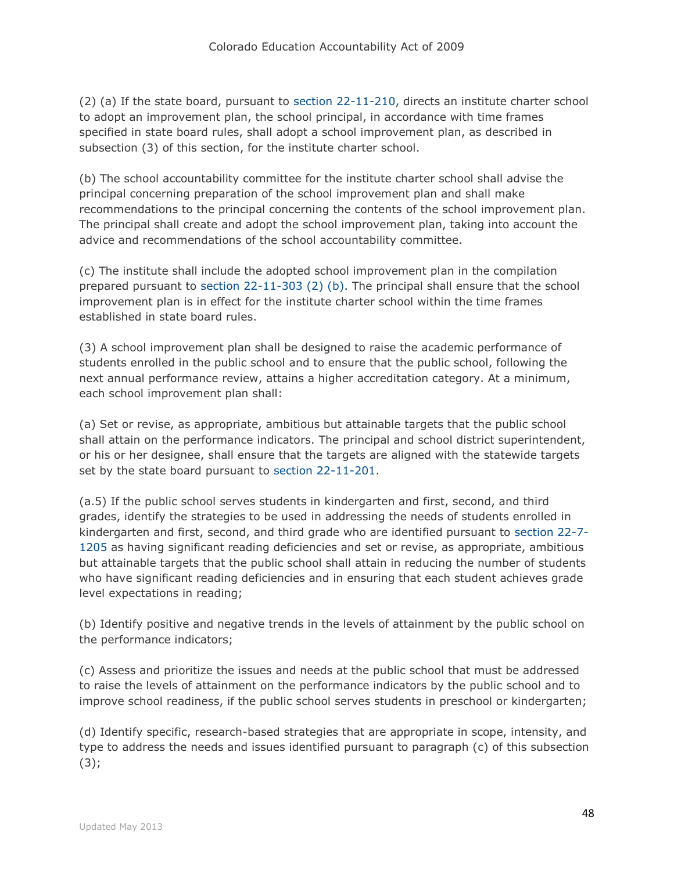(2) (a) If the state board, pursuant to [section 22-11-210,](http://web.lexisnexis.com/research/buttonTFLink?_m=cae2ee34fba6b91c1a8a2459106eaa94&_xfercite=%3ccite%20cc%3d%22USA%22%3e%3c%21%5bCDATA%5bC.R.S.%2022-11-404%5d%5d%3e%3c%2fcite%3e&_butType=4&_butStat=0&_butNum=5&_butInline=1&_butinfo=COCODE%2022-11-210&_fmtstr=FULL&docnum=1&_startdoc=1&wchp=dGLzVzt-zSkAW&_md5=2b797dea4aad2c07a03b130e19a212a1) directs an institute charter school to adopt an improvement plan, the school principal, in accordance with time frames specified in state board rules, shall adopt a school improvement plan, as described in subsection (3) of this section, for the institute charter school.

(b) The school accountability committee for the institute charter school shall advise the principal concerning preparation of the school improvement plan and shall make recommendations to the principal concerning the contents of the school improvement plan. The principal shall create and adopt the school improvement plan, taking into account the advice and recommendations of the school accountability committee.

(c) The institute shall include the adopted school improvement plan in the compilation prepared pursuant to [section 22-11-303 \(2\) \(b\).](http://web.lexisnexis.com/research/buttonTFLink?_m=cae2ee34fba6b91c1a8a2459106eaa94&_xfercite=%3ccite%20cc%3d%22USA%22%3e%3c%21%5bCDATA%5bC.R.S.%2022-11-404%5d%5d%3e%3c%2fcite%3e&_butType=4&_butStat=0&_butNum=6&_butInline=1&_butinfo=COCODE%2022-11-303&_fmtstr=FULL&docnum=1&_startdoc=1&wchp=dGLzVzt-zSkAW&_md5=52d454ba5254be52f6caf61a491062f4) The principal shall ensure that the school improvement plan is in effect for the institute charter school within the time frames established in state board rules.

(3) A school improvement plan shall be designed to raise the academic performance of students enrolled in the public school and to ensure that the public school, following the next annual performance review, attains a higher accreditation category. At a minimum, each school improvement plan shall:

(a) Set or revise, as appropriate, ambitious but attainable targets that the public school shall attain on the performance indicators. The principal and school district superintendent, or his or her designee, shall ensure that the targets are aligned with the statewide targets set by the state board pursuant to [section 22-11-201.](http://web.lexisnexis.com/research/buttonTFLink?_m=cae2ee34fba6b91c1a8a2459106eaa94&_xfercite=%3ccite%20cc%3d%22USA%22%3e%3c%21%5bCDATA%5bC.R.S.%2022-11-404%5d%5d%3e%3c%2fcite%3e&_butType=4&_butStat=0&_butNum=7&_butInline=1&_butinfo=COCODE%2022-11-201&_fmtstr=FULL&docnum=1&_startdoc=1&wchp=dGLzVzt-zSkAW&_md5=1377910583967473d95cfd59bc2b95c9)

(a.5) If the public school serves students in kindergarten and first, second, and third grades, identify the strategies to be used in addressing the needs of students enrolled in kindergarten and first, second, and third grade who are identified pursuant to [section 22-7-](http://web.lexisnexis.com/research/buttonTFLink?_m=cae2ee34fba6b91c1a8a2459106eaa94&_xfercite=%3ccite%20cc%3d%22USA%22%3e%3c%21%5bCDATA%5bC.R.S.%2022-11-404%5d%5d%3e%3c%2fcite%3e&_butType=4&_butStat=0&_butNum=8&_butInline=1&_butinfo=COCODE%2022-7-1205&_fmtstr=FULL&docnum=1&_startdoc=1&wchp=dGLzVzt-zSkAW&_md5=08d84aae1325265c4213f42c1494f64d) [1205](http://web.lexisnexis.com/research/buttonTFLink?_m=cae2ee34fba6b91c1a8a2459106eaa94&_xfercite=%3ccite%20cc%3d%22USA%22%3e%3c%21%5bCDATA%5bC.R.S.%2022-11-404%5d%5d%3e%3c%2fcite%3e&_butType=4&_butStat=0&_butNum=8&_butInline=1&_butinfo=COCODE%2022-7-1205&_fmtstr=FULL&docnum=1&_startdoc=1&wchp=dGLzVzt-zSkAW&_md5=08d84aae1325265c4213f42c1494f64d) as having significant reading deficiencies and set or revise, as appropriate, ambitious but attainable targets that the public school shall attain in reducing the number of students who have significant reading deficiencies and in ensuring that each student achieves grade level expectations in reading;

(b) Identify positive and negative trends in the levels of attainment by the public school on the performance indicators;

(c) Assess and prioritize the issues and needs at the public school that must be addressed to raise the levels of attainment on the performance indicators by the public school and to improve school readiness, if the public school serves students in preschool or kindergarten;

(d) Identify specific, research-based strategies that are appropriate in scope, intensity, and type to address the needs and issues identified pursuant to paragraph (c) of this subsection  $(3);$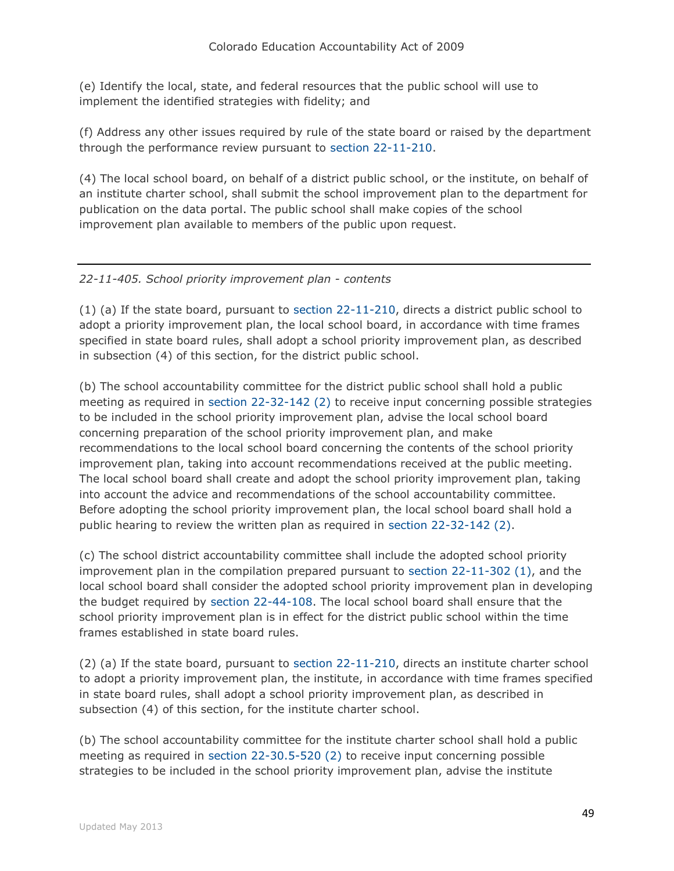(e) Identify the local, state, and federal resources that the public school will use to implement the identified strategies with fidelity; and

(f) Address any other issues required by rule of the state board or raised by the department through the performance review pursuant to [section 22-11-210.](http://web.lexisnexis.com/research/buttonTFLink?_m=cae2ee34fba6b91c1a8a2459106eaa94&_xfercite=%3ccite%20cc%3d%22USA%22%3e%3c%21%5bCDATA%5bC.R.S.%2022-11-404%5d%5d%3e%3c%2fcite%3e&_butType=4&_butStat=0&_butNum=9&_butInline=1&_butinfo=COCODE%2022-11-210&_fmtstr=FULL&docnum=1&_startdoc=1&wchp=dGLzVzt-zSkAW&_md5=d12e945c0cee92e7581e603d03a3157f)

(4) The local school board, on behalf of a district public school, or the institute, on behalf of an institute charter school, shall submit the school improvement plan to the department for publication on the data portal. The public school shall make copies of the school improvement plan available to members of the public upon request.

# *22-11-405. School priority improvement plan - contents*

(1) (a) If the state board, pursuant to [section 22-11-210,](http://web.lexisnexis.com/research/buttonTFLink?_m=475bc23263880649bde57a68264db3f0&_xfercite=%3ccite%20cc%3d%22USA%22%3e%3c%21%5bCDATA%5bC.R.S.%2022-11-405%5d%5d%3e%3c%2fcite%3e&_butType=4&_butStat=0&_butNum=2&_butInline=1&_butinfo=COCODE%2022-11-210&_fmtstr=FULL&docnum=1&_startdoc=1&wchp=dGLzVzt-zSkAW&_md5=505d935c38d4af4713ed7eeb10026445) directs a district public school to adopt a priority improvement plan, the local school board, in accordance with time frames specified in state board rules, shall adopt a school priority improvement plan, as described in subsection (4) of this section, for the district public school.

(b) The school accountability committee for the district public school shall hold a public meeting as required in [section 22-32-142 \(2\)](http://web.lexisnexis.com/research/buttonTFLink?_m=475bc23263880649bde57a68264db3f0&_xfercite=%3ccite%20cc%3d%22USA%22%3e%3c%21%5bCDATA%5bC.R.S.%2022-11-405%5d%5d%3e%3c%2fcite%3e&_butType=4&_butStat=0&_butNum=3&_butInline=1&_butinfo=COCODE%2022-32-142&_fmtstr=FULL&docnum=1&_startdoc=1&wchp=dGLzVzt-zSkAW&_md5=51dec158aa8d723b2b44d4525a2d6209) to receive input concerning possible strategies to be included in the school priority improvement plan, advise the local school board concerning preparation of the school priority improvement plan, and make recommendations to the local school board concerning the contents of the school priority improvement plan, taking into account recommendations received at the public meeting. The local school board shall create and adopt the school priority improvement plan, taking into account the advice and recommendations of the school accountability committee. Before adopting the school priority improvement plan, the local school board shall hold a public hearing to review the written plan as required in [section 22-32-142 \(2\).](http://web.lexisnexis.com/research/buttonTFLink?_m=475bc23263880649bde57a68264db3f0&_xfercite=%3ccite%20cc%3d%22USA%22%3e%3c%21%5bCDATA%5bC.R.S.%2022-11-405%5d%5d%3e%3c%2fcite%3e&_butType=4&_butStat=0&_butNum=4&_butInline=1&_butinfo=COCODE%2022-32-142&_fmtstr=FULL&docnum=1&_startdoc=1&wchp=dGLzVzt-zSkAW&_md5=ebc3fc78364f5a58ab4c08d6badf649b)

(c) The school district accountability committee shall include the adopted school priority improvement plan in the compilation prepared pursuant to [section 22-11-302 \(1\),](http://web.lexisnexis.com/research/buttonTFLink?_m=475bc23263880649bde57a68264db3f0&_xfercite=%3ccite%20cc%3d%22USA%22%3e%3c%21%5bCDATA%5bC.R.S.%2022-11-405%5d%5d%3e%3c%2fcite%3e&_butType=4&_butStat=0&_butNum=5&_butInline=1&_butinfo=COCODE%2022-11-302&_fmtstr=FULL&docnum=1&_startdoc=1&wchp=dGLzVzt-zSkAW&_md5=9017d817f0b0c35f98e4ff378d631463) and the local school board shall consider the adopted school priority improvement plan in developing the budget required by [section 22-44-108.](http://web.lexisnexis.com/research/buttonTFLink?_m=475bc23263880649bde57a68264db3f0&_xfercite=%3ccite%20cc%3d%22USA%22%3e%3c%21%5bCDATA%5bC.R.S.%2022-11-405%5d%5d%3e%3c%2fcite%3e&_butType=4&_butStat=0&_butNum=6&_butInline=1&_butinfo=COCODE%2022-44-108&_fmtstr=FULL&docnum=1&_startdoc=1&wchp=dGLzVzt-zSkAW&_md5=61e8654dc1646121ee167fd9f942e7e2) The local school board shall ensure that the school priority improvement plan is in effect for the district public school within the time frames established in state board rules.

(2) (a) If the state board, pursuant to [section 22-11-210,](http://web.lexisnexis.com/research/buttonTFLink?_m=475bc23263880649bde57a68264db3f0&_xfercite=%3ccite%20cc%3d%22USA%22%3e%3c%21%5bCDATA%5bC.R.S.%2022-11-405%5d%5d%3e%3c%2fcite%3e&_butType=4&_butStat=0&_butNum=7&_butInline=1&_butinfo=COCODE%2022-11-210&_fmtstr=FULL&docnum=1&_startdoc=1&wchp=dGLzVzt-zSkAW&_md5=a893f9727fe418d2704e6041af49acba) directs an institute charter school to adopt a priority improvement plan, the institute, in accordance with time frames specified in state board rules, shall adopt a school priority improvement plan, as described in subsection (4) of this section, for the institute charter school.

(b) The school accountability committee for the institute charter school shall hold a public meeting as required in [section 22-30.5-520 \(2\)](http://web.lexisnexis.com/research/buttonTFLink?_m=475bc23263880649bde57a68264db3f0&_xfercite=%3ccite%20cc%3d%22USA%22%3e%3c%21%5bCDATA%5bC.R.S.%2022-11-405%5d%5d%3e%3c%2fcite%3e&_butType=4&_butStat=0&_butNum=8&_butInline=1&_butinfo=COCODE%2022-30.5-520&_fmtstr=FULL&docnum=1&_startdoc=1&wchp=dGLzVzt-zSkAW&_md5=e08c967cb262d0970b3d5c9e2f5c359e) to receive input concerning possible strategies to be included in the school priority improvement plan, advise the institute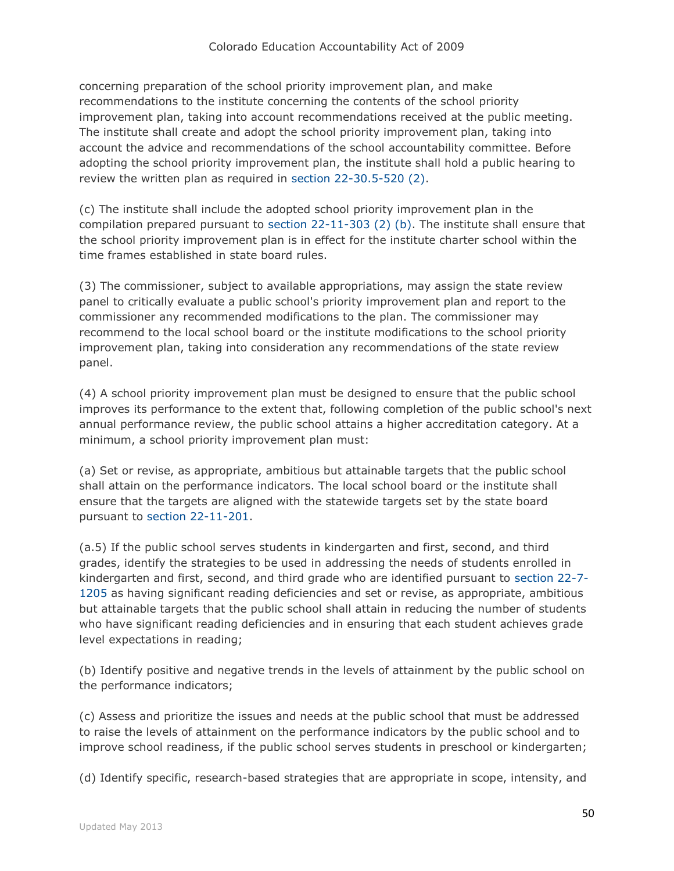concerning preparation of the school priority improvement plan, and make recommendations to the institute concerning the contents of the school priority improvement plan, taking into account recommendations received at the public meeting. The institute shall create and adopt the school priority improvement plan, taking into account the advice and recommendations of the school accountability committee. Before adopting the school priority improvement plan, the institute shall hold a public hearing to review the written plan as required in [section 22-30.5-520 \(2\).](http://web.lexisnexis.com/research/buttonTFLink?_m=475bc23263880649bde57a68264db3f0&_xfercite=%3ccite%20cc%3d%22USA%22%3e%3c%21%5bCDATA%5bC.R.S.%2022-11-405%5d%5d%3e%3c%2fcite%3e&_butType=4&_butStat=0&_butNum=9&_butInline=1&_butinfo=COCODE%2022-30.5-520&_fmtstr=FULL&docnum=1&_startdoc=1&wchp=dGLzVzt-zSkAW&_md5=76b894ce271cd7cc2147c26d44926152)

(c) The institute shall include the adopted school priority improvement plan in the compilation prepared pursuant to [section 22-11-303 \(2\) \(b\).](http://web.lexisnexis.com/research/buttonTFLink?_m=475bc23263880649bde57a68264db3f0&_xfercite=%3ccite%20cc%3d%22USA%22%3e%3c%21%5bCDATA%5bC.R.S.%2022-11-405%5d%5d%3e%3c%2fcite%3e&_butType=4&_butStat=0&_butNum=10&_butInline=1&_butinfo=COCODE%2022-11-303&_fmtstr=FULL&docnum=1&_startdoc=1&wchp=dGLzVzt-zSkAW&_md5=2cdd8bbabada5b9048be0b0ff23d04dc) The institute shall ensure that the school priority improvement plan is in effect for the institute charter school within the time frames established in state board rules.

(3) The commissioner, subject to available appropriations, may assign the state review panel to critically evaluate a public school's priority improvement plan and report to the commissioner any recommended modifications to the plan. The commissioner may recommend to the local school board or the institute modifications to the school priority improvement plan, taking into consideration any recommendations of the state review panel.

(4) A school priority improvement plan must be designed to ensure that the public school improves its performance to the extent that, following completion of the public school's next annual performance review, the public school attains a higher accreditation category. At a minimum, a school priority improvement plan must:

(a) Set or revise, as appropriate, ambitious but attainable targets that the public school shall attain on the performance indicators. The local school board or the institute shall ensure that the targets are aligned with the statewide targets set by the state board pursuant to [section 22-11-201.](http://web.lexisnexis.com/research/buttonTFLink?_m=475bc23263880649bde57a68264db3f0&_xfercite=%3ccite%20cc%3d%22USA%22%3e%3c%21%5bCDATA%5bC.R.S.%2022-11-405%5d%5d%3e%3c%2fcite%3e&_butType=4&_butStat=0&_butNum=11&_butInline=1&_butinfo=COCODE%2022-11-201&_fmtstr=FULL&docnum=1&_startdoc=1&wchp=dGLzVzt-zSkAW&_md5=c4744e999e5100cf8f0accfb905eb310)

(a.5) If the public school serves students in kindergarten and first, second, and third grades, identify the strategies to be used in addressing the needs of students enrolled in kindergarten and first, second, and third grade who are identified pursuant to [section 22-7-](http://web.lexisnexis.com/research/buttonTFLink?_m=475bc23263880649bde57a68264db3f0&_xfercite=%3ccite%20cc%3d%22USA%22%3e%3c%21%5bCDATA%5bC.R.S.%2022-11-405%5d%5d%3e%3c%2fcite%3e&_butType=4&_butStat=0&_butNum=12&_butInline=1&_butinfo=COCODE%2022-7-1205&_fmtstr=FULL&docnum=1&_startdoc=1&wchp=dGLzVzt-zSkAW&_md5=90eee733909875bc2de85f28f52d571f) [1205](http://web.lexisnexis.com/research/buttonTFLink?_m=475bc23263880649bde57a68264db3f0&_xfercite=%3ccite%20cc%3d%22USA%22%3e%3c%21%5bCDATA%5bC.R.S.%2022-11-405%5d%5d%3e%3c%2fcite%3e&_butType=4&_butStat=0&_butNum=12&_butInline=1&_butinfo=COCODE%2022-7-1205&_fmtstr=FULL&docnum=1&_startdoc=1&wchp=dGLzVzt-zSkAW&_md5=90eee733909875bc2de85f28f52d571f) as having significant reading deficiencies and set or revise, as appropriate, ambitious but attainable targets that the public school shall attain in reducing the number of students who have significant reading deficiencies and in ensuring that each student achieves grade level expectations in reading;

(b) Identify positive and negative trends in the levels of attainment by the public school on the performance indicators;

(c) Assess and prioritize the issues and needs at the public school that must be addressed to raise the levels of attainment on the performance indicators by the public school and to improve school readiness, if the public school serves students in preschool or kindergarten;

(d) Identify specific, research-based strategies that are appropriate in scope, intensity, and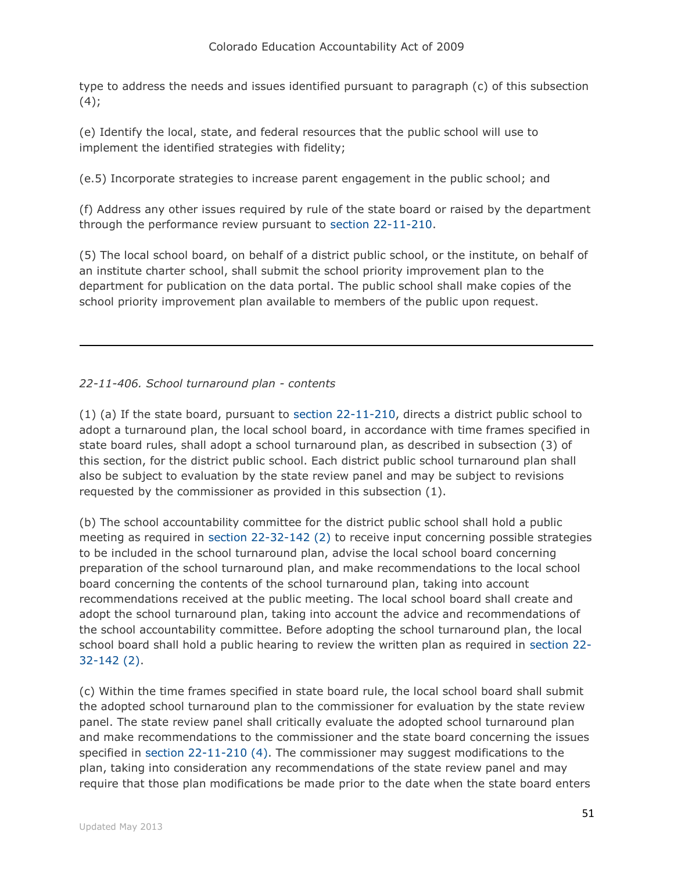type to address the needs and issues identified pursuant to paragraph (c) of this subsection  $(4);$ 

(e) Identify the local, state, and federal resources that the public school will use to implement the identified strategies with fidelity;

(e.5) Incorporate strategies to increase parent engagement in the public school; and

(f) Address any other issues required by rule of the state board or raised by the department through the performance review pursuant to [section 22-11-210.](http://web.lexisnexis.com/research/buttonTFLink?_m=475bc23263880649bde57a68264db3f0&_xfercite=%3ccite%20cc%3d%22USA%22%3e%3c%21%5bCDATA%5bC.R.S.%2022-11-405%5d%5d%3e%3c%2fcite%3e&_butType=4&_butStat=0&_butNum=13&_butInline=1&_butinfo=COCODE%2022-11-210&_fmtstr=FULL&docnum=1&_startdoc=1&wchp=dGLzVzt-zSkAW&_md5=e39a4b7ef59e0489fe9612dd13347010)

(5) The local school board, on behalf of a district public school, or the institute, on behalf of an institute charter school, shall submit the school priority improvement plan to the department for publication on the data portal. The public school shall make copies of the school priority improvement plan available to members of the public upon request.

# *22-11-406. School turnaround plan - contents*

(1) (a) If the state board, pursuant to [section 22-11-210,](http://web.lexisnexis.com/research/buttonTFLink?_m=2539be2333d6f854859c8d2b63b90406&_xfercite=%3ccite%20cc%3d%22USA%22%3e%3c%21%5bCDATA%5bC.R.S.%2022-11-406%5d%5d%3e%3c%2fcite%3e&_butType=4&_butStat=0&_butNum=2&_butInline=1&_butinfo=COCODE%2022-11-210&_fmtstr=FULL&docnum=1&_startdoc=1&wchp=dGLzVzt-zSkAW&_md5=5f491b12e6bc52232bef4b0fea8ef9b7) directs a district public school to adopt a turnaround plan, the local school board, in accordance with time frames specified in state board rules, shall adopt a school turnaround plan, as described in subsection (3) of this section, for the district public school. Each district public school turnaround plan shall also be subject to evaluation by the state review panel and may be subject to revisions requested by the commissioner as provided in this subsection (1).

(b) The school accountability committee for the district public school shall hold a public meeting as required in [section 22-32-142 \(2\)](http://web.lexisnexis.com/research/buttonTFLink?_m=2539be2333d6f854859c8d2b63b90406&_xfercite=%3ccite%20cc%3d%22USA%22%3e%3c%21%5bCDATA%5bC.R.S.%2022-11-406%5d%5d%3e%3c%2fcite%3e&_butType=4&_butStat=0&_butNum=3&_butInline=1&_butinfo=COCODE%2022-32-142&_fmtstr=FULL&docnum=1&_startdoc=1&wchp=dGLzVzt-zSkAW&_md5=0b33d791d69ad2fa8175f3867e054b59) to receive input concerning possible strategies to be included in the school turnaround plan, advise the local school board concerning preparation of the school turnaround plan, and make recommendations to the local school board concerning the contents of the school turnaround plan, taking into account recommendations received at the public meeting. The local school board shall create and adopt the school turnaround plan, taking into account the advice and recommendations of the school accountability committee. Before adopting the school turnaround plan, the local school board shall hold a public hearing to review the written plan as required in [section 22-](http://web.lexisnexis.com/research/buttonTFLink?_m=2539be2333d6f854859c8d2b63b90406&_xfercite=%3ccite%20cc%3d%22USA%22%3e%3c%21%5bCDATA%5bC.R.S.%2022-11-406%5d%5d%3e%3c%2fcite%3e&_butType=4&_butStat=0&_butNum=4&_butInline=1&_butinfo=COCODE%2022-32-142&_fmtstr=FULL&docnum=1&_startdoc=1&wchp=dGLzVzt-zSkAW&_md5=5546432efd4e21d650cfc77851519150) [32-142 \(2\).](http://web.lexisnexis.com/research/buttonTFLink?_m=2539be2333d6f854859c8d2b63b90406&_xfercite=%3ccite%20cc%3d%22USA%22%3e%3c%21%5bCDATA%5bC.R.S.%2022-11-406%5d%5d%3e%3c%2fcite%3e&_butType=4&_butStat=0&_butNum=4&_butInline=1&_butinfo=COCODE%2022-32-142&_fmtstr=FULL&docnum=1&_startdoc=1&wchp=dGLzVzt-zSkAW&_md5=5546432efd4e21d650cfc77851519150)

(c) Within the time frames specified in state board rule, the local school board shall submit the adopted school turnaround plan to the commissioner for evaluation by the state review panel. The state review panel shall critically evaluate the adopted school turnaround plan and make recommendations to the commissioner and the state board concerning the issues specified in [section 22-11-210 \(4\).](http://web.lexisnexis.com/research/buttonTFLink?_m=2539be2333d6f854859c8d2b63b90406&_xfercite=%3ccite%20cc%3d%22USA%22%3e%3c%21%5bCDATA%5bC.R.S.%2022-11-406%5d%5d%3e%3c%2fcite%3e&_butType=4&_butStat=0&_butNum=5&_butInline=1&_butinfo=COCODE%2022-11-210&_fmtstr=FULL&docnum=1&_startdoc=1&wchp=dGLzVzt-zSkAW&_md5=38ef2eced34c9e7735cc4e2936985b24) The commissioner may suggest modifications to the plan, taking into consideration any recommendations of the state review panel and may require that those plan modifications be made prior to the date when the state board enters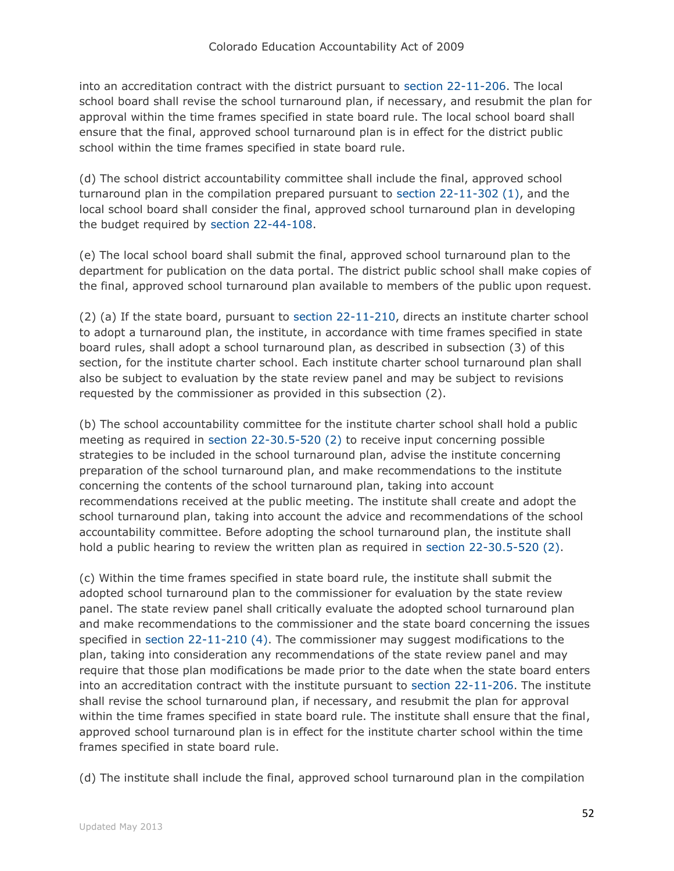into an accreditation contract with the district pursuant to [section 22-11-206.](http://web.lexisnexis.com/research/buttonTFLink?_m=2539be2333d6f854859c8d2b63b90406&_xfercite=%3ccite%20cc%3d%22USA%22%3e%3c%21%5bCDATA%5bC.R.S.%2022-11-406%5d%5d%3e%3c%2fcite%3e&_butType=4&_butStat=0&_butNum=6&_butInline=1&_butinfo=COCODE%2022-11-206&_fmtstr=FULL&docnum=1&_startdoc=1&wchp=dGLzVzt-zSkAW&_md5=b2961f1cc56cc43232dc2e4e9fb222b3) The local school board shall revise the school turnaround plan, if necessary, and resubmit the plan for approval within the time frames specified in state board rule. The local school board shall ensure that the final, approved school turnaround plan is in effect for the district public school within the time frames specified in state board rule.

(d) The school district accountability committee shall include the final, approved school turnaround plan in the compilation prepared pursuant to [section 22-11-302 \(1\),](http://web.lexisnexis.com/research/buttonTFLink?_m=2539be2333d6f854859c8d2b63b90406&_xfercite=%3ccite%20cc%3d%22USA%22%3e%3c%21%5bCDATA%5bC.R.S.%2022-11-406%5d%5d%3e%3c%2fcite%3e&_butType=4&_butStat=0&_butNum=7&_butInline=1&_butinfo=COCODE%2022-11-302&_fmtstr=FULL&docnum=1&_startdoc=1&wchp=dGLzVzt-zSkAW&_md5=d38609d60b05b61a03a1fc8be123d3e5) and the local school board shall consider the final, approved school turnaround plan in developing the budget required by [section 22-44-108.](http://web.lexisnexis.com/research/buttonTFLink?_m=2539be2333d6f854859c8d2b63b90406&_xfercite=%3ccite%20cc%3d%22USA%22%3e%3c%21%5bCDATA%5bC.R.S.%2022-11-406%5d%5d%3e%3c%2fcite%3e&_butType=4&_butStat=0&_butNum=8&_butInline=1&_butinfo=COCODE%2022-44-108&_fmtstr=FULL&docnum=1&_startdoc=1&wchp=dGLzVzt-zSkAW&_md5=b2ba609e6eef32a9ef8acfa0a72fefd1)

(e) The local school board shall submit the final, approved school turnaround plan to the department for publication on the data portal. The district public school shall make copies of the final, approved school turnaround plan available to members of the public upon request.

(2) (a) If the state board, pursuant to [section 22-11-210,](http://web.lexisnexis.com/research/buttonTFLink?_m=2539be2333d6f854859c8d2b63b90406&_xfercite=%3ccite%20cc%3d%22USA%22%3e%3c%21%5bCDATA%5bC.R.S.%2022-11-406%5d%5d%3e%3c%2fcite%3e&_butType=4&_butStat=0&_butNum=9&_butInline=1&_butinfo=COCODE%2022-11-210&_fmtstr=FULL&docnum=1&_startdoc=1&wchp=dGLzVzt-zSkAW&_md5=e60dee38c2937b785d7c30eb4b87d2bb) directs an institute charter school to adopt a turnaround plan, the institute, in accordance with time frames specified in state board rules, shall adopt a school turnaround plan, as described in subsection (3) of this section, for the institute charter school. Each institute charter school turnaround plan shall also be subject to evaluation by the state review panel and may be subject to revisions requested by the commissioner as provided in this subsection (2).

(b) The school accountability committee for the institute charter school shall hold a public meeting as required in [section 22-30.5-520 \(2\)](http://web.lexisnexis.com/research/buttonTFLink?_m=2539be2333d6f854859c8d2b63b90406&_xfercite=%3ccite%20cc%3d%22USA%22%3e%3c%21%5bCDATA%5bC.R.S.%2022-11-406%5d%5d%3e%3c%2fcite%3e&_butType=4&_butStat=0&_butNum=10&_butInline=1&_butinfo=COCODE%2022-30.5-520&_fmtstr=FULL&docnum=1&_startdoc=1&wchp=dGLzVzt-zSkAW&_md5=bcc076caf84ec947a216b984d254901d) to receive input concerning possible strategies to be included in the school turnaround plan, advise the institute concerning preparation of the school turnaround plan, and make recommendations to the institute concerning the contents of the school turnaround plan, taking into account recommendations received at the public meeting. The institute shall create and adopt the school turnaround plan, taking into account the advice and recommendations of the school accountability committee. Before adopting the school turnaround plan, the institute shall hold a public hearing to review the written plan as required in [section 22-30.5-520 \(2\).](http://web.lexisnexis.com/research/buttonTFLink?_m=2539be2333d6f854859c8d2b63b90406&_xfercite=%3ccite%20cc%3d%22USA%22%3e%3c%21%5bCDATA%5bC.R.S.%2022-11-406%5d%5d%3e%3c%2fcite%3e&_butType=4&_butStat=0&_butNum=11&_butInline=1&_butinfo=COCODE%2022-30.5-520&_fmtstr=FULL&docnum=1&_startdoc=1&wchp=dGLzVzt-zSkAW&_md5=d30d6bdedbbf78cc23bf8b1386d2a43e)

(c) Within the time frames specified in state board rule, the institute shall submit the adopted school turnaround plan to the commissioner for evaluation by the state review panel. The state review panel shall critically evaluate the adopted school turnaround plan and make recommendations to the commissioner and the state board concerning the issues specified in [section 22-11-210 \(4\).](http://web.lexisnexis.com/research/buttonTFLink?_m=2539be2333d6f854859c8d2b63b90406&_xfercite=%3ccite%20cc%3d%22USA%22%3e%3c%21%5bCDATA%5bC.R.S.%2022-11-406%5d%5d%3e%3c%2fcite%3e&_butType=4&_butStat=0&_butNum=12&_butInline=1&_butinfo=COCODE%2022-11-210&_fmtstr=FULL&docnum=1&_startdoc=1&wchp=dGLzVzt-zSkAW&_md5=37674abdd5271952f6ee36138bedec39) The commissioner may suggest modifications to the plan, taking into consideration any recommendations of the state review panel and may require that those plan modifications be made prior to the date when the state board enters into an accreditation contract with the institute pursuant to [section 22-11-206.](http://web.lexisnexis.com/research/buttonTFLink?_m=2539be2333d6f854859c8d2b63b90406&_xfercite=%3ccite%20cc%3d%22USA%22%3e%3c%21%5bCDATA%5bC.R.S.%2022-11-406%5d%5d%3e%3c%2fcite%3e&_butType=4&_butStat=0&_butNum=13&_butInline=1&_butinfo=COCODE%2022-11-206&_fmtstr=FULL&docnum=1&_startdoc=1&wchp=dGLzVzt-zSkAW&_md5=7ee612347831253a8daaac7cdc3c893e) The institute shall revise the school turnaround plan, if necessary, and resubmit the plan for approval within the time frames specified in state board rule. The institute shall ensure that the final, approved school turnaround plan is in effect for the institute charter school within the time frames specified in state board rule.

(d) The institute shall include the final, approved school turnaround plan in the compilation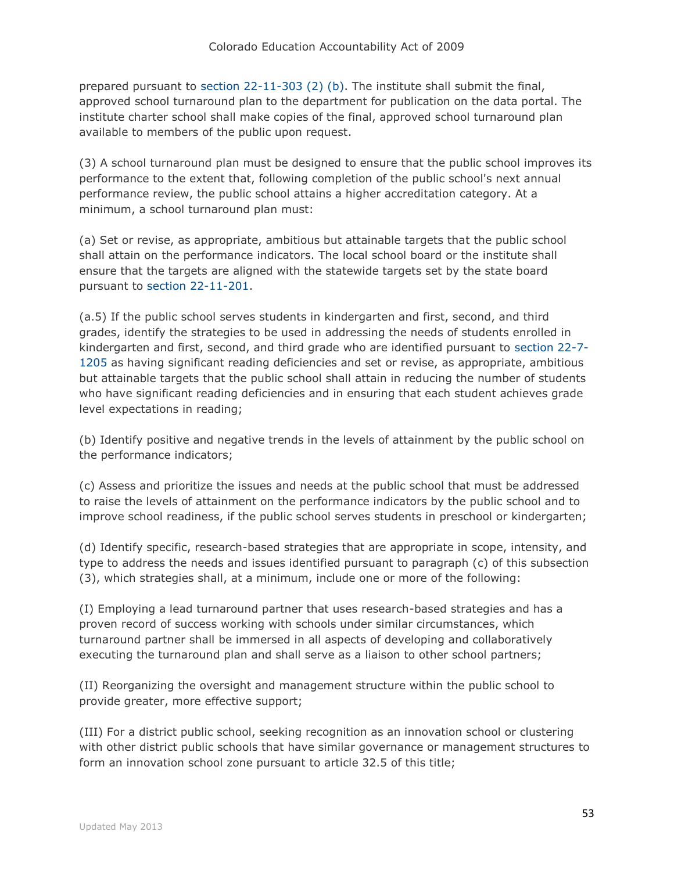prepared pursuant to [section 22-11-303 \(2\) \(b\).](http://web.lexisnexis.com/research/buttonTFLink?_m=2539be2333d6f854859c8d2b63b90406&_xfercite=%3ccite%20cc%3d%22USA%22%3e%3c%21%5bCDATA%5bC.R.S.%2022-11-406%5d%5d%3e%3c%2fcite%3e&_butType=4&_butStat=0&_butNum=14&_butInline=1&_butinfo=COCODE%2022-11-303&_fmtstr=FULL&docnum=1&_startdoc=1&wchp=dGLzVzt-zSkAW&_md5=369d9e7869c1329370cbf420eaccc48a) The institute shall submit the final, approved school turnaround plan to the department for publication on the data portal. The institute charter school shall make copies of the final, approved school turnaround plan available to members of the public upon request.

(3) A school turnaround plan must be designed to ensure that the public school improves its performance to the extent that, following completion of the public school's next annual performance review, the public school attains a higher accreditation category. At a minimum, a school turnaround plan must:

(a) Set or revise, as appropriate, ambitious but attainable targets that the public school shall attain on the performance indicators. The local school board or the institute shall ensure that the targets are aligned with the statewide targets set by the state board pursuant to [section 22-11-201.](http://web.lexisnexis.com/research/buttonTFLink?_m=2539be2333d6f854859c8d2b63b90406&_xfercite=%3ccite%20cc%3d%22USA%22%3e%3c%21%5bCDATA%5bC.R.S.%2022-11-406%5d%5d%3e%3c%2fcite%3e&_butType=4&_butStat=0&_butNum=15&_butInline=1&_butinfo=COCODE%2022-11-201&_fmtstr=FULL&docnum=1&_startdoc=1&wchp=dGLzVzt-zSkAW&_md5=9548d6bdf3fbecceb7894bfc8ee41a9b)

(a.5) If the public school serves students in kindergarten and first, second, and third grades, identify the strategies to be used in addressing the needs of students enrolled in kindergarten and first, second, and third grade who are identified pursuant to [section 22-7-](http://web.lexisnexis.com/research/buttonTFLink?_m=2539be2333d6f854859c8d2b63b90406&_xfercite=%3ccite%20cc%3d%22USA%22%3e%3c%21%5bCDATA%5bC.R.S.%2022-11-406%5d%5d%3e%3c%2fcite%3e&_butType=4&_butStat=0&_butNum=16&_butInline=1&_butinfo=COCODE%2022-7-1205&_fmtstr=FULL&docnum=1&_startdoc=1&wchp=dGLzVzt-zSkAW&_md5=2ae090cc961329f546b598b3cfa24181) [1205](http://web.lexisnexis.com/research/buttonTFLink?_m=2539be2333d6f854859c8d2b63b90406&_xfercite=%3ccite%20cc%3d%22USA%22%3e%3c%21%5bCDATA%5bC.R.S.%2022-11-406%5d%5d%3e%3c%2fcite%3e&_butType=4&_butStat=0&_butNum=16&_butInline=1&_butinfo=COCODE%2022-7-1205&_fmtstr=FULL&docnum=1&_startdoc=1&wchp=dGLzVzt-zSkAW&_md5=2ae090cc961329f546b598b3cfa24181) as having significant reading deficiencies and set or revise, as appropriate, ambitious but attainable targets that the public school shall attain in reducing the number of students who have significant reading deficiencies and in ensuring that each student achieves grade level expectations in reading;

(b) Identify positive and negative trends in the levels of attainment by the public school on the performance indicators;

(c) Assess and prioritize the issues and needs at the public school that must be addressed to raise the levels of attainment on the performance indicators by the public school and to improve school readiness, if the public school serves students in preschool or kindergarten;

(d) Identify specific, research-based strategies that are appropriate in scope, intensity, and type to address the needs and issues identified pursuant to paragraph (c) of this subsection (3), which strategies shall, at a minimum, include one or more of the following:

(I) Employing a lead turnaround partner that uses research-based strategies and has a proven record of success working with schools under similar circumstances, which turnaround partner shall be immersed in all aspects of developing and collaboratively executing the turnaround plan and shall serve as a liaison to other school partners;

(II) Reorganizing the oversight and management structure within the public school to provide greater, more effective support;

(III) For a district public school, seeking recognition as an innovation school or clustering with other district public schools that have similar governance or management structures to form an innovation school zone pursuant to article 32.5 of this title;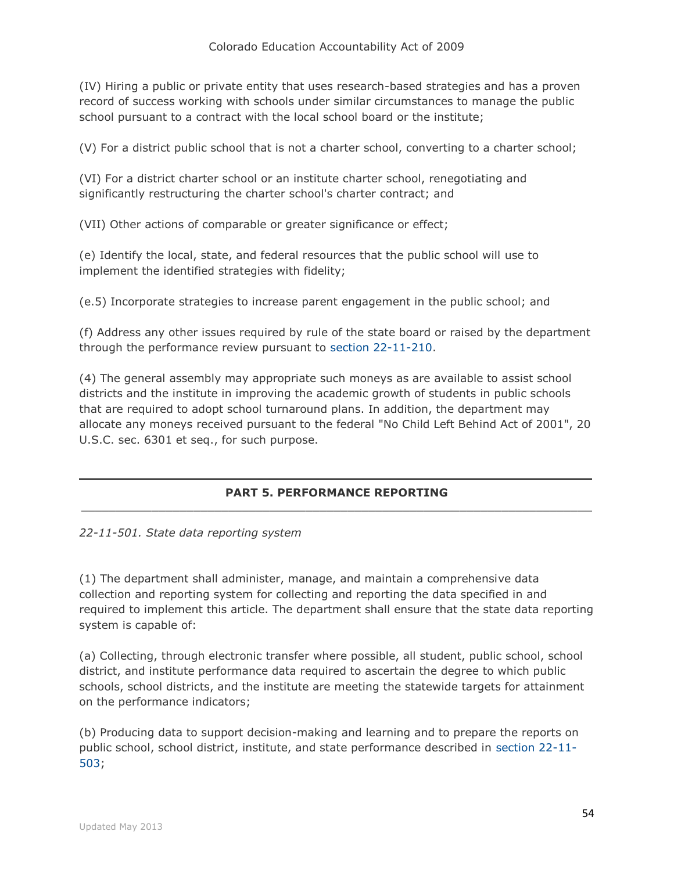(IV) Hiring a public or private entity that uses research-based strategies and has a proven record of success working with schools under similar circumstances to manage the public school pursuant to a contract with the local school board or the institute;

(V) For a district public school that is not a charter school, converting to a charter school;

(VI) For a district charter school or an institute charter school, renegotiating and significantly restructuring the charter school's charter contract; and

(VII) Other actions of comparable or greater significance or effect;

(e) Identify the local, state, and federal resources that the public school will use to implement the identified strategies with fidelity;

(e.5) Incorporate strategies to increase parent engagement in the public school; and

(f) Address any other issues required by rule of the state board or raised by the department through the performance review pursuant to [section 22-11-210.](http://web.lexisnexis.com/research/buttonTFLink?_m=2539be2333d6f854859c8d2b63b90406&_xfercite=%3ccite%20cc%3d%22USA%22%3e%3c%21%5bCDATA%5bC.R.S.%2022-11-406%5d%5d%3e%3c%2fcite%3e&_butType=4&_butStat=0&_butNum=17&_butInline=1&_butinfo=COCODE%2022-11-210&_fmtstr=FULL&docnum=1&_startdoc=1&wchp=dGLzVzt-zSkAW&_md5=ca3dd14505482f3c2a94f4485c80b62d)

(4) The general assembly may appropriate such moneys as are available to assist school districts and the institute in improving the academic growth of students in public schools that are required to adopt school turnaround plans. In addition, the department may allocate any moneys received pursuant to the federal "No Child Left Behind Act of 2001", 20 U.S.C. sec. 6301 et seq., for such purpose.

#### **PART 5. PERFORMANCE REPORTING**  $\_$  , and the set of the set of the set of the set of the set of the set of the set of the set of the set of the set of the set of the set of the set of the set of the set of the set of the set of the set of the set of th

*22-11-501. State data reporting system*

(1) The department shall administer, manage, and maintain a comprehensive data collection and reporting system for collecting and reporting the data specified in and required to implement this article. The department shall ensure that the state data reporting system is capable of:

(a) Collecting, through electronic transfer where possible, all student, public school, school district, and institute performance data required to ascertain the degree to which public schools, school districts, and the institute are meeting the statewide targets for attainment on the performance indicators;

(b) Producing data to support decision-making and learning and to prepare the reports on public school, school district, institute, and state performance described in [section 22-11-](http://web.lexisnexis.com/research/buttonTFLink?_m=eb2914ba8ba5fcc45d2fdaa112712cde&_xfercite=%3ccite%20cc%3d%22USA%22%3e%3c%21%5bCDATA%5bC.R.S.%2022-11-501%5d%5d%3e%3c%2fcite%3e&_butType=4&_butStat=0&_butNum=2&_butInline=1&_butinfo=COCODE%2022-11-503&_fmtstr=FULL&docnum=1&_startdoc=1&wchp=dGLzVzt-zSkAW&_md5=79f978af27aee80bc98eaff2fea51f8f) [503;](http://web.lexisnexis.com/research/buttonTFLink?_m=eb2914ba8ba5fcc45d2fdaa112712cde&_xfercite=%3ccite%20cc%3d%22USA%22%3e%3c%21%5bCDATA%5bC.R.S.%2022-11-501%5d%5d%3e%3c%2fcite%3e&_butType=4&_butStat=0&_butNum=2&_butInline=1&_butinfo=COCODE%2022-11-503&_fmtstr=FULL&docnum=1&_startdoc=1&wchp=dGLzVzt-zSkAW&_md5=79f978af27aee80bc98eaff2fea51f8f)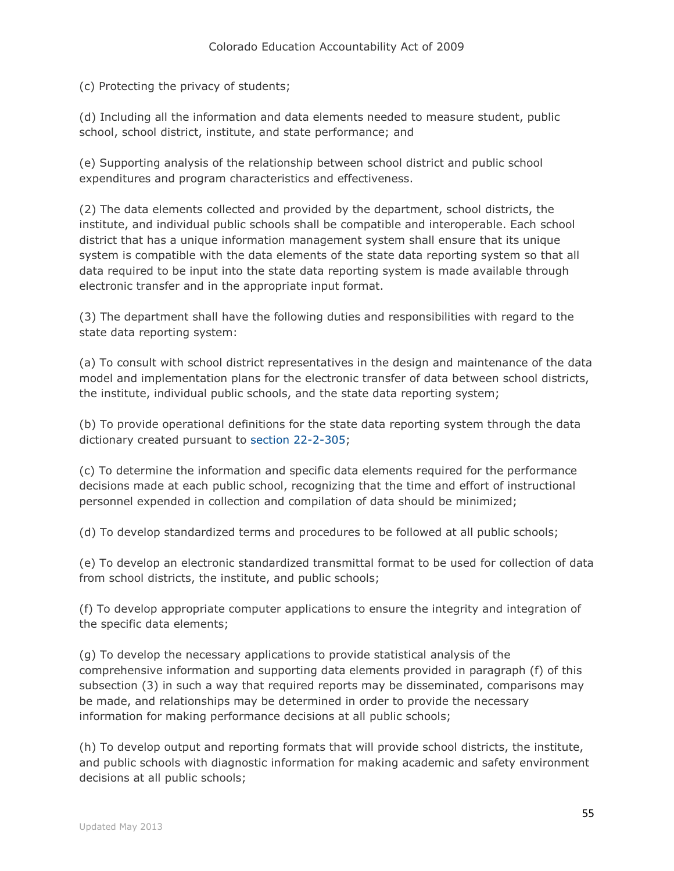(c) Protecting the privacy of students;

(d) Including all the information and data elements needed to measure student, public school, school district, institute, and state performance; and

(e) Supporting analysis of the relationship between school district and public school expenditures and program characteristics and effectiveness.

(2) The data elements collected and provided by the department, school districts, the institute, and individual public schools shall be compatible and interoperable. Each school district that has a unique information management system shall ensure that its unique system is compatible with the data elements of the state data reporting system so that all data required to be input into the state data reporting system is made available through electronic transfer and in the appropriate input format.

(3) The department shall have the following duties and responsibilities with regard to the state data reporting system:

(a) To consult with school district representatives in the design and maintenance of the data model and implementation plans for the electronic transfer of data between school districts, the institute, individual public schools, and the state data reporting system;

(b) To provide operational definitions for the state data reporting system through the data dictionary created pursuant to [section 22-2-305;](http://web.lexisnexis.com/research/buttonTFLink?_m=eb2914ba8ba5fcc45d2fdaa112712cde&_xfercite=%3ccite%20cc%3d%22USA%22%3e%3c%21%5bCDATA%5bC.R.S.%2022-11-501%5d%5d%3e%3c%2fcite%3e&_butType=4&_butStat=0&_butNum=3&_butInline=1&_butinfo=COCODE%2022-2-305&_fmtstr=FULL&docnum=1&_startdoc=1&wchp=dGLzVzt-zSkAW&_md5=870a8ad9f8394a0e0068ea88782baf18)

(c) To determine the information and specific data elements required for the performance decisions made at each public school, recognizing that the time and effort of instructional personnel expended in collection and compilation of data should be minimized;

(d) To develop standardized terms and procedures to be followed at all public schools;

(e) To develop an electronic standardized transmittal format to be used for collection of data from school districts, the institute, and public schools;

(f) To develop appropriate computer applications to ensure the integrity and integration of the specific data elements;

(g) To develop the necessary applications to provide statistical analysis of the comprehensive information and supporting data elements provided in paragraph (f) of this subsection (3) in such a way that required reports may be disseminated, comparisons may be made, and relationships may be determined in order to provide the necessary information for making performance decisions at all public schools;

(h) To develop output and reporting formats that will provide school districts, the institute, and public schools with diagnostic information for making academic and safety environment decisions at all public schools;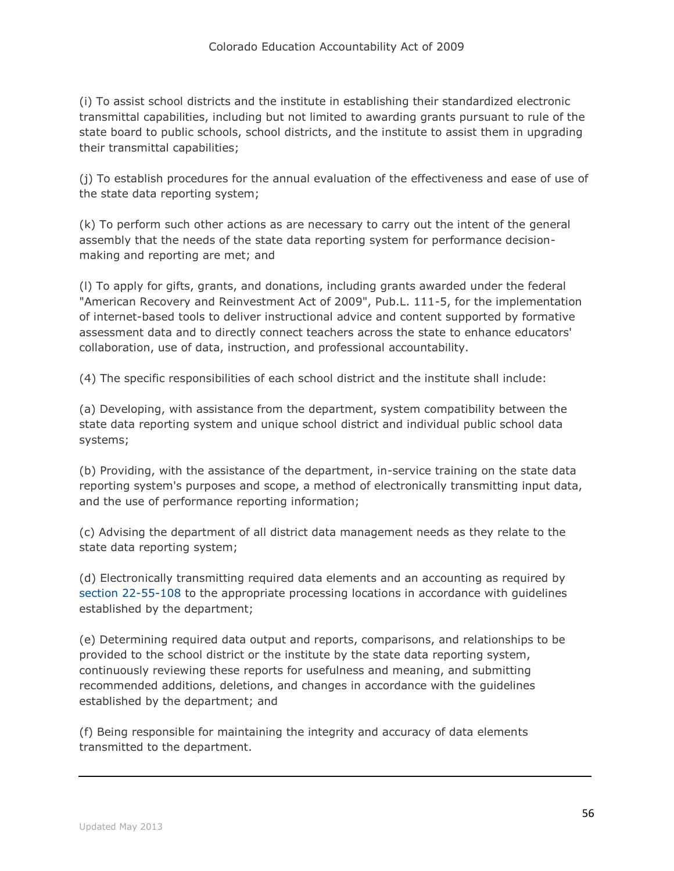(i) To assist school districts and the institute in establishing their standardized electronic transmittal capabilities, including but not limited to awarding grants pursuant to rule of the state board to public schools, school districts, and the institute to assist them in upgrading their transmittal capabilities;

(j) To establish procedures for the annual evaluation of the effectiveness and ease of use of the state data reporting system;

(k) To perform such other actions as are necessary to carry out the intent of the general assembly that the needs of the state data reporting system for performance decisionmaking and reporting are met; and

(l) To apply for gifts, grants, and donations, including grants awarded under the federal "American Recovery and Reinvestment Act of 2009", Pub.L. 111-5, for the implementation of internet-based tools to deliver instructional advice and content supported by formative assessment data and to directly connect teachers across the state to enhance educators' collaboration, use of data, instruction, and professional accountability.

(4) The specific responsibilities of each school district and the institute shall include:

(a) Developing, with assistance from the department, system compatibility between the state data reporting system and unique school district and individual public school data systems;

(b) Providing, with the assistance of the department, in-service training on the state data reporting system's purposes and scope, a method of electronically transmitting input data, and the use of performance reporting information;

(c) Advising the department of all district data management needs as they relate to the state data reporting system;

(d) Electronically transmitting required data elements and an accounting as required by [section 22-55-108](http://web.lexisnexis.com/research/buttonTFLink?_m=eb2914ba8ba5fcc45d2fdaa112712cde&_xfercite=%3ccite%20cc%3d%22USA%22%3e%3c%21%5bCDATA%5bC.R.S.%2022-11-501%5d%5d%3e%3c%2fcite%3e&_butType=4&_butStat=0&_butNum=4&_butInline=1&_butinfo=COCODE%2022-55-108&_fmtstr=FULL&docnum=1&_startdoc=1&wchp=dGLzVzt-zSkAW&_md5=ccca4561c74e1ab16577e7e75af6a7d5) to the appropriate processing locations in accordance with guidelines established by the department;

(e) Determining required data output and reports, comparisons, and relationships to be provided to the school district or the institute by the state data reporting system, continuously reviewing these reports for usefulness and meaning, and submitting recommended additions, deletions, and changes in accordance with the guidelines established by the department; and

(f) Being responsible for maintaining the integrity and accuracy of data elements transmitted to the department.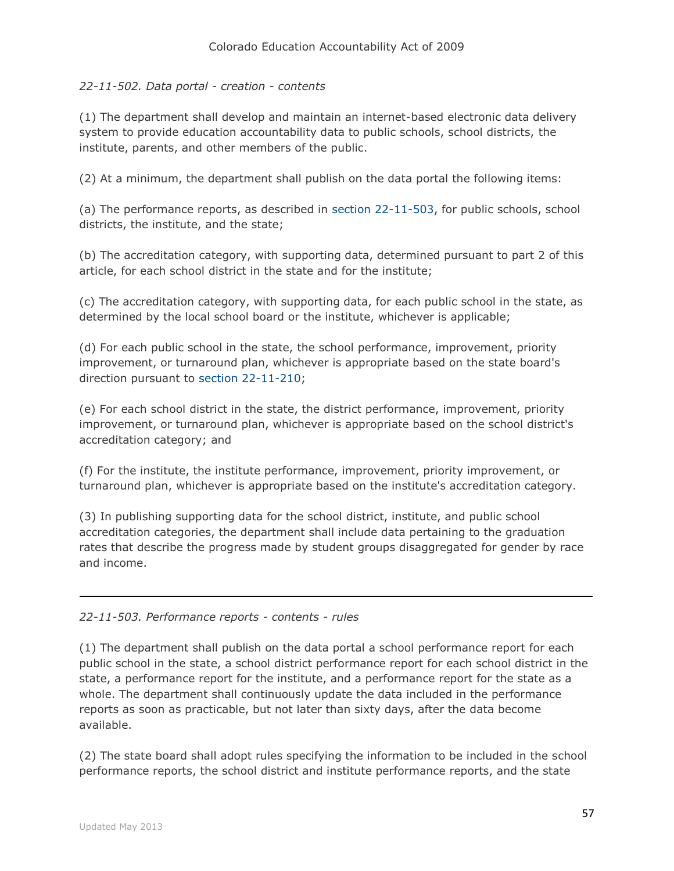## *22-11-502. Data portal - creation - contents*

(1) The department shall develop and maintain an internet-based electronic data delivery system to provide education accountability data to public schools, school districts, the institute, parents, and other members of the public.

(2) At a minimum, the department shall publish on the data portal the following items:

(a) The performance reports, as described in [section 22-11-503,](http://web.lexisnexis.com/research/buttonTFLink?_m=f0f8f3d90e0a6561323e6de48d83ce23&_xfercite=%3ccite%20cc%3d%22USA%22%3e%3c%21%5bCDATA%5bC.R.S.%2022-11-502%5d%5d%3e%3c%2fcite%3e&_butType=4&_butStat=0&_butNum=2&_butInline=1&_butinfo=COCODE%2022-11-503&_fmtstr=FULL&docnum=1&_startdoc=1&wchp=dGLzVzt-zSkAW&_md5=87c28dd1aeb475fd71a4e9de3ee9cdc3) for public schools, school districts, the institute, and the state;

(b) The accreditation category, with supporting data, determined pursuant to part 2 of this article, for each school district in the state and for the institute;

(c) The accreditation category, with supporting data, for each public school in the state, as determined by the local school board or the institute, whichever is applicable;

(d) For each public school in the state, the school performance, improvement, priority improvement, or turnaround plan, whichever is appropriate based on the state board's direction pursuant to section [22-11-210;](http://web.lexisnexis.com/research/buttonTFLink?_m=f0f8f3d90e0a6561323e6de48d83ce23&_xfercite=%3ccite%20cc%3d%22USA%22%3e%3c%21%5bCDATA%5bC.R.S.%2022-11-502%5d%5d%3e%3c%2fcite%3e&_butType=4&_butStat=0&_butNum=3&_butInline=1&_butinfo=COCODE%2022-11-210&_fmtstr=FULL&docnum=1&_startdoc=1&wchp=dGLzVzt-zSkAW&_md5=63074311e8deee215cd6dec424449ead)

(e) For each school district in the state, the district performance, improvement, priority improvement, or turnaround plan, whichever is appropriate based on the school district's accreditation category; and

(f) For the institute, the institute performance, improvement, priority improvement, or turnaround plan, whichever is appropriate based on the institute's accreditation category.

(3) In publishing supporting data for the school district, institute, and public school accreditation categories, the department shall include data pertaining to the graduation rates that describe the progress made by student groups disaggregated for gender by race and income.

## *22-11-503. Performance reports - contents - rules*

(1) The department shall publish on the data portal a school performance report for each public school in the state, a school district performance report for each school district in the state, a performance report for the institute, and a performance report for the state as a whole. The department shall continuously update the data included in the performance reports as soon as practicable, but not later than sixty days, after the data become available.

(2) The state board shall adopt rules specifying the information to be included in the school performance reports, the school district and institute performance reports, and the state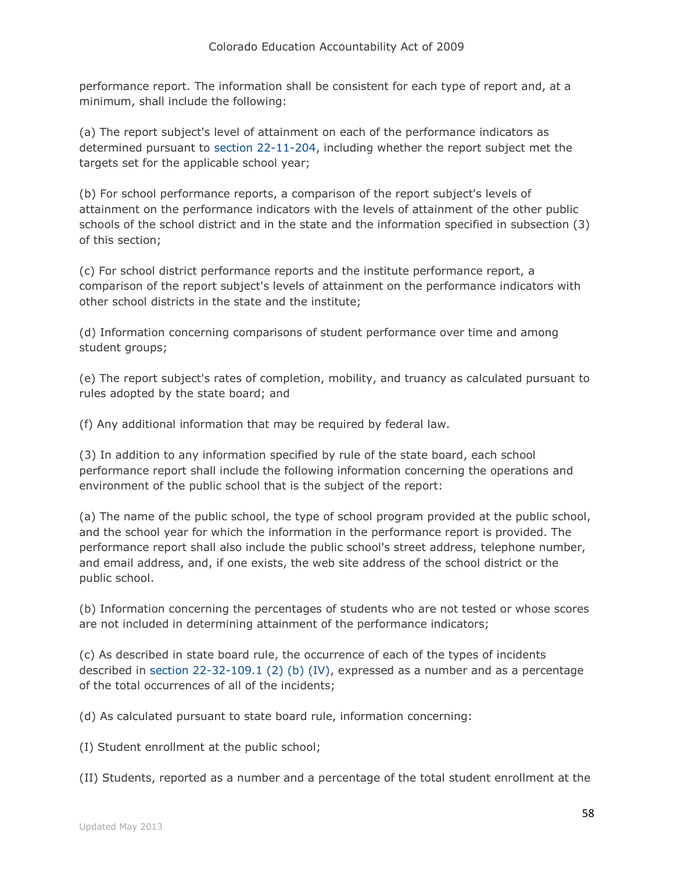performance report. The information shall be consistent for each type of report and, at a minimum, shall include the following:

(a) The report subject's level of attainment on each of the performance indicators as determined pursuant to [section 22-11-204,](http://web.lexisnexis.com/research/buttonTFLink?_m=5ce0da9db55eaedd477c544a4f170f3d&_xfercite=%3ccite%20cc%3d%22USA%22%3e%3c%21%5bCDATA%5bC.R.S.%2022-11-503%5d%5d%3e%3c%2fcite%3e&_butType=4&_butStat=0&_butNum=2&_butInline=1&_butinfo=COCODE%2022-11-204&_fmtstr=FULL&docnum=1&_startdoc=1&wchp=dGLzVzt-zSkAW&_md5=e89f5854f715689f363bc088759d61d2) including whether the report subject met the targets set for the applicable school year;

(b) For school performance reports, a comparison of the report subject's levels of attainment on the performance indicators with the levels of attainment of the other public schools of the school district and in the state and the information specified in subsection (3) of this section;

(c) For school district performance reports and the institute performance report, a comparison of the report subject's levels of attainment on the performance indicators with other school districts in the state and the institute;

(d) Information concerning comparisons of student performance over time and among student groups;

(e) The report subject's rates of completion, mobility, and truancy as calculated pursuant to rules adopted by the state board; and

(f) Any additional information that may be required by federal law.

(3) In addition to any information specified by rule of the state board, each school performance report shall include the following information concerning the operations and environment of the public school that is the subject of the report:

(a) The name of the public school, the type of school program provided at the public school, and the school year for which the information in the performance report is provided. The performance report shall also include the public school's street address, telephone number, and email address, and, if one exists, the web site address of the school district or the public school.

(b) Information concerning the percentages of students who are not tested or whose scores are not included in determining attainment of the performance indicators;

(c) As described in state board rule, the occurrence of each of the types of incidents described in [section 22-32-109.1 \(2\) \(b\) \(IV\),](http://web.lexisnexis.com/research/buttonTFLink?_m=5ce0da9db55eaedd477c544a4f170f3d&_xfercite=%3ccite%20cc%3d%22USA%22%3e%3c%21%5bCDATA%5bC.R.S.%2022-11-503%5d%5d%3e%3c%2fcite%3e&_butType=4&_butStat=0&_butNum=3&_butInline=1&_butinfo=COCODE%2022-32-109.1&_fmtstr=FULL&docnum=1&_startdoc=1&wchp=dGLzVzt-zSkAW&_md5=0afc4367e3143d69ec1b93b8d4d53d96) expressed as a number and as a percentage of the total occurrences of all of the incidents;

(d) As calculated pursuant to state board rule, information concerning:

(I) Student enrollment at the public school;

(II) Students, reported as a number and a percentage of the total student enrollment at the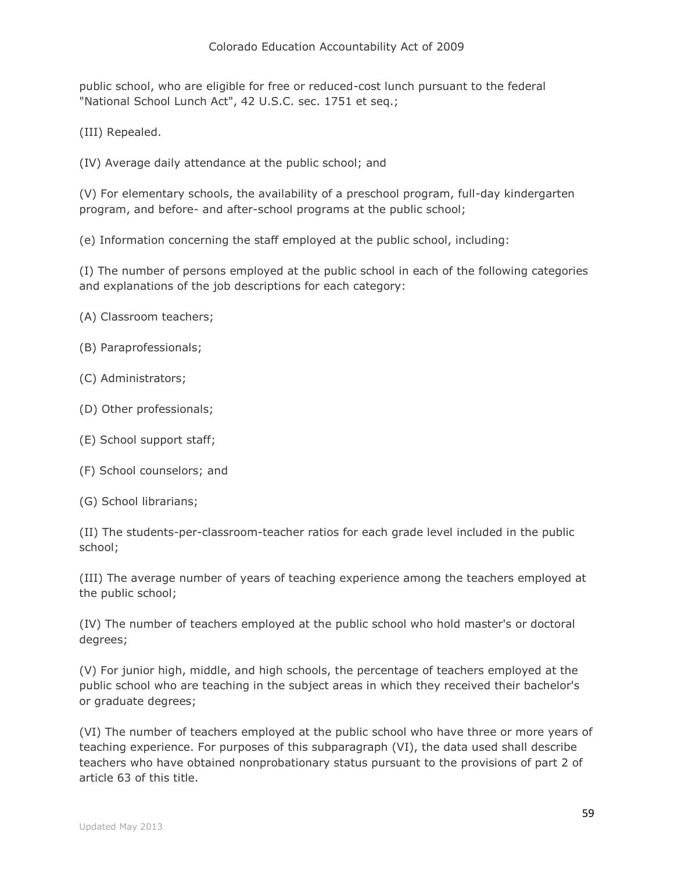public school, who are eligible for free or reduced-cost lunch pursuant to the federal "National School Lunch Act", 42 U.S.C. sec. 1751 et seq.;

(III) Repealed.

(IV) Average daily attendance at the public school; and

(V) For elementary schools, the availability of a preschool program, full-day kindergarten program, and before- and after-school programs at the public school;

(e) Information concerning the staff employed at the public school, including:

(I) The number of persons employed at the public school in each of the following categories and explanations of the job descriptions for each category:

- (A) Classroom teachers;
- (B) Paraprofessionals;
- (C) Administrators;
- (D) Other professionals;
- (E) School support staff;
- (F) School counselors; and
- (G) School librarians;

(II) The students-per-classroom-teacher ratios for each grade level included in the public school;

(III) The average number of years of teaching experience among the teachers employed at the public school;

(IV) The number of teachers employed at the public school who hold master's or doctoral degrees;

(V) For junior high, middle, and high schools, the percentage of teachers employed at the public school who are teaching in the subject areas in which they received their bachelor's or graduate degrees;

(VI) The number of teachers employed at the public school who have three or more years of teaching experience. For purposes of this subparagraph (VI), the data used shall describe teachers who have obtained nonprobationary status pursuant to the provisions of part 2 of article 63 of this title.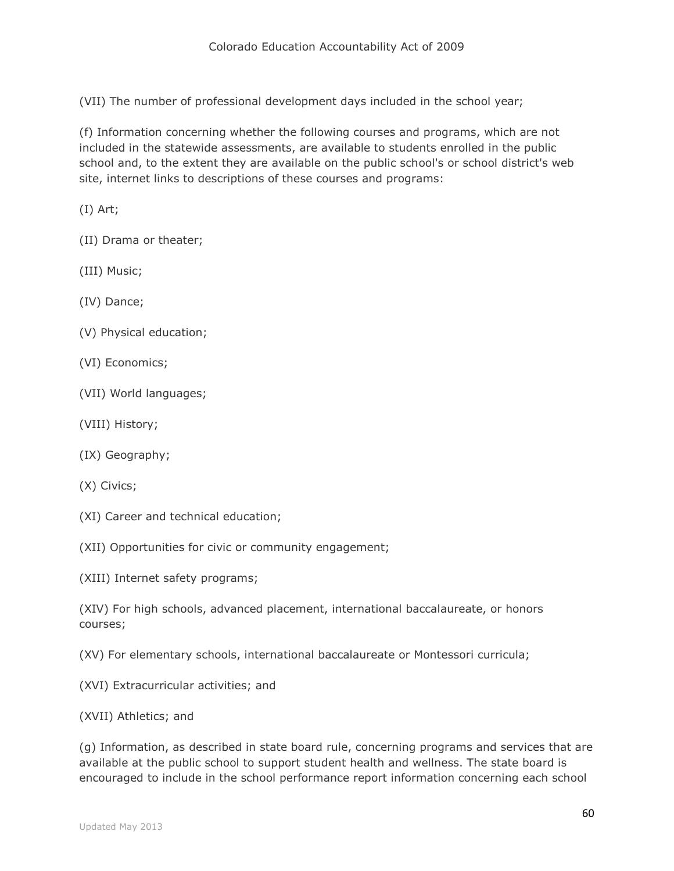(VII) The number of professional development days included in the school year;

(f) Information concerning whether the following courses and programs, which are not included in the statewide assessments, are available to students enrolled in the public school and, to the extent they are available on the public school's or school district's web site, internet links to descriptions of these courses and programs:

(I) Art;

(II) Drama or theater;

(III) Music;

(IV) Dance;

- (V) Physical education;
- (VI) Economics;
- (VII) World languages;
- (VIII) History;
- (IX) Geography;
- (X) Civics;
- (XI) Career and technical education;

(XII) Opportunities for civic or community engagement;

(XIII) Internet safety programs;

(XIV) For high schools, advanced placement, international baccalaureate, or honors courses;

(XV) For elementary schools, international baccalaureate or Montessori curricula;

(XVI) Extracurricular activities; and

(XVII) Athletics; and

(g) Information, as described in state board rule, concerning programs and services that are available at the public school to support student health and wellness. The state board is encouraged to include in the school performance report information concerning each school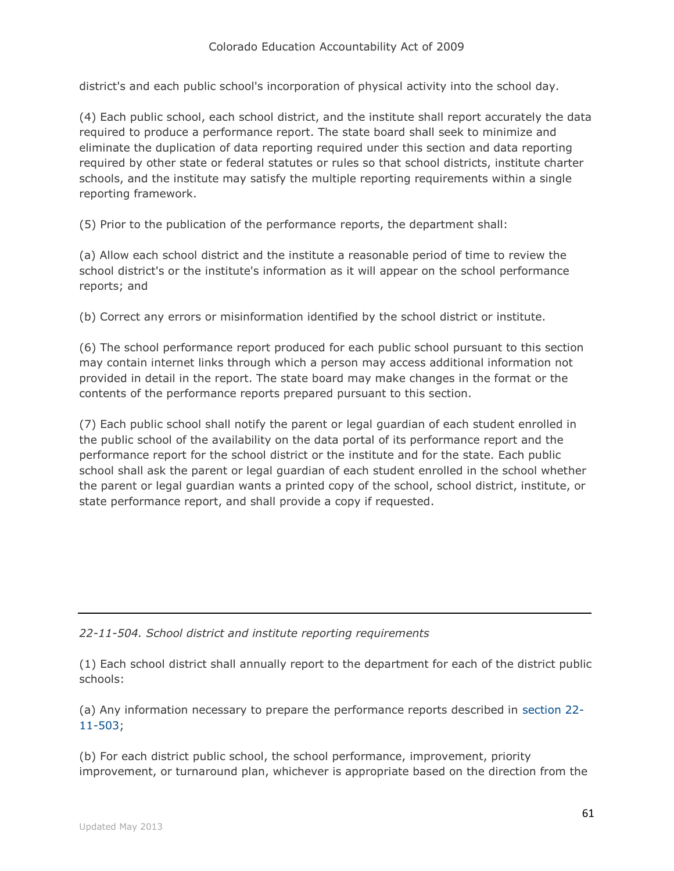district's and each public school's incorporation of physical activity into the school day.

(4) Each public school, each school district, and the institute shall report accurately the data required to produce a performance report. The state board shall seek to minimize and eliminate the duplication of data reporting required under this section and data reporting required by other state or federal statutes or rules so that school districts, institute charter schools, and the institute may satisfy the multiple reporting requirements within a single reporting framework.

(5) Prior to the publication of the performance reports, the department shall:

(a) Allow each school district and the institute a reasonable period of time to review the school district's or the institute's information as it will appear on the school performance reports; and

(b) Correct any errors or misinformation identified by the school district or institute.

(6) The school performance report produced for each public school pursuant to this section may contain internet links through which a person may access additional information not provided in detail in the report. The state board may make changes in the format or the contents of the performance reports prepared pursuant to this section.

(7) Each public school shall notify the parent or legal guardian of each student enrolled in the public school of the availability on the data portal of its performance report and the performance report for the school district or the institute and for the state. Each public school shall ask the parent or legal guardian of each student enrolled in the school whether the parent or legal guardian wants a printed copy of the school, school district, institute, or state performance report, and shall provide a copy if requested.

### *22-11-504. School district and institute reporting requirements*

(1) Each school district shall annually report to the department for each of the district public schools:

(a) Any information necessary to prepare the performance reports described in [section 22-](http://web.lexisnexis.com/research/buttonTFLink?_m=a8fd694c3e149c4bbafcce348c174f3a&_xfercite=%3ccite%20cc%3d%22USA%22%3e%3c%21%5bCDATA%5bC.R.S.%2022-11-504%5d%5d%3e%3c%2fcite%3e&_butType=4&_butStat=0&_butNum=2&_butInline=1&_butinfo=COCODE%2022-11-503&_fmtstr=FULL&docnum=1&_startdoc=1&wchp=dGLzVzt-zSkAW&_md5=a58fc96df64092bf63ddf44c28a34b89) [11-503;](http://web.lexisnexis.com/research/buttonTFLink?_m=a8fd694c3e149c4bbafcce348c174f3a&_xfercite=%3ccite%20cc%3d%22USA%22%3e%3c%21%5bCDATA%5bC.R.S.%2022-11-504%5d%5d%3e%3c%2fcite%3e&_butType=4&_butStat=0&_butNum=2&_butInline=1&_butinfo=COCODE%2022-11-503&_fmtstr=FULL&docnum=1&_startdoc=1&wchp=dGLzVzt-zSkAW&_md5=a58fc96df64092bf63ddf44c28a34b89)

(b) For each district public school, the school performance, improvement, priority improvement, or turnaround plan, whichever is appropriate based on the direction from the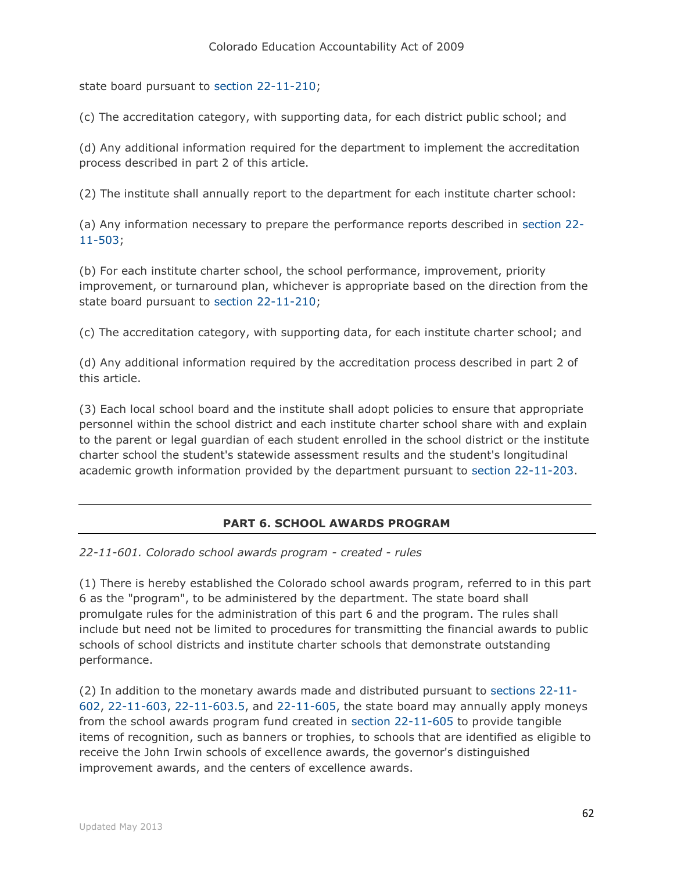state board pursuant to [section 22-11-210;](http://web.lexisnexis.com/research/buttonTFLink?_m=a8fd694c3e149c4bbafcce348c174f3a&_xfercite=%3ccite%20cc%3d%22USA%22%3e%3c%21%5bCDATA%5bC.R.S.%2022-11-504%5d%5d%3e%3c%2fcite%3e&_butType=4&_butStat=0&_butNum=3&_butInline=1&_butinfo=COCODE%2022-11-210&_fmtstr=FULL&docnum=1&_startdoc=1&wchp=dGLzVzt-zSkAW&_md5=6beae28c09372b4e663f27904f9befa8)

(c) The accreditation category, with supporting data, for each district public school; and

(d) Any additional information required for the department to implement the accreditation process described in part 2 of this article.

(2) The institute shall annually report to the department for each institute charter school:

(a) Any information necessary to prepare the performance reports described in [section 22-](http://web.lexisnexis.com/research/buttonTFLink?_m=a8fd694c3e149c4bbafcce348c174f3a&_xfercite=%3ccite%20cc%3d%22USA%22%3e%3c%21%5bCDATA%5bC.R.S.%2022-11-504%5d%5d%3e%3c%2fcite%3e&_butType=4&_butStat=0&_butNum=4&_butInline=1&_butinfo=COCODE%2022-11-503&_fmtstr=FULL&docnum=1&_startdoc=1&wchp=dGLzVzt-zSkAW&_md5=1f518e7d9aa3815955e80f7666a016a0) [11-503;](http://web.lexisnexis.com/research/buttonTFLink?_m=a8fd694c3e149c4bbafcce348c174f3a&_xfercite=%3ccite%20cc%3d%22USA%22%3e%3c%21%5bCDATA%5bC.R.S.%2022-11-504%5d%5d%3e%3c%2fcite%3e&_butType=4&_butStat=0&_butNum=4&_butInline=1&_butinfo=COCODE%2022-11-503&_fmtstr=FULL&docnum=1&_startdoc=1&wchp=dGLzVzt-zSkAW&_md5=1f518e7d9aa3815955e80f7666a016a0)

(b) For each institute charter school, the school performance, improvement, priority improvement, or turnaround plan, whichever is appropriate based on the direction from the state board pursuant to [section 22-11-210;](http://web.lexisnexis.com/research/buttonTFLink?_m=a8fd694c3e149c4bbafcce348c174f3a&_xfercite=%3ccite%20cc%3d%22USA%22%3e%3c%21%5bCDATA%5bC.R.S.%2022-11-504%5d%5d%3e%3c%2fcite%3e&_butType=4&_butStat=0&_butNum=5&_butInline=1&_butinfo=COCODE%2022-11-210&_fmtstr=FULL&docnum=1&_startdoc=1&wchp=dGLzVzt-zSkAW&_md5=b4bdae9c8f64082e838a97f2c7ff9484)

(c) The accreditation category, with supporting data, for each institute charter school; and

(d) Any additional information required by the accreditation process described in part 2 of this article.

(3) Each local school board and the institute shall adopt policies to ensure that appropriate personnel within the school district and each institute charter school share with and explain to the parent or legal guardian of each student enrolled in the school district or the institute charter school the student's statewide assessment results and the student's longitudinal academic growth information provided by the department pursuant to [section 22-11-203.](http://web.lexisnexis.com/research/buttonTFLink?_m=a8fd694c3e149c4bbafcce348c174f3a&_xfercite=%3ccite%20cc%3d%22USA%22%3e%3c%21%5bCDATA%5bC.R.S.%2022-11-504%5d%5d%3e%3c%2fcite%3e&_butType=4&_butStat=0&_butNum=6&_butInline=1&_butinfo=COCODE%2022-11-203&_fmtstr=FULL&docnum=1&_startdoc=1&wchp=dGLzVzt-zSkAW&_md5=11af3cd7f69f44c1fd517bd6847a346c)

## **PART 6. SCHOOL AWARDS PROGRAM**

*22-11-601. Colorado school awards program - created - rules*

(1) There is hereby established the Colorado school awards program, referred to in this part 6 as the "program", to be administered by the department. The state board shall promulgate rules for the administration of this part 6 and the program. The rules shall include but need not be limited to procedures for transmitting the financial awards to public schools of school districts and institute charter schools that demonstrate outstanding performance.

(2) In addition to the monetary awards made and distributed pursuant to [sections 22-11-](http://web.lexisnexis.com/research/buttonTFLink?_m=dc83da1b81921c29dfb4acea2a7b466f&_xfercite=%3ccite%20cc%3d%22USA%22%3e%3c%21%5bCDATA%5bC.R.S.%2022-11-601%5d%5d%3e%3c%2fcite%3e&_butType=4&_butStat=0&_butNum=2&_butInline=1&_butinfo=COCODE%2022-11-602&_fmtstr=FULL&docnum=1&_startdoc=1&wchp=dGLzVzt-zSkAW&_md5=60d046cf073a5d4029794f5ae0a693cf) [602,](http://web.lexisnexis.com/research/buttonTFLink?_m=dc83da1b81921c29dfb4acea2a7b466f&_xfercite=%3ccite%20cc%3d%22USA%22%3e%3c%21%5bCDATA%5bC.R.S.%2022-11-601%5d%5d%3e%3c%2fcite%3e&_butType=4&_butStat=0&_butNum=2&_butInline=1&_butinfo=COCODE%2022-11-602&_fmtstr=FULL&docnum=1&_startdoc=1&wchp=dGLzVzt-zSkAW&_md5=60d046cf073a5d4029794f5ae0a693cf) [22-11-603,](http://web.lexisnexis.com/research/buttonTFLink?_m=dc83da1b81921c29dfb4acea2a7b466f&_xfercite=%3ccite%20cc%3d%22USA%22%3e%3c%21%5bCDATA%5bC.R.S.%2022-11-601%5d%5d%3e%3c%2fcite%3e&_butType=4&_butStat=0&_butNum=3&_butInline=1&_butinfo=COCODE%2022-11-603&_fmtstr=FULL&docnum=1&_startdoc=1&wchp=dGLzVzt-zSkAW&_md5=43607f1f25ae931353865e19b2ef5829) [22-11-603.5,](http://web.lexisnexis.com/research/buttonTFLink?_m=dc83da1b81921c29dfb4acea2a7b466f&_xfercite=%3ccite%20cc%3d%22USA%22%3e%3c%21%5bCDATA%5bC.R.S.%2022-11-601%5d%5d%3e%3c%2fcite%3e&_butType=4&_butStat=0&_butNum=4&_butInline=1&_butinfo=COCODE%2022-11-603.5&_fmtstr=FULL&docnum=1&_startdoc=1&wchp=dGLzVzt-zSkAW&_md5=3ab20017d6bddf9fecd5d091f3d54a93) and [22-11-605,](http://web.lexisnexis.com/research/buttonTFLink?_m=dc83da1b81921c29dfb4acea2a7b466f&_xfercite=%3ccite%20cc%3d%22USA%22%3e%3c%21%5bCDATA%5bC.R.S.%2022-11-601%5d%5d%3e%3c%2fcite%3e&_butType=4&_butStat=0&_butNum=5&_butInline=1&_butinfo=COCODE%2022-11-605&_fmtstr=FULL&docnum=1&_startdoc=1&wchp=dGLzVzt-zSkAW&_md5=f7b8deecdbecd27bf454462915e776fe) the state board may annually apply moneys from the school awards program fund created in [section 22-11-605](http://web.lexisnexis.com/research/buttonTFLink?_m=dc83da1b81921c29dfb4acea2a7b466f&_xfercite=%3ccite%20cc%3d%22USA%22%3e%3c%21%5bCDATA%5bC.R.S.%2022-11-601%5d%5d%3e%3c%2fcite%3e&_butType=4&_butStat=0&_butNum=6&_butInline=1&_butinfo=COCODE%2022-11-605&_fmtstr=FULL&docnum=1&_startdoc=1&wchp=dGLzVzt-zSkAW&_md5=f157c7169a73fcc598b393879b970919) to provide tangible items of recognition, such as banners or trophies, to schools that are identified as eligible to receive the John Irwin schools of excellence awards, the governor's distinguished improvement awards, and the centers of excellence awards.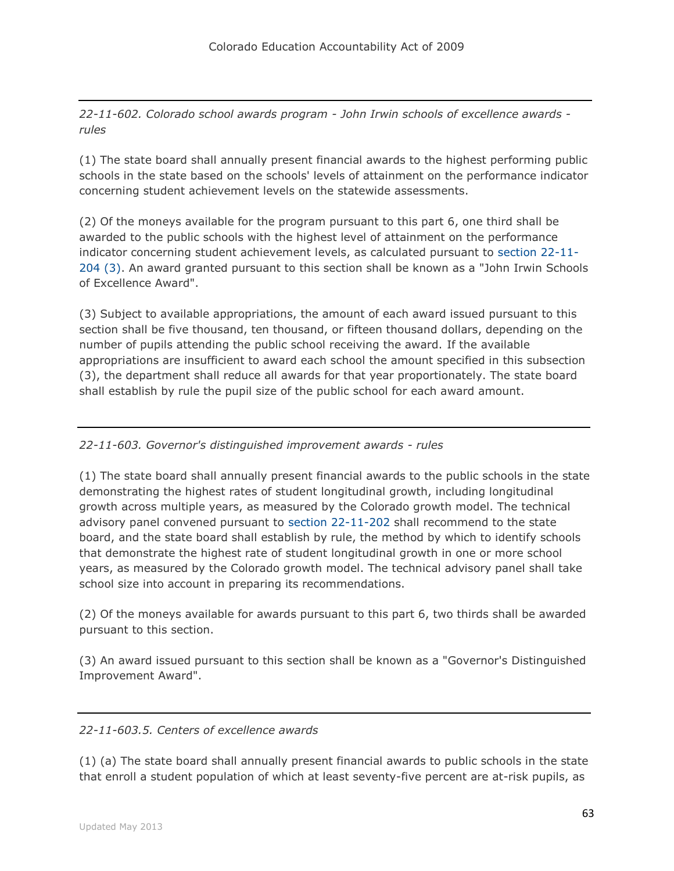*22-11-602. Colorado school awards program - John Irwin schools of excellence awards rules*

(1) The state board shall annually present financial awards to the highest performing public schools in the state based on the schools' levels of attainment on the performance indicator concerning student achievement levels on the statewide assessments.

(2) Of the moneys available for the program pursuant to this part 6, one third shall be awarded to the public schools with the highest level of attainment on the performance indicator concerning student achievement levels, as calculated pursuant to [section 22-11-](http://web.lexisnexis.com/research/buttonTFLink?_m=7270e876ab930f31cf81e24f796bb42f&_xfercite=%3ccite%20cc%3d%22USA%22%3e%3c%21%5bCDATA%5bC.R.S.%2022-11-602%5d%5d%3e%3c%2fcite%3e&_butType=4&_butStat=0&_butNum=2&_butInline=1&_butinfo=COCODE%2022-11-204&_fmtstr=FULL&docnum=1&_startdoc=1&wchp=dGLzVzt-zSkAW&_md5=be40303370a60bc8d146df4733b4c8b6) [204 \(3\).](http://web.lexisnexis.com/research/buttonTFLink?_m=7270e876ab930f31cf81e24f796bb42f&_xfercite=%3ccite%20cc%3d%22USA%22%3e%3c%21%5bCDATA%5bC.R.S.%2022-11-602%5d%5d%3e%3c%2fcite%3e&_butType=4&_butStat=0&_butNum=2&_butInline=1&_butinfo=COCODE%2022-11-204&_fmtstr=FULL&docnum=1&_startdoc=1&wchp=dGLzVzt-zSkAW&_md5=be40303370a60bc8d146df4733b4c8b6) An award granted pursuant to this section shall be known as a "John Irwin Schools of Excellence Award".

(3) Subject to available appropriations, the amount of each award issued pursuant to this section shall be five thousand, ten thousand, or fifteen thousand dollars, depending on the number of pupils attending the public school receiving the award. If the available appropriations are insufficient to award each school the amount specified in this subsection (3), the department shall reduce all awards for that year proportionately. The state board shall establish by rule the pupil size of the public school for each award amount.

# *22-11-603. Governor's distinguished improvement awards - rules*

(1) The state board shall annually present financial awards to the public schools in the state demonstrating the highest rates of student longitudinal growth, including longitudinal growth across multiple years, as measured by the Colorado growth model. The technical advisory panel convened pursuant to [section 22-11-202](http://web.lexisnexis.com/research/buttonTFLink?_m=615c4a52aef4d455f7bd5ded94da7001&_xfercite=%3ccite%20cc%3d%22USA%22%3e%3c%21%5bCDATA%5bC.R.S.%2022-11-603%5d%5d%3e%3c%2fcite%3e&_butType=4&_butStat=0&_butNum=2&_butInline=1&_butinfo=COCODE%2022-11-202&_fmtstr=FULL&docnum=1&_startdoc=1&wchp=dGLzVzt-zSkAW&_md5=e0512b56b9e195308146ab6c3065bc84) shall recommend to the state board, and the state board shall establish by rule, the method by which to identify schools that demonstrate the highest rate of student longitudinal growth in one or more school years, as measured by the Colorado growth model. The technical advisory panel shall take school size into account in preparing its recommendations.

(2) Of the moneys available for awards pursuant to this part 6, two thirds shall be awarded pursuant to this section.

(3) An award issued pursuant to this section shall be known as a "Governor's Distinguished Improvement Award".

## *22-11-603.5. Centers of excellence awards*

(1) (a) The state board shall annually present financial awards to public schools in the state that enroll a student population of which at least seventy-five percent are at-risk pupils, as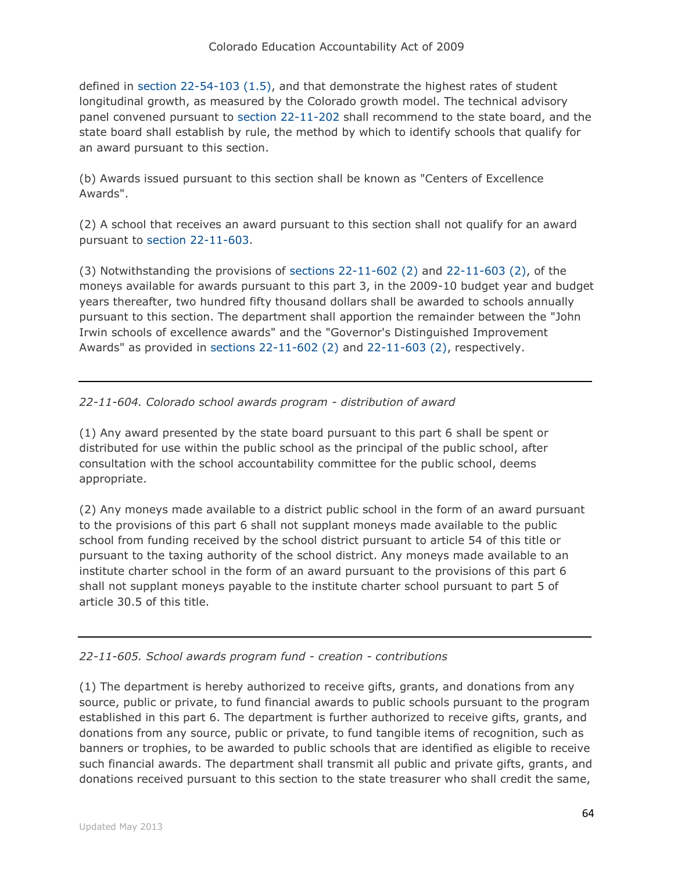defined in [section 22-54-103 \(1.5\),](http://web.lexisnexis.com/research/buttonTFLink?_m=f81db5fdfdb98b93e7c974ee429dee0a&_xfercite=%3ccite%20cc%3d%22USA%22%3e%3c%21%5bCDATA%5bC.R.S.%2022-11-603.5%5d%5d%3e%3c%2fcite%3e&_butType=4&_butStat=0&_butNum=2&_butInline=1&_butinfo=COCODE%2022-54-103&_fmtstr=FULL&docnum=1&_startdoc=1&wchp=dGLzVzt-zSkAW&_md5=5558839d444a6030fec81e2298b9efe0) and that demonstrate the highest rates of student longitudinal growth, as measured by the Colorado growth model. The technical advisory panel convened pursuant to [section 22-11-202](http://web.lexisnexis.com/research/buttonTFLink?_m=f81db5fdfdb98b93e7c974ee429dee0a&_xfercite=%3ccite%20cc%3d%22USA%22%3e%3c%21%5bCDATA%5bC.R.S.%2022-11-603.5%5d%5d%3e%3c%2fcite%3e&_butType=4&_butStat=0&_butNum=3&_butInline=1&_butinfo=COCODE%2022-11-202&_fmtstr=FULL&docnum=1&_startdoc=1&wchp=dGLzVzt-zSkAW&_md5=72762576aecddc239d65f15fe6278154) shall recommend to the state board, and the state board shall establish by rule, the method by which to identify schools that qualify for an award pursuant to this section.

(b) Awards issued pursuant to this section shall be known as "Centers of Excellence Awards".

(2) A school that receives an award pursuant to this section shall not qualify for an award pursuant to [section 22-11-603.](http://web.lexisnexis.com/research/buttonTFLink?_m=f81db5fdfdb98b93e7c974ee429dee0a&_xfercite=%3ccite%20cc%3d%22USA%22%3e%3c%21%5bCDATA%5bC.R.S.%2022-11-603.5%5d%5d%3e%3c%2fcite%3e&_butType=4&_butStat=0&_butNum=4&_butInline=1&_butinfo=COCODE%2022-11-603&_fmtstr=FULL&docnum=1&_startdoc=1&wchp=dGLzVzt-zSkAW&_md5=9b10827a62aea27a6a6c7a3088b76ab4)

(3) Notwithstanding the provisions of [sections 22-11-602 \(2\)](http://web.lexisnexis.com/research/buttonTFLink?_m=f81db5fdfdb98b93e7c974ee429dee0a&_xfercite=%3ccite%20cc%3d%22USA%22%3e%3c%21%5bCDATA%5bC.R.S.%2022-11-603.5%5d%5d%3e%3c%2fcite%3e&_butType=4&_butStat=0&_butNum=5&_butInline=1&_butinfo=COCODE%2022-11-602&_fmtstr=FULL&docnum=1&_startdoc=1&wchp=dGLzVzt-zSkAW&_md5=9dcc72e9d3288669271b234c15a8cd17) and [22-11-603 \(2\),](http://web.lexisnexis.com/research/buttonTFLink?_m=f81db5fdfdb98b93e7c974ee429dee0a&_xfercite=%3ccite%20cc%3d%22USA%22%3e%3c%21%5bCDATA%5bC.R.S.%2022-11-603.5%5d%5d%3e%3c%2fcite%3e&_butType=4&_butStat=0&_butNum=6&_butInline=1&_butinfo=COCODE%2022-11-603&_fmtstr=FULL&docnum=1&_startdoc=1&wchp=dGLzVzt-zSkAW&_md5=957f49eea03afb28b49ed3591f6aa319) of the moneys available for awards pursuant to this part 3, in the 2009-10 budget year and budget years thereafter, two hundred fifty thousand dollars shall be awarded to schools annually pursuant to this section. The department shall apportion the remainder between the "John Irwin schools of excellence awards" and the "Governor's Distinguished Improvement Awards" as provided in [sections 22-11-602 \(2\)](http://web.lexisnexis.com/research/buttonTFLink?_m=f81db5fdfdb98b93e7c974ee429dee0a&_xfercite=%3ccite%20cc%3d%22USA%22%3e%3c%21%5bCDATA%5bC.R.S.%2022-11-603.5%5d%5d%3e%3c%2fcite%3e&_butType=4&_butStat=0&_butNum=7&_butInline=1&_butinfo=COCODE%2022-11-602&_fmtstr=FULL&docnum=1&_startdoc=1&wchp=dGLzVzt-zSkAW&_md5=d3132735361bbd826297977e2b5c5846) and [22-11-603 \(2\),](http://web.lexisnexis.com/research/buttonTFLink?_m=f81db5fdfdb98b93e7c974ee429dee0a&_xfercite=%3ccite%20cc%3d%22USA%22%3e%3c%21%5bCDATA%5bC.R.S.%2022-11-603.5%5d%5d%3e%3c%2fcite%3e&_butType=4&_butStat=0&_butNum=8&_butInline=1&_butinfo=COCODE%2022-11-603&_fmtstr=FULL&docnum=1&_startdoc=1&wchp=dGLzVzt-zSkAW&_md5=e7c3d1fff89047bd5189667c483500a9) respectively.

*22-11-604. Colorado school awards program - distribution of award*

(1) Any award presented by the state board pursuant to this part 6 shall be spent or distributed for use within the public school as the principal of the public school, after consultation with the school accountability committee for the public school, deems appropriate.

(2) Any moneys made available to a district public school in the form of an award pursuant to the provisions of this part 6 shall not supplant moneys made available to the public school from funding received by the school district pursuant to article 54 of this title or pursuant to the taxing authority of the school district. Any moneys made available to an institute charter school in the form of an award pursuant to the provisions of this part 6 shall not supplant moneys payable to the institute charter school pursuant to part 5 of article 30.5 of this title.

*22-11-605. School awards program fund - creation - contributions*

(1) The department is hereby authorized to receive gifts, grants, and donations from any source, public or private, to fund financial awards to public schools pursuant to the program established in this part 6. The department is further authorized to receive gifts, grants, and donations from any source, public or private, to fund tangible items of recognition, such as banners or trophies, to be awarded to public schools that are identified as eligible to receive such financial awards. The department shall transmit all public and private gifts, grants, and donations received pursuant to this section to the state treasurer who shall credit the same,